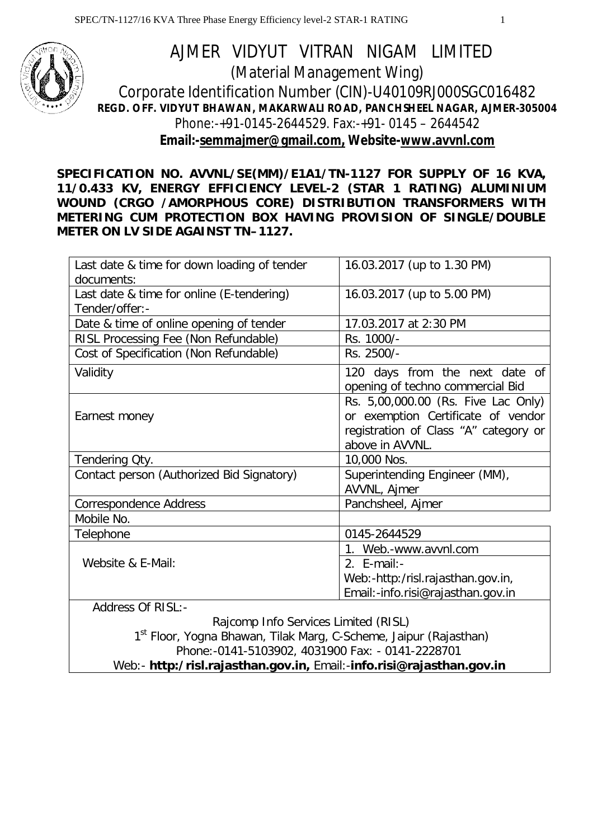

# AJMER VIDYUT VITRAN NIGAM LIMITED (Material Management Wing) Corporate Identification Number (CIN)-U40109RJ000SGC016482 **REGD. OFF. VIDYUT BHAWAN, MAKARWALI ROAD, PANCHSHEEL NAGAR, AJMER-305004** Phone:-+91-0145-2644529. Fax:-+91- 0145 – 2644542 **Email:-semmajmer@gmail.com, Website-www.avvnl.com**

**SPECIFICATION NO. AVVNL/SE(MM)/E1A1/TN-1127 FOR SUPPLY OF 16 KVA, 11/0.433 KV, ENERGY EFFICIENCY LEVEL-2 (STAR 1 RATING) ALUMINIUM WOUND (CRGO /AMORPHOUS CORE) DISTRIBUTION TRANSFORMERS WITH METERING CUM PROTECTION BOX HAVING PROVISION OF SINGLE/DOUBLE METER ON LV SIDE AGAINST TN–1127.**

| Last date & time for down loading of tender                                    | 16.03.2017 (up to 1.30 PM)            |  |
|--------------------------------------------------------------------------------|---------------------------------------|--|
| documents:                                                                     |                                       |  |
| Last date & time for online (E-tendering)                                      | 16.03.2017 (up to 5.00 PM)            |  |
| Tender/offer:-                                                                 |                                       |  |
| Date & time of online opening of tender                                        | 17.03.2017 at 2:30 PM                 |  |
| RISL Processing Fee (Non Refundable)                                           | Rs. 1000/-                            |  |
| Cost of Specification (Non Refundable)                                         | Rs. 2500/-                            |  |
| Validity                                                                       | 120 days from the next date of        |  |
|                                                                                | opening of techno commercial Bid      |  |
|                                                                                | Rs. 5,00,000.00 (Rs. Five Lac Only)   |  |
| Earnest money                                                                  | or exemption Certificate of vendor    |  |
|                                                                                | registration of Class "A" category or |  |
|                                                                                | above in AVVNL.                       |  |
| Tendering Oty.                                                                 | 10,000 Nos.                           |  |
| Contact person (Authorized Bid Signatory)                                      | Superintending Engineer (MM),         |  |
|                                                                                | AVVNL, Ajmer                          |  |
| Correspondence Address                                                         | Panchsheel, Ajmer                     |  |
| Mobile No.                                                                     |                                       |  |
| Telephone                                                                      | 0145-2644529                          |  |
|                                                                                | 1. Web.-www.avvnl.com                 |  |
| Website & E-Mail:                                                              | 2. $E$ -mail:-                        |  |
|                                                                                | Web:-http:/risl.rajasthan.gov.in,     |  |
|                                                                                | Email:-info.risi@rajasthan.gov.in     |  |
| <b>Address Of RISL:-</b>                                                       |                                       |  |
| Rajcomp Info Services Limited (RISL)                                           |                                       |  |
| 1 <sup>st</sup> Floor, Voana Rhawan, Tilak Mara, C-Scheme, Jainur (Rajasthan). |                                       |  |

1<sup>st</sup> Floor, Yogna Bhawan, Tilak Marg, C-Scheme, Jaipur (Rajasthan) Phone:-0141-5103902, 4031900 Fax: - 0141-2228701 Web:- **http:/risl.rajasthan.gov.in,** Email:-**info.risi@rajasthan.gov.in**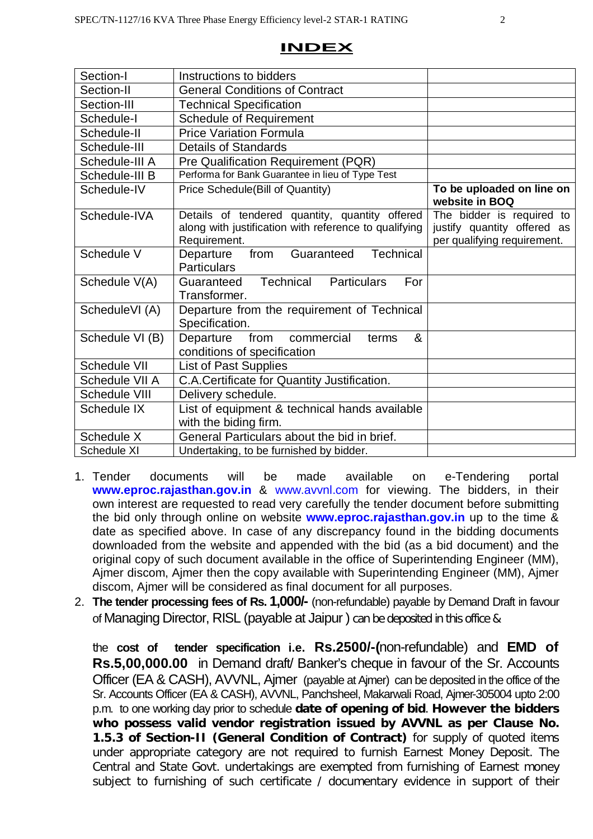| ш | NI | D |  |  |
|---|----|---|--|--|
|   |    |   |  |  |

| Section-I       | Instructions to bidders                                                                                                 |                                                                                         |
|-----------------|-------------------------------------------------------------------------------------------------------------------------|-----------------------------------------------------------------------------------------|
| Section-II      | <b>General Conditions of Contract</b>                                                                                   |                                                                                         |
| Section-III     | <b>Technical Specification</b>                                                                                          |                                                                                         |
| Schedule-I      |                                                                                                                         |                                                                                         |
|                 | <b>Schedule of Requirement</b>                                                                                          |                                                                                         |
| Schedule-II     | <b>Price Variation Formula</b>                                                                                          |                                                                                         |
| Schedule-III    | <b>Details of Standards</b>                                                                                             |                                                                                         |
| Schedule-III A  | Pre Qualification Requirement (PQR)                                                                                     |                                                                                         |
| Schedule-III B  | Performa for Bank Guarantee in lieu of Type Test                                                                        |                                                                                         |
| Schedule-IV     | Price Schedule(Bill of Quantity)                                                                                        | To be uploaded on line on<br>website in BOQ                                             |
| Schedule-IVA    | Details of tendered quantity, quantity offered<br>along with justification with reference to qualifying<br>Requirement. | The bidder is required to<br>justify quantity offered as<br>per qualifying requirement. |
| Schedule V      | <b>Technical</b><br>Guaranteed<br>Departure<br>from<br><b>Particulars</b>                                               |                                                                                         |
| Schedule V(A)   | <b>Technical Particulars</b><br>For<br>Guaranteed<br>Transformer.                                                       |                                                                                         |
| ScheduleVI (A)  | Departure from the requirement of Technical<br>Specification.                                                           |                                                                                         |
| Schedule VI (B) | &<br>from<br>Departure<br>commercial<br>terms<br>conditions of specification                                            |                                                                                         |
| Schedule VII    | <b>List of Past Supplies</b>                                                                                            |                                                                                         |
| Schedule VII A  | C.A.Certificate for Quantity Justification.                                                                             |                                                                                         |
| Schedule VIII   | Delivery schedule.                                                                                                      |                                                                                         |
| Schedule IX     | List of equipment & technical hands available<br>with the biding firm.                                                  |                                                                                         |
| Schedule X      | General Particulars about the bid in brief.                                                                             |                                                                                         |
| Schedule XI     | Undertaking, to be furnished by bidder.                                                                                 |                                                                                         |

- 1. Tender documents will be made available on e-Tendering portal **www.eproc.rajasthan.gov.in** & www.avvnl.com for viewing. The bidders, in their own interest are requested to read very carefully the tender document before submitting the bid only through online on website **www.eproc.rajasthan.gov.in** up to the time & date as specified above. In case of any discrepancy found in the bidding documents downloaded from the website and appended with the bid (as a bid document) and the original copy of such document available in the office of Superintending Engineer (MM), Ajmer discom, Ajmer then the copy available with Superintending Engineer (MM), Ajmer discom, Ajmer will be considered as final document for all purposes.
- 2. **The tender processing fees of Rs. 1,000/-** (non-refundable) payable by Demand Draft in favour of Managing Director, RISL (payable at Jaipur ) can be deposited in this office &

the **cost of tender specification i.e. Rs.2500/-(**non-refundable) and **EMD of Rs.5,00,000.00** in Demand draft/ Banker's cheque in favour of the Sr. Accounts Officer (EA & CASH), AVVNL, Ajmer (payable at Ajmer) can be deposited in the office of the Sr. Accounts Officer (EA & CASH), AVVNL, Panchsheel, Makarwali Road, Ajmer-305004 upto 2:00 p.m. to one working day prior to schedule **date of opening of bid**. **However the bidders who possess valid vendor registration issued by AVVNL as per Clause No. 1.5.3 of Section-II (General Condition of Contract)** for supply of quoted items under appropriate category are not required to furnish Earnest Money Deposit. The Central and State Govt. undertakings are exempted from furnishing of Earnest money subject to furnishing of such certificate / documentary evidence in support of their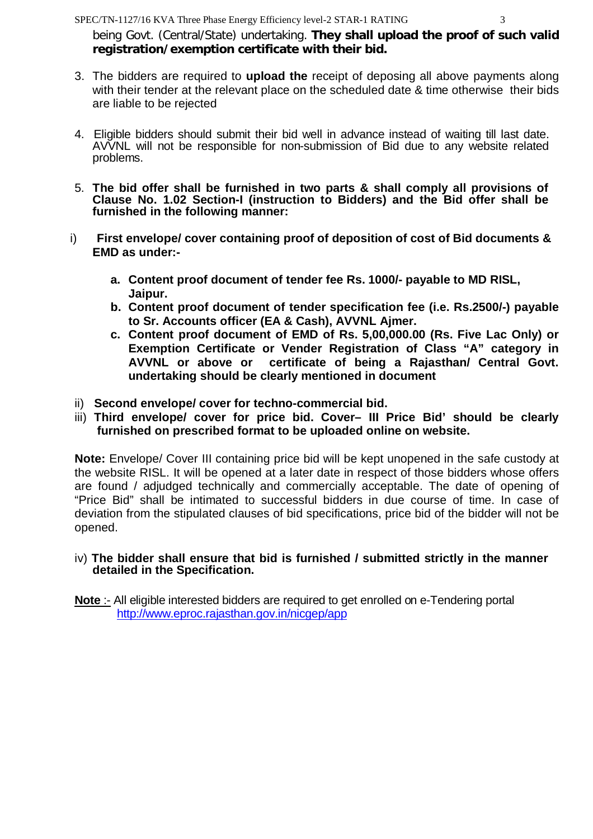being Govt. (Central/State) undertaking. **They shall upload the proof of such valid registration/exemption certificate with their bid.**

- 3. The bidders are required to **upload the** receipt of deposing all above payments along with their tender at the relevant place on the scheduled date & time otherwise their bids are liable to be rejected
- 4. Eligible bidders should submit their bid well in advance instead of waiting till last date. AVVNL will not be responsible for non-submission of Bid due to any website related problems.
- 5. **The bid offer shall be furnished in two parts & shall comply all provisions of Clause No. 1.02 Section-I (instruction to Bidders) and the Bid offer shall be furnished in the following manner:**
- i) **First envelope/ cover containing proof of deposition of cost of Bid documents & EMD as under:**
	- **a. Content proof document of tender fee Rs. 1000/- payable to MD RISL, Jaipur.**
	- **b. Content proof document of tender specification fee (i.e. Rs.2500/-) payable to Sr. Accounts officer (EA & Cash), AVVNL Ajmer.**
	- **c. Content proof document of EMD of Rs. 5,00,000.00 (Rs. Five Lac Only) or Exemption Certificate or Vender Registration of Class "A" category in AVVNL or above or certificate of being a Rajasthan/ Central Govt. undertaking should be clearly mentioned in document**
- ii) **Second envelope/ cover for techno-commercial bid.**
- iii) **Third envelope/ cover for price bid. Cover– III Price Bid' should be clearly furnished on prescribed format to be uploaded online on website.**

**Note:** Envelope/ Cover III containing price bid will be kept unopened in the safe custody at the website RISL. It will be opened at a later date in respect of those bidders whose offers are found / adjudged technically and commercially acceptable. The date of opening of "Price Bid" shall be intimated to successful bidders in due course of time. In case of deviation from the stipulated clauses of bid specifications, price bid of the bidder will not be opened.

#### iv) **The bidder shall ensure that bid is furnished / submitted strictly in the manner detailed in the Specification.**

**Note** :- All eligible interested bidders are required to get enrolled on e-Tendering portal http://www.eproc.rajasthan.gov.in/nicgep/app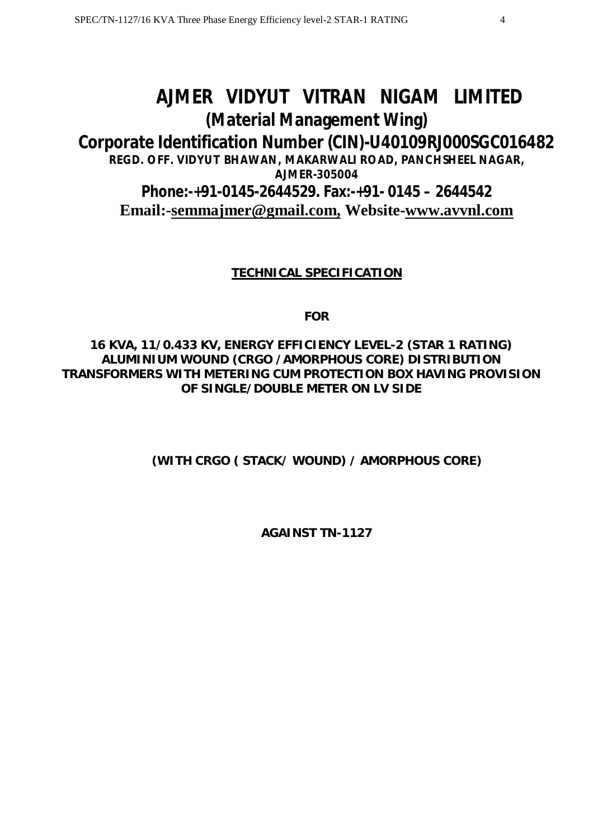# **AJMER VIDYUT VITRAN NIGAM LIMITED (Material Management Wing)**

# **Corporate Identification Number (CIN)-U40109RJ000SGC016482**

**REGD. OFF. VIDYUT BHAWAN, MAKARWALI ROAD, PANCHSHEEL NAGAR, AJMER-305004**

**Phone:-+91-0145-2644529. Fax:-+91- 0145 – 2644542 Email:-semmajmer@gmail.com, Website-www.avvnl.com**

# **TECHNICAL SPECIFICATION**

**FOR**

# **16 KVA, 11/0.433 KV, ENERGY EFFICIENCY LEVEL-2 (STAR 1 RATING) ALUMINIUM WOUND (CRGO /AMORPHOUS CORE) DISTRIBUTION TRANSFORMERS WITH METERING CUM PROTECTION BOX HAVING PROVISION OF SINGLE/DOUBLE METER ON LV SIDE**

**(WITH CRGO ( STACK/ WOUND) / AMORPHOUS CORE)**

**AGAINST TN-1127**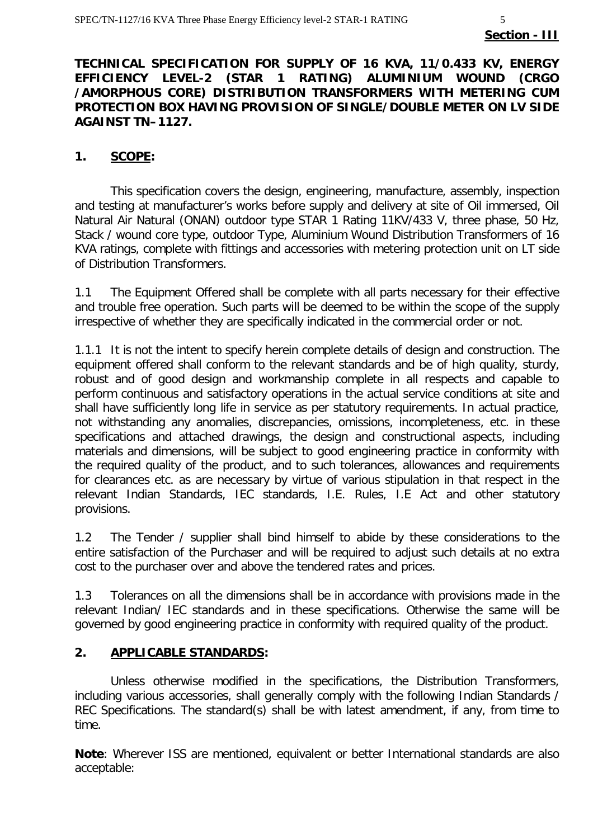#### **TECHNICAL SPECIFICATION FOR SUPPLY OF 16 KVA, 11/0.433 KV, ENERGY EFFICIENCY LEVEL-2 (STAR 1 RATING) ALUMINIUM WOUND (CRGO /AMORPHOUS CORE) DISTRIBUTION TRANSFORMERS WITH METERING CUM PROTECTION BOX HAVING PROVISION OF SINGLE/DOUBLE METER ON LV SIDE AGAINST TN–1127.**

#### **1. SCOPE:**

This specification covers the design, engineering, manufacture, assembly, inspection and testing at manufacturer's works before supply and delivery at site of Oil immersed, Oil Natural Air Natural (ONAN) outdoor type STAR 1 Rating 11KV/433 V, three phase, 50 Hz, Stack / wound core type, outdoor Type, Aluminium Wound Distribution Transformers of 16 KVA ratings, complete with fittings and accessories with metering protection unit on LT side of Distribution Transformers.

1.1 The Equipment Offered shall be complete with all parts necessary for their effective and trouble free operation. Such parts will be deemed to be within the scope of the supply irrespective of whether they are specifically indicated in the commercial order or not.

1.1.1 It is not the intent to specify herein complete details of design and construction. The equipment offered shall conform to the relevant standards and be of high quality, sturdy, robust and of good design and workmanship complete in all respects and capable to perform continuous and satisfactory operations in the actual service conditions at site and shall have sufficiently long life in service as per statutory requirements. In actual practice, not withstanding any anomalies, discrepancies, omissions, incompleteness, etc. in these specifications and attached drawings, the design and constructional aspects, including materials and dimensions, will be subject to good engineering practice in conformity with the required quality of the product, and to such tolerances, allowances and requirements for clearances etc. as are necessary by virtue of various stipulation in that respect in the relevant Indian Standards, IEC standards, I.E. Rules, I.E Act and other statutory provisions.

1.2 The Tender / supplier shall bind himself to abide by these considerations to the entire satisfaction of the Purchaser and will be required to adjust such details at no extra cost to the purchaser over and above the tendered rates and prices.

1.3 Tolerances on all the dimensions shall be in accordance with provisions made in the relevant Indian/ IEC standards and in these specifications. Otherwise the same will be governed by good engineering practice in conformity with required quality of the product.

#### **2. APPLICABLE STANDARDS:**

Unless otherwise modified in the specifications, the Distribution Transformers, including various accessories, shall generally comply with the following Indian Standards / REC Specifications. The standard(s) shall be with latest amendment, if any, from time to time.

**Note**: Wherever ISS are mentioned, equivalent or better International standards are also acceptable: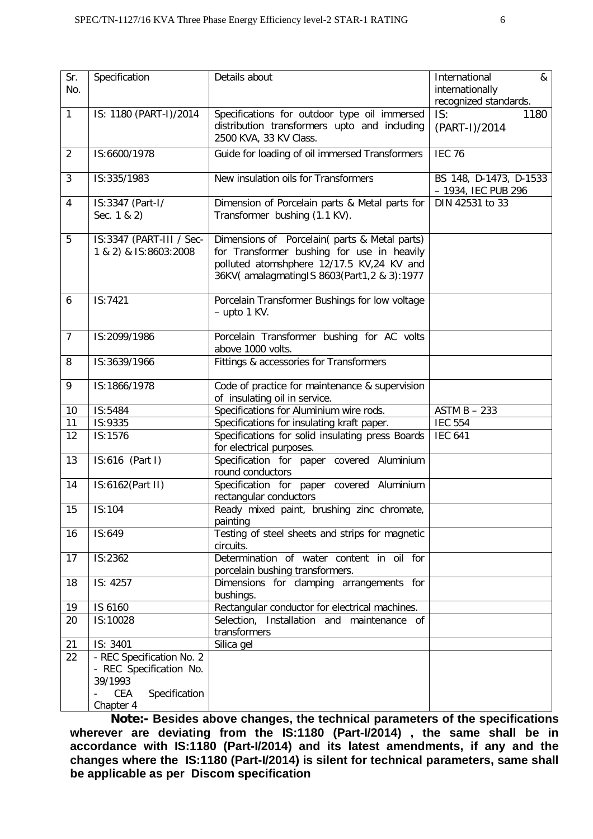| Sr.<br>No.     | Specification                                                                                        | Details about                                                                                                                                                                                | International<br>&<br>internationally<br>recognized standards. |
|----------------|------------------------------------------------------------------------------------------------------|----------------------------------------------------------------------------------------------------------------------------------------------------------------------------------------------|----------------------------------------------------------------|
| $\mathbf{1}$   | IS: 1180 (PART-I)/2014                                                                               | Specifications for outdoor type oil immersed<br>distribution transformers upto and including<br>2500 KVA, 33 KV Class.                                                                       | IS:<br>1180<br>(PART-I)/2014                                   |
| $\overline{2}$ | IS:6600/1978                                                                                         | Guide for loading of oil immersed Transformers                                                                                                                                               | <b>IEC 76</b>                                                  |
| 3              | IS:335/1983                                                                                          | New insulation oils for Transformers                                                                                                                                                         | BS 148, D-1473, D-1533<br>- 1934, IEC PUB 296                  |
| 4              | IS:3347 (Part-I/<br>Sec. 1 & 2)                                                                      | Dimension of Porcelain parts & Metal parts for<br>Transformer bushing (1.1 KV).                                                                                                              | DIN 42531 to 33                                                |
| 5              | IS:3347 (PART-III / Sec-<br>1 & 2) & IS:8603:2008                                                    | Dimensions of Porcelain (parts & Metal parts)<br>for Transformer bushing for use in heavily<br>polluted atomshphere 12/17.5 KV,24 KV and<br>36KV( amalagmating IS 8603 (Part 1, 2 & 3): 1977 |                                                                |
| 6              | IS:7421                                                                                              | Porcelain Transformer Bushings for low voltage<br>$-$ upto 1 KV.                                                                                                                             |                                                                |
| $\overline{7}$ | IS:2099/1986                                                                                         | Porcelain Transformer bushing for AC volts<br>above 1000 volts.                                                                                                                              |                                                                |
| 8              | IS:3639/1966                                                                                         | Fittings & accessories for Transformers                                                                                                                                                      |                                                                |
| 9              | IS:1866/1978                                                                                         | Code of practice for maintenance & supervision<br>of insulating oil in service.                                                                                                              |                                                                |
| 10             | IS:5484                                                                                              | Specifications for Aluminium wire rods.                                                                                                                                                      | $ASTM B - 233$                                                 |
| 11             | IS:9335                                                                                              | Specifications for insulating kraft paper.                                                                                                                                                   | <b>IEC 554</b>                                                 |
| 12             | IS:1576                                                                                              | Specifications for solid insulating press Boards<br>for electrical purposes.                                                                                                                 | <b>IEC 641</b>                                                 |
| 13             | IS:616 (Part I)                                                                                      | Specification for paper covered Aluminium<br>round conductors                                                                                                                                |                                                                |
| 14             | IS:6162(Part II)                                                                                     | Specification for paper covered Aluminium<br>rectangular conductors                                                                                                                          |                                                                |
| 15             | IS:104                                                                                               | Ready mixed paint, brushing zinc chromate,<br>painting                                                                                                                                       |                                                                |
| 16             | IS:649                                                                                               | Testing of steel sheets and strips for magnetic<br>circuits.                                                                                                                                 |                                                                |
| 17             | IS:2362                                                                                              | Determination of water content in oil for<br>porcelain bushing transformers.                                                                                                                 |                                                                |
| 18             | IS: 4257                                                                                             | Dimensions for clamping arrangements for<br>bushings.                                                                                                                                        |                                                                |
| 19             | IS 6160                                                                                              | Rectangular conductor for electrical machines.                                                                                                                                               |                                                                |
| 20             | IS:10028                                                                                             | Selection, Installation and maintenance of<br>transformers                                                                                                                                   |                                                                |
| 21             | IS: 3401                                                                                             | Silica gel                                                                                                                                                                                   |                                                                |
| 22             | - REC Specification No. 2<br>- REC Specification No.<br>39/1993<br>CEA<br>Specification<br>Chapter 4 |                                                                                                                                                                                              |                                                                |
|                |                                                                                                      |                                                                                                                                                                                              |                                                                |

**Note:- Besides above changes, the technical parameters of the specifications wherever are deviating from the IS:1180 (Part-I/2014) , the same shall be in accordance with IS:1180 (Part-I/2014) and its latest amendments, if any and the changes where the IS:1180 (Part-I/2014) is silent for technical parameters, same shall be applicable as per Discom specification**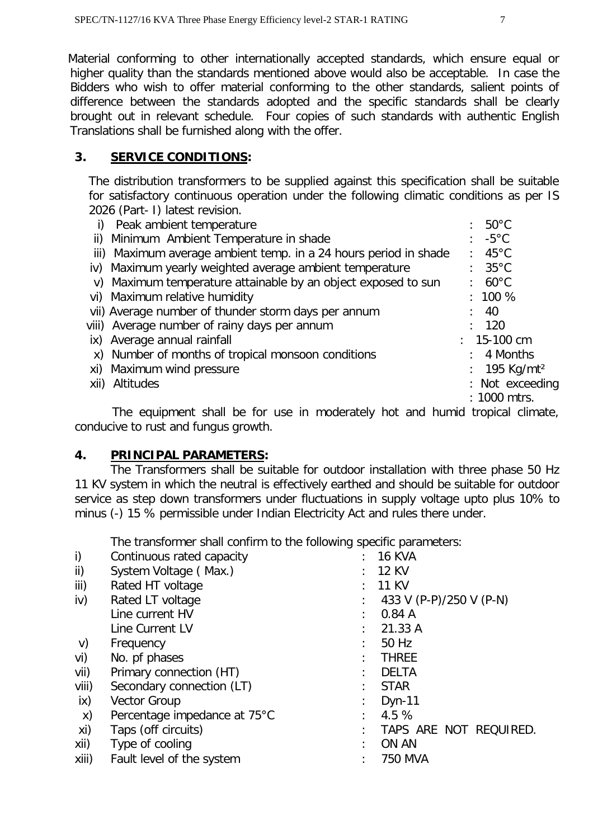Material conforming to other internationally accepted standards, which ensure equal or higher quality than the standards mentioned above would also be acceptable. In case the Bidders who wish to offer material conforming to the other standards, salient points of difference between the standards adopted and the specific standards shall be clearly brought out in relevant schedule. Four copies of such standards with authentic English Translations shall be furnished along with the offer.

#### **3. SERVICE CONDITIONS:**

The distribution transformers to be supplied against this specification shall be suitable for satisfactory continuous operation under the following climatic conditions as per IS 2026 (Part- I) latest revision.

|                | Peak ambient temperature                                         | $: 50^{\circ}$ C       |
|----------------|------------------------------------------------------------------|------------------------|
|                | ii) Minimum Ambient Temperature in shade                         | $: -5^{\circ}$ C       |
|                | iii) Maximum average ambient temp. in a 24 hours period in shade | $: 45^{\circ}$ C       |
|                | iv) Maximum yearly weighted average ambient temperature          | $: 35^{\circ}$ C       |
|                | v) Maximum temperature attainable by an object exposed to sun    | $: 60^{\circ}$ C       |
|                | vi) Maximum relative humidity                                    | $: 100 \%$             |
|                | vii) Average number of thunder storm days per annum              | $\div$ 40              |
|                | viii) Average number of rainy days per annum                     | : 120                  |
|                | ix) Average annual rainfall                                      | $: 15-100$ cm          |
|                | x) Number of months of tropical monsoon conditions               | $: 4$ Months           |
|                | xi) Maximum wind pressure                                        | 195 Kg/mt <sup>2</sup> |
| xii) Altitudes |                                                                  | : Not exceeding        |
|                |                                                                  | : 1000 mtrs.           |
|                |                                                                  |                        |

 The equipment shall be for use in moderately hot and humid tropical climate, conducive to rust and fungus growth.

#### **4. PRINCIPAL PARAMETERS:**

The Transformers shall be suitable for outdoor installation with three phase 50 Hz 11 KV system in which the neutral is effectively earthed and should be suitable for outdoor service as step down transformers under fluctuations in supply voltage upto plus 10% to minus (-) 15 % permissible under Indian Electricity Act and rules there under.

The transformer shall confirm to the following specific parameters:

| i)    | Continuous rated capacity    | $: 16$ KVA              |
|-------|------------------------------|-------------------------|
| ii)   | System Voltage (Max.)        | $: 12$ KV               |
| iii)  | Rated HT voltage             | 11 KV                   |
| iv)   | Rated LT voltage             | 433 V (P-P)/250 V (P-N) |
|       | Line current HV              | 0.84A                   |
|       | Line Current LV              | 21.33 A                 |
| V)    | Frequency                    | 50 Hz                   |
| vi)   | No. pf phases                | <b>THREE</b>            |
| vii)  | Primary connection (HT)      | <b>DELTA</b>            |
| viii) | Secondary connection (LT)    | <b>STAR</b>             |
| ix)   | <b>Vector Group</b>          | $Dyn-11$                |
| X)    | Percentage impedance at 75°C | 4.5 %                   |
| xi)   | Taps (off circuits)          | TAPS ARE NOT REQUIRED.  |
| xii)  | Type of cooling              | ON AN                   |
| xiii) | Fault level of the system    | 750 MVA                 |
|       |                              |                         |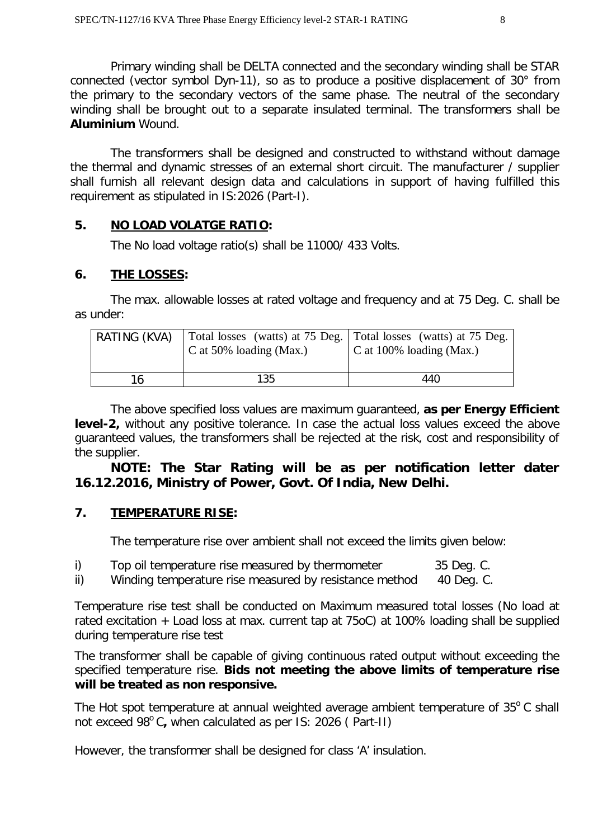Primary winding shall be DELTA connected and the secondary winding shall be STAR connected (vector symbol Dyn-11), so as to produce a positive displacement of 30° from the primary to the secondary vectors of the same phase. The neutral of the secondary winding shall be brought out to a separate insulated terminal. The transformers shall be **Aluminium** Wound.

The transformers shall be designed and constructed to withstand without damage the thermal and dynamic stresses of an external short circuit. The manufacturer / supplier shall furnish all relevant design data and calculations in support of having fulfilled this requirement as stipulated in IS:2026 (Part-I).

#### **5. NO LOAD VOLATGE RATIO:**

The No load voltage ratio(s) shall be 11000/ 433 Volts.

#### **6. THE LOSSES:**

The max. allowable losses at rated voltage and frequency and at 75 Deg. C. shall be as under:

| RATING (KVA) | C at 50% loading (Max.) | Total losses (watts) at 75 Deg. Total losses (watts) at 75 Deg.<br>$\vert$ C at 100% loading (Max.) |
|--------------|-------------------------|-----------------------------------------------------------------------------------------------------|
| 16           | 135                     | 440                                                                                                 |

The above specified loss values are maximum guaranteed, **as per Energy Efficient level-2,** without any positive tolerance. In case the actual loss values exceed the above guaranteed values, the transformers shall be rejected at the risk, cost and responsibility of the supplier.

# **NOTE: The Star Rating will be as per notification letter dater 16.12.2016, Ministry of Power, Govt. Of India, New Delhi.**

# **7. TEMPERATURE RISE:**

The temperature rise over ambient shall not exceed the limits given below:

|  |  | Top oil temperature rise measured by thermometer | 35 Deg. C. |
|--|--|--------------------------------------------------|------------|
|--|--|--------------------------------------------------|------------|

ii) Winding temperature rise measured by resistance method 40 Deg. C.

Temperature rise test shall be conducted on Maximum measured total losses (No load at rated excitation + Load loss at max. current tap at 75oC) at 100% loading shall be supplied during temperature rise test

The transformer shall be capable of giving continuous rated output without exceeding the specified temperature rise. **Bids not meeting the above limits of temperature rise will be treated as non responsive.** 

The Hot spot temperature at annual weighted average ambient temperature of  $35^{\circ}$ C shall not exceed 98<sup>°</sup>C, when calculated as per IS: 2026 (Part-II)

However, the transformer shall be designed for class 'A' insulation.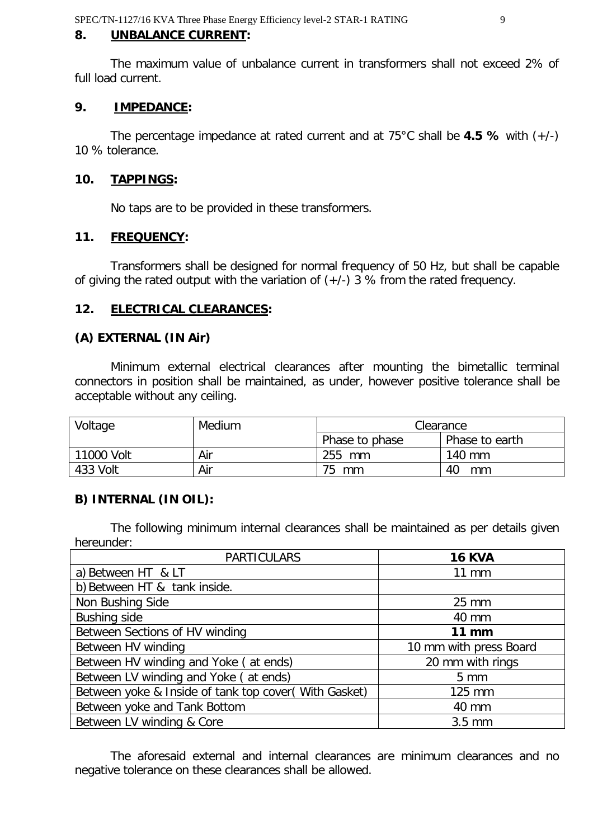#### **8. UNBALANCE CURRENT:**

The maximum value of unbalance current in transformers shall not exceed 2% of full load current.

#### **9. IMPEDANCE:**

The percentage impedance at rated current and at 75°C shall be **4.5 %** with (+/-) 10 % tolerance.

#### **10. TAPPINGS:**

No taps are to be provided in these transformers.

#### **11. FREQUENCY:**

Transformers shall be designed for normal frequency of 50 Hz, but shall be capable of giving the rated output with the variation of  $(+/-)$  3 % from the rated frequency.

#### **12. ELECTRICAL CLEARANCES:**

#### **(A) EXTERNAL (IN Air)**

Minimum external electrical clearances after mounting the bimetallic terminal connectors in position shall be maintained, as under, however positive tolerance shall be acceptable without any ceiling.

| Voltage    | Medium | Clearance      |                |
|------------|--------|----------------|----------------|
|            |        | Phase to phase | Phase to earth |
| 11000 Volt | Air    | 255 mm         | 140 mm         |
| 433 Volt   | Air    | 75<br>mm       | 40<br>mm       |

#### **B) INTERNAL (IN OIL):**

The following minimum internal clearances shall be maintained as per details given hereunder:

| <b>PARTICULARS</b>                                    | <b>16 KVA</b>          |
|-------------------------------------------------------|------------------------|
| a) Between HT & LT                                    | $11 \text{ mm}$        |
| b) Between HT & tank inside.                          |                        |
| Non Bushing Side                                      | $25 \, \text{mm}$      |
| Bushing side                                          | 40 mm                  |
| Between Sections of HV winding                        | $11$ mm                |
| Between HV winding                                    | 10 mm with press Board |
| Between HV winding and Yoke (at ends)                 | 20 mm with rings       |
| Between LV winding and Yoke (at ends)                 | $5 \, \text{mm}$       |
| Between yoke & Inside of tank top cover (With Gasket) | 125 mm                 |
| Between yoke and Tank Bottom                          | 40 mm                  |
| Between LV winding & Core                             | $3.5$ mm               |

The aforesaid external and internal clearances are minimum clearances and no negative tolerance on these clearances shall be allowed.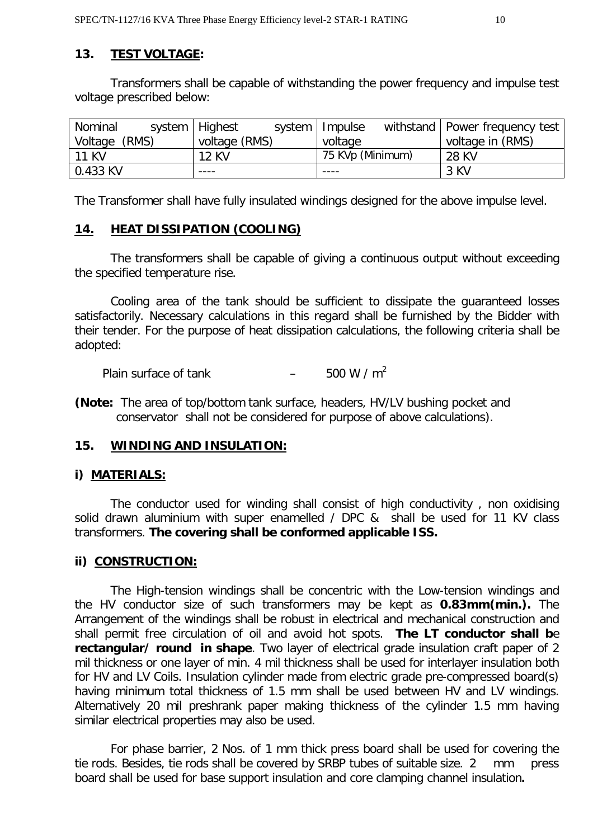#### **13. TEST VOLTAGE:**

Transformers shall be capable of withstanding the power frequency and impulse test voltage prescribed below:

| Nominal          | system   Highest | system   Impulse | withstand   Power frequency test |
|------------------|------------------|------------------|----------------------------------|
| (RMS)<br>Voltage | voltage (RMS)    | voltage          | voltage in (RMS)                 |
| <b>11 KV</b>     | <b>12 KV</b>     | 75 KVp (Minimum) | 28 KV                            |
| $0.433$ KV       | ----             |                  | 3 KV                             |

The Transformer shall have fully insulated windings designed for the above impulse level.

#### **14. HEAT DISSIPATION (COOLING)**

The transformers shall be capable of giving a continuous output without exceeding the specified temperature rise.

Cooling area of the tank should be sufficient to dissipate the guaranteed losses satisfactorily. Necessary calculations in this regard shall be furnished by the Bidder with their tender. For the purpose of heat dissipation calculations, the following criteria shall be adopted:

Plain surface of tank  $-$  500 W / m<sup>2</sup>

**(Note:** The area of top/bottom tank surface, headers, HV/LV bushing pocket and conservator shall not be considered for purpose of above calculations).

#### **15. WINDING AND INSULATION:**

#### **i) MATERIALS:**

The conductor used for winding shall consist of high conductivity , non oxidising solid drawn aluminium with super enamelled / DPC & shall be used for 11 KV class transformers. **The covering shall be conformed applicable ISS.**

#### **ii) CONSTRUCTION:**

The High-tension windings shall be concentric with the Low-tension windings and the HV conductor size of such transformers may be kept as **0.83mm(min.).** The Arrangement of the windings shall be robust in electrical and mechanical construction and shall permit free circulation of oil and avoid hot spots. **The LT conductor shall b**e **rectangular/ round in shape**. Two layer of electrical grade insulation craft paper of 2 mil thickness or one layer of min. 4 mil thickness shall be used for interlayer insulation both for HV and LV Coils. Insulation cylinder made from electric grade pre-compressed board(s) having minimum total thickness of 1.5 mm shall be used between HV and LV windings. Alternatively 20 mil preshrank paper making thickness of the cylinder 1.5 mm having similar electrical properties may also be used.

For phase barrier, 2 Nos. of 1 mm thick press board shall be used for covering the tie rods. Besides, tie rods shall be covered by SRBP tubes of suitable size. 2 mm press board shall be used for base support insulation and core clamping channel insulation**.**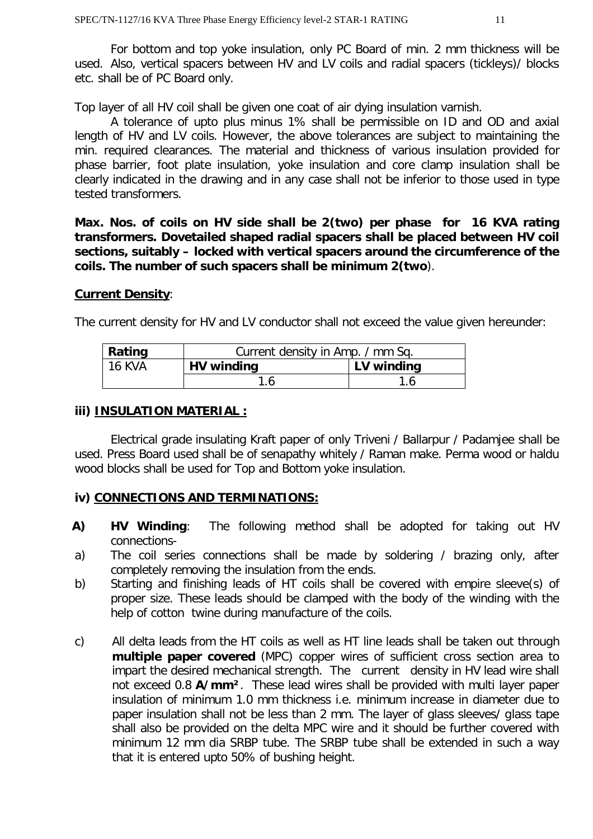For bottom and top yoke insulation, only PC Board of min. 2 mm thickness will be used. Also, vertical spacers between HV and LV coils and radial spacers (tickleys)/ blocks etc. shall be of PC Board only.

Top layer of all HV coil shall be given one coat of air dying insulation varnish.

A tolerance of upto plus minus 1% shall be permissible on ID and OD and axial length of HV and LV coils. However, the above tolerances are subject to maintaining the min. required clearances. The material and thickness of various insulation provided for phase barrier, foot plate insulation, yoke insulation and core clamp insulation shall be clearly indicated in the drawing and in any case shall not be inferior to those used in type tested transformers.

**Max. Nos. of coils on HV side shall be 2(two) per phase for 16 KVA rating transformers. Dovetailed shaped radial spacers shall be placed between HV coil sections, suitably – locked with vertical spacers around the circumference of the coils. The number of such spacers shall be minimum 2(two**).

#### **Current Density**:

The current density for HV and LV conductor shall not exceed the value given hereunder:

| Rating | Current density in Amp. / mm Sq. |            |  |
|--------|----------------------------------|------------|--|
| 16 KVA | HV winding                       | LV winding |  |
|        |                                  |            |  |

#### **iii) INSULATION MATERIAL :**

Electrical grade insulating Kraft paper of only Triveni / Ballarpur / Padamjee shall be used. Press Board used shall be of senapathy whitely / Raman make. Perma wood or haldu wood blocks shall be used for Top and Bottom yoke insulation.

#### **iv) CONNECTIONS AND TERMINATIONS:**

- **A) HV Winding**: The following method shall be adopted for taking out HV connections-
- a) The coil series connections shall be made by soldering / brazing only, after completely removing the insulation from the ends.
- b) Starting and finishing leads of HT coils shall be covered with empire sleeve(s) of proper size. These leads should be clamped with the body of the winding with the help of cotton twine during manufacture of the coils.
- c) All delta leads from the HT coils as well as HT line leads shall be taken out through **multiple paper covered** (MPC) copper wires of sufficient cross section area to impart the desired mechanical strength. The current density in HV lead wire shall not exceed 0.8 **A/mm²**. These lead wires shall be provided with multi layer paper insulation of minimum 1.0 mm thickness i.e. minimum increase in diameter due to paper insulation shall not be less than 2 mm. The layer of glass sleeves/ glass tape shall also be provided on the delta MPC wire and it should be further covered with minimum 12 mm dia SRBP tube. The SRBP tube shall be extended in such a way that it is entered upto 50% of bushing height.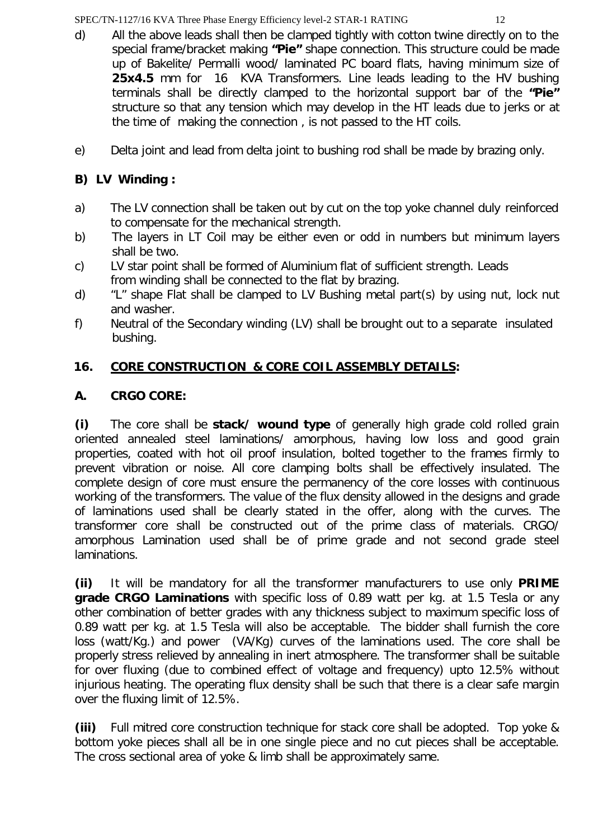- d) All the above leads shall then be clamped tightly with cotton twine directly on to the special frame/bracket making **"Pie"** shape connection. This structure could be made up of Bakelite/ Permalli wood/ laminated PC board flats, having minimum size of **25x4.5** mm for 16 KVA Transformers. Line leads leading to the HV bushing terminals shall be directly clamped to the horizontal support bar of the **"Pie"** structure so that any tension which may develop in the HT leads due to jerks or at the time of making the connection , is not passed to the HT coils.
- e) Delta joint and lead from delta joint to bushing rod shall be made by brazing only.

# **B) LV Winding :**

- a) The LV connection shall be taken out by cut on the top yoke channel duly reinforced to compensate for the mechanical strength.
- b) The layers in LT Coil may be either even or odd in numbers but minimum layers shall be two.
- c) LV star point shall be formed of Aluminium flat of sufficient strength. Leads from winding shall be connected to the flat by brazing.
- d) "L" shape Flat shall be clamped to LV Bushing metal part(s) by using nut, lock nut and washer.
- f) Neutral of the Secondary winding (LV) shall be brought out to a separate insulated bushing.

# **16. CORE CONSTRUCTION & CORE COIL ASSEMBLY DETAILS:**

# **A. CRGO CORE:**

**(i)** The core shall be **stack/ wound type** of generally high grade cold rolled grain oriented annealed steel laminations/ amorphous, having low loss and good grain properties, coated with hot oil proof insulation, bolted together to the frames firmly to prevent vibration or noise. All core clamping bolts shall be effectively insulated. The complete design of core must ensure the permanency of the core losses with continuous working of the transformers. The value of the flux density allowed in the designs and grade of laminations used shall be clearly stated in the offer, along with the curves. The transformer core shall be constructed out of the prime class of materials. CRGO/ amorphous Lamination used shall be of prime grade and not second grade steel laminations.

**(ii)** It will be mandatory for all the transformer manufacturers to use only **PRIME grade CRGO Laminations** with specific loss of 0.89 watt per kg. at 1.5 Tesla or any other combination of better grades with any thickness subject to maximum specific loss of 0.89 watt per kg. at 1.5 Tesla will also be acceptable. The bidder shall furnish the core loss (watt/Kg.) and power (VA/Kg) curves of the laminations used. The core shall be properly stress relieved by annealing in inert atmosphere. The transformer shall be suitable for over fluxing (due to combined effect of voltage and frequency) upto 12.5% without injurious heating. The operating flux density shall be such that there is a clear safe margin over the fluxing limit of 12.5%.

**(iii)** Full mitred core construction technique for stack core shall be adopted. Top yoke & bottom yoke pieces shall all be in one single piece and no cut pieces shall be acceptable. The cross sectional area of yoke & limb shall be approximately same.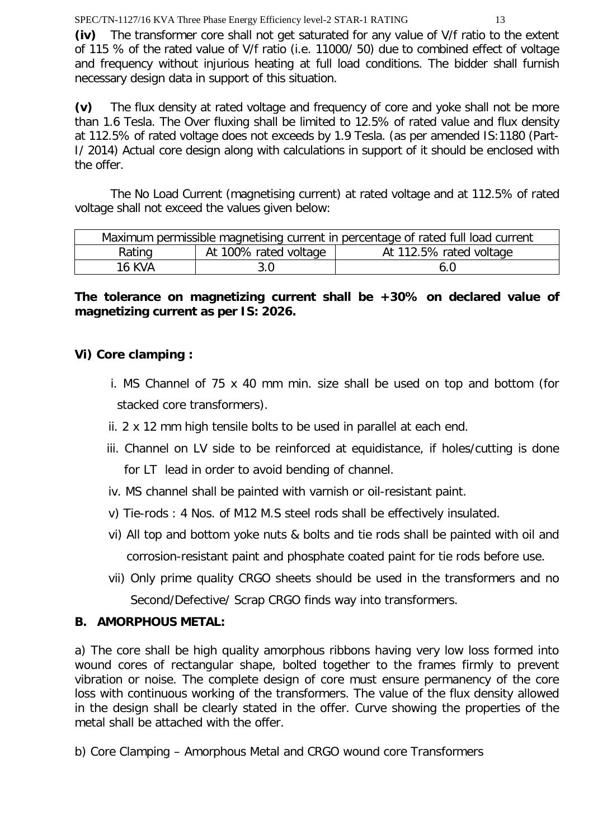**(iv)** The transformer core shall not get saturated for any value of V/f ratio to the extent of 115 % of the rated value of V/f ratio (i.e. 11000/ 50) due to combined effect of voltage and frequency without injurious heating at full load conditions. The bidder shall furnish necessary design data in support of this situation.

**(v)** The flux density at rated voltage and frequency of core and yoke shall not be more than 1.6 Tesla. The Over fluxing shall be limited to 12.5% of rated value and flux density at 112.5% of rated voltage does not exceeds by 1.9 Tesla. (as per amended IS:1180 (Part-I/ 2014) Actual core design along with calculations in support of it should be enclosed with the offer.

The No Load Current (magnetising current) at rated voltage and at 112.5% of rated voltage shall not exceed the values given below:

| Maximum permissible magnetising current in percentage of rated full load current |                       |                         |  |
|----------------------------------------------------------------------------------|-----------------------|-------------------------|--|
| Rating                                                                           | At 100% rated voltage | At 112.5% rated voltage |  |
| 16 KVA                                                                           |                       | 6.0                     |  |

# **The tolerance on magnetizing current shall be +30% on declared value of magnetizing current as per IS: 2026.**

# **Vi) Core clamping :**

- i. MS Channel of 75 x 40 mm min. size shall be used on top and bottom (for stacked core transformers).
- ii. 2 x 12 mm high tensile bolts to be used in parallel at each end.
- iii. Channel on LV side to be reinforced at equidistance, if holes/cutting is done for LT lead in order to avoid bending of channel.
- iv. MS channel shall be painted with varnish or oil-resistant paint.
- v) Tie-rods : 4 Nos. of M12 M.S steel rods shall be effectively insulated.
- vi) All top and bottom yoke nuts & bolts and tie rods shall be painted with oil and corrosion-resistant paint and phosphate coated paint for tie rods before use.
- vii) Only prime quality CRGO sheets should be used in the transformers and no Second/Defective/ Scrap CRGO finds way into transformers.

# **B. AMORPHOUS METAL:**

a) The core shall be high quality amorphous ribbons having very low loss formed into wound cores of rectangular shape, bolted together to the frames firmly to prevent vibration or noise. The complete design of core must ensure permanency of the core loss with continuous working of the transformers. The value of the flux density allowed in the design shall be clearly stated in the offer. Curve showing the properties of the metal shall be attached with the offer.

b) Core Clamping – Amorphous Metal and CRGO wound core Transformers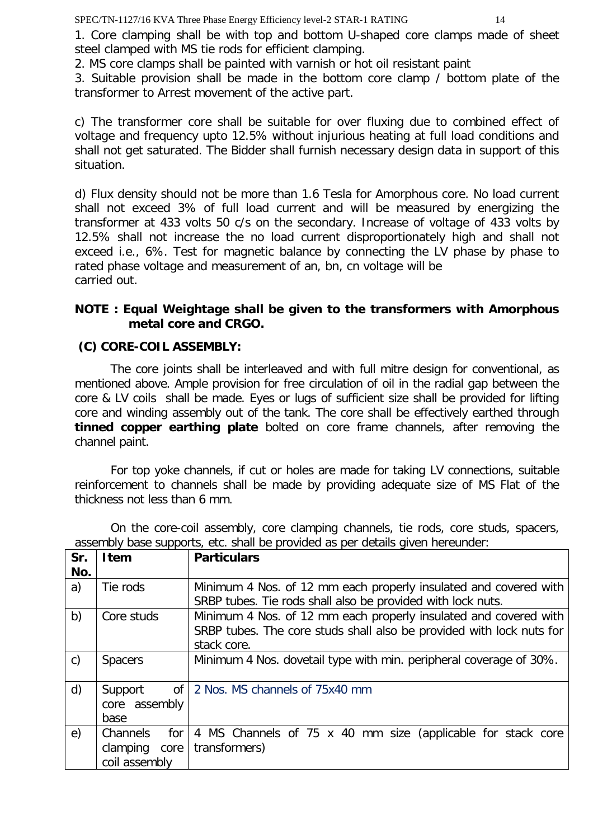1. Core clamping shall be with top and bottom U-shaped core clamps made of sheet steel clamped with MS tie rods for efficient clamping.

2. MS core clamps shall be painted with varnish or hot oil resistant paint

3. Suitable provision shall be made in the bottom core clamp / bottom plate of the transformer to Arrest movement of the active part.

c) The transformer core shall be suitable for over fluxing due to combined effect of voltage and frequency upto 12.5% without injurious heating at full load conditions and shall not get saturated. The Bidder shall furnish necessary design data in support of this situation.

d) Flux density should not be more than 1.6 Tesla for Amorphous core. No load current shall not exceed 3% of full load current and will be measured by energizing the transformer at 433 volts 50 c/s on the secondary. Increase of voltage of 433 volts by 12.5% shall not increase the no load current disproportionately high and shall not exceed i.e., 6%. Test for magnetic balance by connecting the LV phase by phase to rated phase voltage and measurement of an, bn, cn voltage will be carried out.

# **NOTE : Equal Weightage shall be given to the transformers with Amorphous metal core and CRGO.**

# **(C) CORE-COIL ASSEMBLY:**

The core joints shall be interleaved and with full mitre design for conventional, as mentioned above. Ample provision for free circulation of oil in the radial gap between the core & LV coils shall be made. Eyes or lugs of sufficient size shall be provided for lifting core and winding assembly out of the tank. The core shall be effectively earthed through **tinned copper earthing plate** bolted on core frame channels, after removing the channel paint.

For top yoke channels, if cut or holes are made for taking LV connections, suitable reinforcement to channels shall be made by providing adequate size of MS Flat of the thickness not less than 6 mm.

On the core-coil assembly, core clamping channels, tie rods, core studs, spacers, assembly base supports, etc. shall be provided as per details given hereunder:

| Sr.          | <b>Item</b>              | <b>Particulars</b>                                                                                                              |
|--------------|--------------------------|---------------------------------------------------------------------------------------------------------------------------------|
| No.          |                          |                                                                                                                                 |
| a)           | Tie rods                 | Minimum 4 Nos. of 12 mm each properly insulated and covered with<br>SRBP tubes. Tie rods shall also be provided with lock nuts. |
| b)           | Core studs               | Minimum 4 Nos. of 12 mm each properly insulated and covered with                                                                |
|              |                          | SRBP tubes. The core studs shall also be provided with lock nuts for                                                            |
|              |                          | stack core.                                                                                                                     |
| $\mathsf{C}$ | <b>Spacers</b>           | Minimum 4 Nos. dovetail type with min. peripheral coverage of 30%.                                                              |
| d)           | $\mathsf{of}$<br>Support | 2 Nos. MS channels of 75x40 mm                                                                                                  |
|              | core assembly            |                                                                                                                                 |
|              | base                     |                                                                                                                                 |
| e)           | Channels<br>for          | 4 MS Channels of 75 x 40 mm size (applicable for stack core                                                                     |
|              | clamping<br>core         | transformers)                                                                                                                   |
|              | coil assembly            |                                                                                                                                 |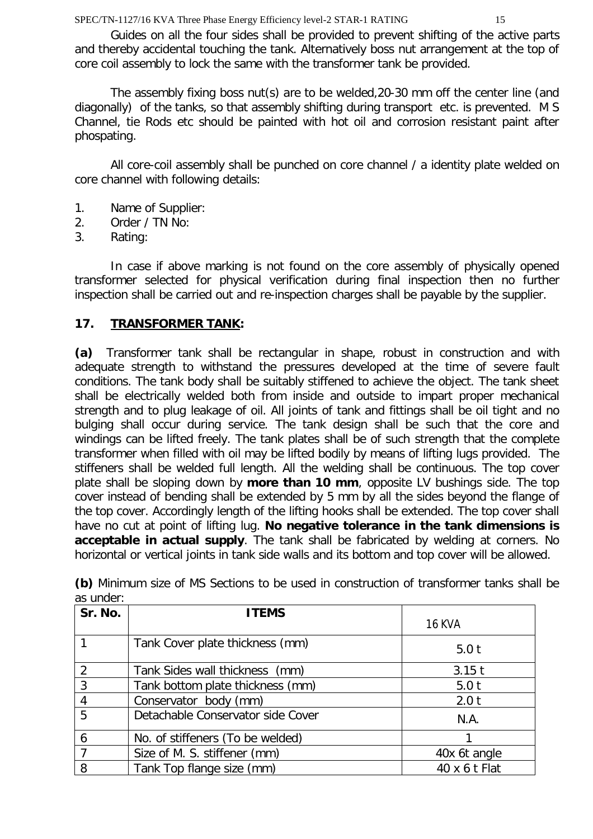Guides on all the four sides shall be provided to prevent shifting of the active parts and thereby accidental touching the tank. Alternatively boss nut arrangement at the top of core coil assembly to lock the same with the transformer tank be provided.

The assembly fixing boss nut(s) are to be welded,20-30 mm off the center line (and diagonally) of the tanks, so that assembly shifting during transport etc. is prevented. M S Channel, tie Rods etc should be painted with hot oil and corrosion resistant paint after phospating.

All core-coil assembly shall be punched on core channel / a identity plate welded on core channel with following details:

- 1. Name of Supplier:
- 2. Order / TN No:
- 3. Rating:

In case if above marking is not found on the core assembly of physically opened transformer selected for physical verification during final inspection then no further inspection shall be carried out and re-inspection charges shall be payable by the supplier.

# **17. TRANSFORMER TANK:**

**(a)** Transformer tank shall be rectangular in shape, robust in construction and with adequate strength to withstand the pressures developed at the time of severe fault conditions. The tank body shall be suitably stiffened to achieve the object. The tank sheet shall be electrically welded both from inside and outside to impart proper mechanical strength and to plug leakage of oil. All joints of tank and fittings shall be oil tight and no bulging shall occur during service. The tank design shall be such that the core and windings can be lifted freely. The tank plates shall be of such strength that the complete transformer when filled with oil may be lifted bodily by means of lifting lugs provided. The stiffeners shall be welded full length. All the welding shall be continuous. The top cover plate shall be sloping down by **more than 10 mm**, opposite LV bushings side. The top cover instead of bending shall be extended by 5 mm by all the sides beyond the flange of the top cover. Accordingly length of the lifting hooks shall be extended. The top cover shall have no cut at point of lifting lug. **No negative tolerance in the tank dimensions is acceptable in actual supply**. The tank shall be fabricated by welding at corners. No horizontal or vertical joints in tank side walls and its bottom and top cover will be allowed.

| Sr. No. | <b>ITEMS</b>                      | <b>16 KVA</b> |
|---------|-----------------------------------|---------------|
|         | Tank Cover plate thickness (mm)   | 5.0t          |
| 2       | Tank Sides wall thickness (mm)    | $3.15$ t      |
| 3       | Tank bottom plate thickness (mm)  | 5.0t          |
| 4       | Conservator body (mm)             | 2.0 t         |
| 5       | Detachable Conservator side Cover | N.A.          |
| 6       | No. of stiffeners (To be welded)  |               |
|         | Size of M. S. stiffener (mm)      | 40x 6t angle  |
| 8       | Tank Top flange size (mm)         | 40 x 6 t Flat |

**(b)** Minimum size of MS Sections to be used in construction of transformer tanks shall be as under: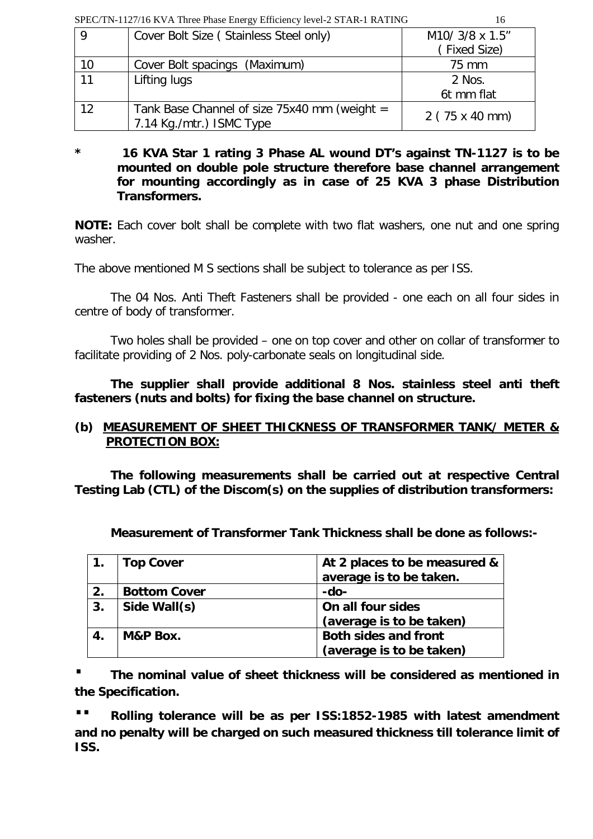| SPEC/TN-1127/16 KVA Three Phase Energy Efficiency level-2 STAR-1 RATING |                                                                          |                              |
|-------------------------------------------------------------------------|--------------------------------------------------------------------------|------------------------------|
| - 9                                                                     | Cover Bolt Size (Stainless Steel only)                                   | M10/ 3/8 x 1.5"              |
|                                                                         |                                                                          | (Fixed Size)                 |
| 10                                                                      | Cover Bolt spacings (Maximum)                                            | 75 mm                        |
| 11                                                                      | Lifting lugs                                                             | 2 Nos.                       |
|                                                                         |                                                                          | 6t mm flat                   |
| 12                                                                      | Tank Base Channel of size 75x40 mm (weight =<br>7.14 Kg./mtr.) ISMC Type | $2(75 \times 40 \text{ mm})$ |

#### **\* 16 KVA Star 1 rating 3 Phase AL wound DT's against TN-1127 is to be mounted on double pole structure therefore base channel arrangement for mounting accordingly as in case of 25 KVA 3 phase Distribution Transformers.**

**NOTE:** Each cover bolt shall be complete with two flat washers, one nut and one spring washer.

The above mentioned M S sections shall be subject to tolerance as per ISS.

The 04 Nos. Anti Theft Fasteners shall be provided - one each on all four sides in centre of body of transformer.

Two holes shall be provided – one on top cover and other on collar of transformer to facilitate providing of 2 Nos. poly-carbonate seals on longitudinal side.

**The supplier shall provide additional 8 Nos. stainless steel anti theft fasteners (nuts and bolts) for fixing the base channel on structure.**

# **(b) MEASUREMENT OF SHEET THICKNESS OF TRANSFORMER TANK/ METER & PROTECTION BOX:**

**The following measurements shall be carried out at respective Central Testing Lab (CTL) of the Discom(s) on the supplies of distribution transformers:** 

**Measurement of Transformer Tank Thickness shall be done as follows:-**

|    | <b>Top Cover</b>    | At 2 places to be measured &<br>average is to be taken. |
|----|---------------------|---------------------------------------------------------|
| 2. | <b>Bottom Cover</b> | -do-                                                    |
| 3. | Side Wall(s)        | On all four sides                                       |
|    |                     | (average is to be taken)                                |
| 4. | M&P Box.            | <b>Both sides and front</b>                             |
|    |                     | (average is to be taken)                                |

**· The nominal value of sheet thickness will be considered as mentioned in the Specification.** 

**·· Rolling tolerance will be as per ISS:1852-1985 with latest amendment and no penalty will be charged on such measured thickness till tolerance limit of ISS.**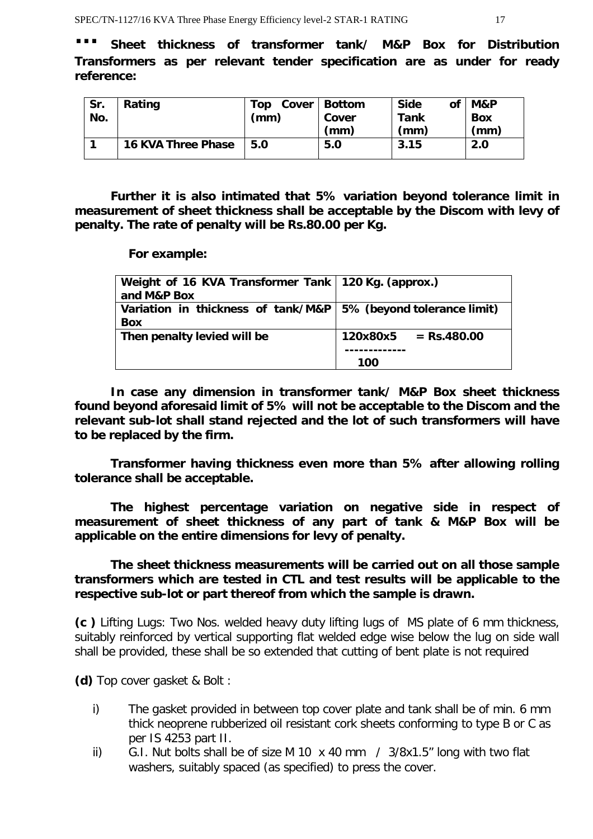Sheet thickness of transformer tank/ M&P Box for Distribution **Transformers as per relevant tender specification are as under for ready reference:**

| Sr.<br>No. | Rating                    | Top<br>(mm) | Cover   Bottom<br>Cover<br>(mm) | <b>Side</b><br>Οf<br>Tank<br>(mm) | M&P<br><b>Box</b><br>(mm) |
|------------|---------------------------|-------------|---------------------------------|-----------------------------------|---------------------------|
|            | <b>16 KVA Three Phase</b> | 5.0         | 5.0                             | 3.15                              | 2.0                       |

**Further it is also intimated that 5% variation beyond tolerance limit in measurement of sheet thickness shall be acceptable by the Discom with levy of penalty. The rate of penalty will be Rs.80.00 per Kg.** 

**For example:**

| Weight of 16 KVA Transformer Tank   120 Kg. (approx.)<br>and M&P Box           |                        |
|--------------------------------------------------------------------------------|------------------------|
| Variation in thickness of tank/M&P   5% (beyond tolerance limit)<br><b>Box</b> |                        |
| Then penalty levied will be                                                    | $120x80x5 = Rs.480.00$ |
|                                                                                | 100                    |

**In case any dimension in transformer tank/ M&P Box sheet thickness found beyond aforesaid limit of 5% will not be acceptable to the Discom and the relevant sub-lot shall stand rejected and the lot of such transformers will have to be replaced by the firm.**

**Transformer having thickness even more than 5% after allowing rolling tolerance shall be acceptable.** 

**The highest percentage variation on negative side in respect of measurement of sheet thickness of any part of tank & M&P Box will be applicable on the entire dimensions for levy of penalty.** 

**The sheet thickness measurements will be carried out on all those sample transformers which are tested in CTL and test results will be applicable to the respective sub-lot or part thereof from which the sample is drawn.**

**(c )** Lifting Lugs: Two Nos. welded heavy duty lifting lugs of MS plate of 6 mm thickness, suitably reinforced by vertical supporting flat welded edge wise below the lug on side wall shall be provided, these shall be so extended that cutting of bent plate is not required

**(d)** Top cover gasket & Bolt :

- i) The gasket provided in between top cover plate and tank shall be of min. 6 mm thick neoprene rubberized oil resistant cork sheets conforming to type B or C as per IS 4253 part II.
- ii) G.I. Nut bolts shall be of size M 10 x 40 mm / 3/8x1.5" long with two flat washers, suitably spaced (as specified) to press the cover.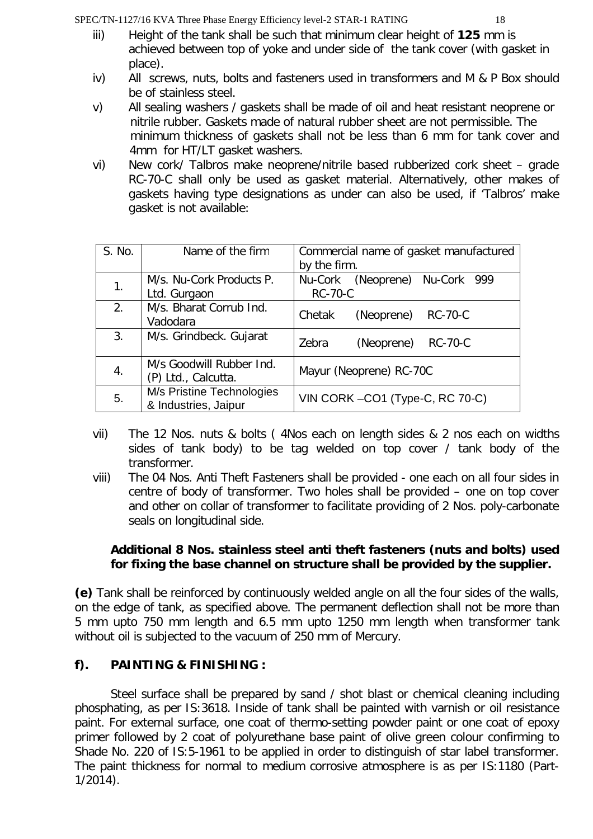- iii) Height of the tank shall be such that minimum clear height of **125** mm is
- achieved between top of yoke and under side of the tank cover (with gasket in place).
- iv) All screws, nuts, bolts and fasteners used in transformers and M & P Box should be of stainless steel.
- v) All sealing washers / gaskets shall be made of oil and heat resistant neoprene or nitrile rubber. Gaskets made of natural rubber sheet are not permissible. The minimum thickness of gaskets shall not be less than 6 mm for tank cover and 4mm for HT/LT gasket washers.
- vi) New cork/ Talbros make neoprene/nitrile based rubberized cork sheet grade RC-70-C shall only be used as gasket material. Alternatively, other makes of gaskets having type designations as under can also be used, if 'Talbros' make gasket is not available:

| S. No. | Name of the firm          | Commercial name of gasket manufactured |                        |                |  |
|--------|---------------------------|----------------------------------------|------------------------|----------------|--|
|        |                           | by the firm.                           |                        |                |  |
|        | M/s. Nu-Cork Products P.  | Nu-Cork                                | (Neoprene) Nu-Cork 999 |                |  |
| 1.     | Ltd. Gurgaon              | <b>RC-70-C</b>                         |                        |                |  |
| 2.     | M/s. Bharat Corrub Ind.   |                                        |                        |                |  |
|        | Vadodara                  | Chetak                                 | (Neoprene)             | <b>RC-70-C</b> |  |
| 3.     | M/s. Grindbeck. Gujarat   | Zebra                                  | (Neoprene)             | <b>RC-70-C</b> |  |
|        |                           |                                        |                        |                |  |
|        | M/s Goodwill Rubber Ind.  | Mayur (Neoprene) RC-70C                |                        |                |  |
| 4.     | (P) Ltd., Calcutta.       |                                        |                        |                |  |
| 5.     | M/s Pristine Technologies |                                        |                        |                |  |
|        | & Industries, Jaipur      | VIN CORK-CO1 (Type-C, RC 70-C)         |                        |                |  |

- vii) The 12 Nos. nuts & bolts ( 4Nos each on length sides & 2 nos each on widths sides of tank body) to be tag welded on top cover / tank body of the transformer.
- viii) The 04 Nos. Anti Theft Fasteners shall be provided one each on all four sides in centre of body of transformer. Two holes shall be provided – one on top cover and other on collar of transformer to facilitate providing of 2 Nos. poly-carbonate seals on longitudinal side.

# **Additional 8 Nos. stainless steel anti theft fasteners (nuts and bolts) used for fixing the base channel on structure shall be provided by the supplier.**

**(e)** Tank shall be reinforced by continuously welded angle on all the four sides of the walls, on the edge of tank, as specified above. The permanent deflection shall not be more than 5 mm upto 750 mm length and 6.5 mm upto 1250 mm length when transformer tank without oil is subjected to the vacuum of 250 mm of Mercury.

# **f). PAINTING & FINISHING :**

Steel surface shall be prepared by sand / shot blast or chemical cleaning including phosphating, as per IS:3618. Inside of tank shall be painted with varnish or oil resistance paint. For external surface, one coat of thermo-setting powder paint or one coat of epoxy primer followed by 2 coat of polyurethane base paint of olive green colour confirming to Shade No. 220 of IS:5-1961 to be applied in order to distinguish of star label transformer. The paint thickness for normal to medium corrosive atmosphere is as per IS:1180 (Part-1/2014).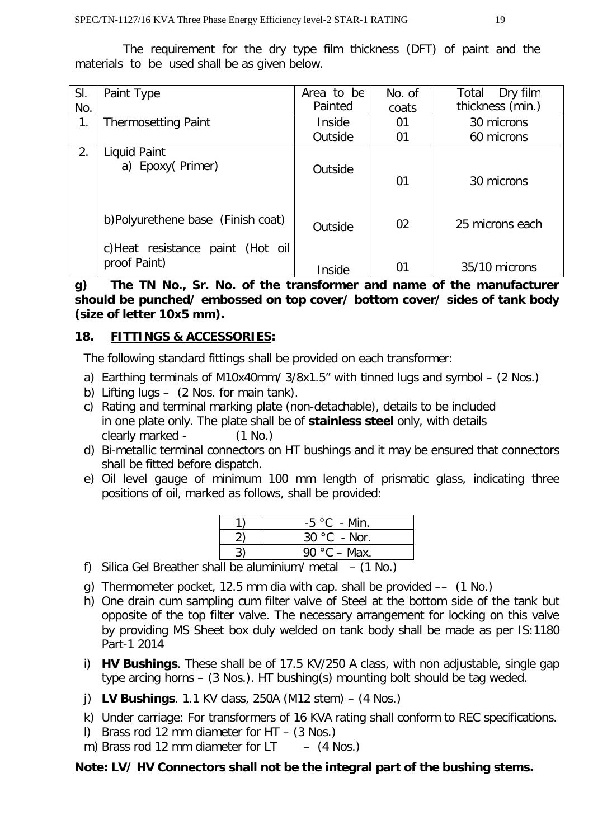The requirement for the dry type film thickness (DFT) of paint and the materials to be used shall be as given below.

| SI.<br>No. | Paint Type                                                            | Area to be<br>Painted | No. of<br>coats | Dry film<br>Total<br>thickness (min.) |
|------------|-----------------------------------------------------------------------|-----------------------|-----------------|---------------------------------------|
| 1.         | <b>Thermosetting Paint</b>                                            | Inside                | 01              | 30 microns                            |
|            |                                                                       | Outside               | 01              | 60 microns                            |
| 2.         | Liquid Paint<br>a) Epoxy(Primer)                                      | Outside               | 01              | 30 microns                            |
|            | b)Polyurethene base (Finish coat)<br>c)Heat resistance paint (Hot oil | Outside               | 02              | 25 microns each                       |
|            | proof Paint)                                                          | Inside                | 01              | 35/10 microns                         |

**g) The TN No., Sr. No. of the transformer and name of the manufacturer should be punched/ embossed on top cover/ bottom cover/ sides of tank body (size of letter 10x5 mm).** 

# **18. FITTINGS & ACCESSORIES:**

The following standard fittings shall be provided on each transformer:

- a) Earthing terminals of M10x40mm/ 3/8x1.5" with tinned lugs and symbol (2 Nos.)
- b) Lifting lugs (2 Nos. for main tank).
- c) Rating and terminal marking plate (non-detachable), details to be included in one plate only. The plate shall be of **stainless steel** only, with details clearly marked - (1 No.)
- d) Bi-metallic terminal connectors on HT bushings and it may be ensured that connectors shall be fitted before dispatch.
- e) Oil level gauge of minimum 100 mm length of prismatic glass, indicating three positions of oil, marked as follows, shall be provided:

| $-5 °C - Min$ . |
|-----------------|
| $30 °C$ - Nor.  |
| 90 °C – Max.    |

- f) Silica Gel Breather shall be aluminium/ metal  $-$  (1 No.)
- g) Thermometer pocket, 12.5 mm dia with cap. shall be provided –– (1 No.)
- h) One drain cum sampling cum filter valve of Steel at the bottom side of the tank but opposite of the top filter valve. The necessary arrangement for locking on this valve by providing MS Sheet box duly welded on tank body shall be made as per IS:1180 Part-1 2014
- i) **HV Bushings**. These shall be of 17.5 KV/250 A class, with non adjustable, single gap type arcing horns – (3 Nos.). HT bushing(s) mounting bolt should be tag weded.
- j) **LV Bushings**. 1.1 KV class, 250A (M12 stem) (4 Nos.)
- k) Under carriage: For transformers of 16 KVA rating shall conform to REC specifications.
- l) Brass rod 12 mm diameter for HT (3 Nos.)
- m) Brass rod 12 mm diameter for  $LT (4$  Nos.)

# **Note: LV/ HV Connectors shall not be the integral part of the bushing stems.**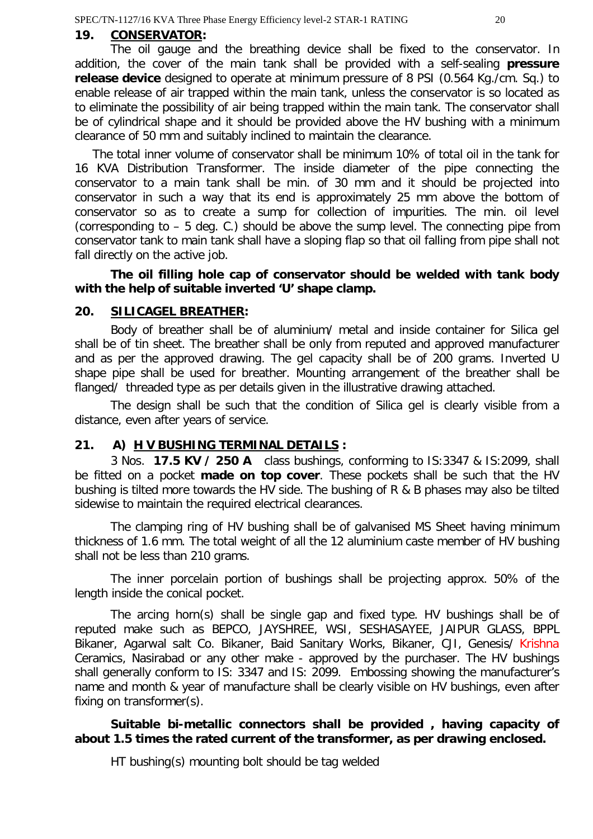#### **19. CONSERVATOR:**

The oil gauge and the breathing device shall be fixed to the conservator. In addition, the cover of the main tank shall be provided with a self-sealing **pressure release device** designed to operate at minimum pressure of 8 PSI (0.564 Kg./cm. Sq.) to enable release of air trapped within the main tank, unless the conservator is so located as to eliminate the possibility of air being trapped within the main tank. The conservator shall be of cylindrical shape and it should be provided above the HV bushing with a minimum clearance of 50 mm and suitably inclined to maintain the clearance.

The total inner volume of conservator shall be minimum 10% of total oil in the tank for 16 KVA Distribution Transformer. The inside diameter of the pipe connecting the conservator to a main tank shall be min. of 30 mm and it should be projected into conservator in such a way that its end is approximately 25 mm above the bottom of conservator so as to create a sump for collection of impurities. The min. oil level (corresponding to – 5 deg. C.) should be above the sump level. The connecting pipe from conservator tank to main tank shall have a sloping flap so that oil falling from pipe shall not fall directly on the active job.

**The oil filling hole cap of conservator should be welded with tank body with the help of suitable inverted 'U' shape clamp.**

#### **20. SILICAGEL BREATHER:**

Body of breather shall be of aluminium/ metal and inside container for Silica gel shall be of tin sheet. The breather shall be only from reputed and approved manufacturer and as per the approved drawing. The gel capacity shall be of 200 grams. Inverted U shape pipe shall be used for breather. Mounting arrangement of the breather shall be flanged/ threaded type as per details given in the illustrative drawing attached.

The design shall be such that the condition of Silica gel is clearly visible from a distance, even after years of service.

#### **21. A) H V BUSHING TERMINAL DETAILS :**

3 Nos. **17.5 KV / 250 A** class bushings, conforming to IS:3347 & IS:2099, shall be fitted on a pocket **made on top cover**. These pockets shall be such that the HV bushing is tilted more towards the HV side. The bushing of R & B phases may also be tilted sidewise to maintain the required electrical clearances.

The clamping ring of HV bushing shall be of galvanised MS Sheet having minimum thickness of 1.6 mm. The total weight of all the 12 aluminium caste member of HV bushing shall not be less than 210 grams.

The inner porcelain portion of bushings shall be projecting approx. 50% of the length inside the conical pocket.

The arcing horn(s) shall be single gap and fixed type. HV bushings shall be of reputed make such as BEPCO, JAYSHREE, WSI, SESHASAYEE, JAIPUR GLASS, BPPL Bikaner, Agarwal salt Co. Bikaner, Baid Sanitary Works, Bikaner, CJI, Genesis/ Krishna Ceramics, Nasirabad or any other make - approved by the purchaser. The HV bushings shall generally conform to IS: 3347 and IS: 2099. Embossing showing the manufacturer's name and month & year of manufacture shall be clearly visible on HV bushings, even after fixing on transformer(s).

#### **Suitable bi-metallic connectors shall be provided , having capacity of about 1.5 times the rated current of the transformer, as per drawing enclosed.**

HT bushing(s) mounting bolt should be tag welded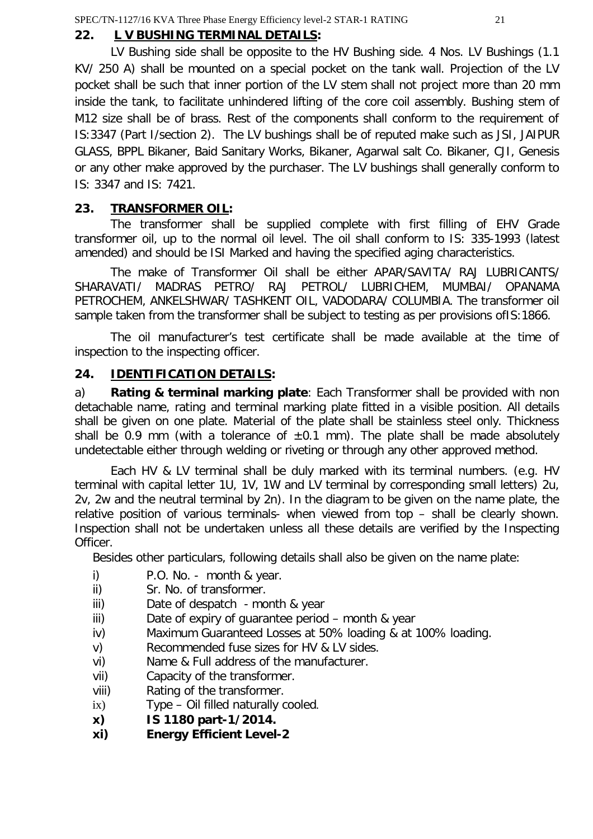# **22. L V BUSHING TERMINAL DETAILS:**

 LV Bushing side shall be opposite to the HV Bushing side. 4 Nos. LV Bushings (1.1 KV/ 250 A) shall be mounted on a special pocket on the tank wall. Projection of the LV pocket shall be such that inner portion of the LV stem shall not project more than 20 mm inside the tank, to facilitate unhindered lifting of the core coil assembly. Bushing stem of M12 size shall be of brass. Rest of the components shall conform to the requirement of IS:3347 (Part I/section 2). The LV bushings shall be of reputed make such as JSI, JAIPUR GLASS, BPPL Bikaner, Baid Sanitary Works, Bikaner, Agarwal salt Co. Bikaner, CJI, Genesis or any other make approved by the purchaser. The LV bushings shall generally conform to IS: 3347 and IS: 7421.

# **23. TRANSFORMER OIL:**

The transformer shall be supplied complete with first filling of EHV Grade transformer oil, up to the normal oil level. The oil shall conform to IS: 335-1993 (latest amended) and should be ISI Marked and having the specified aging characteristics.

The make of Transformer Oil shall be either APAR/SAVITA/ RAJ LUBRICANTS/ SHARAVATI/ MADRAS PETRO/ RAJ PETROL/ LUBRICHEM, MUMBAI/ OPANAMA PETROCHEM, ANKELSHWAR/ TASHKENT OIL, VADODARA/ COLUMBIA. The transformer oil sample taken from the transformer shall be subject to testing as per provisions ofIS:1866.

The oil manufacturer's test certificate shall be made available at the time of inspection to the inspecting officer.

# **24. IDENTIFICATION DETAILS:**

a) **Rating & terminal marking plate**: Each Transformer shall be provided with non detachable name, rating and terminal marking plate fitted in a visible position. All details shall be given on one plate. Material of the plate shall be stainless steel only. Thickness shall be 0.9 mm (with a tolerance of  $\pm 0.1$  mm). The plate shall be made absolutely undetectable either through welding or riveting or through any other approved method.

Each HV & LV terminal shall be duly marked with its terminal numbers. (e.g. HV terminal with capital letter 1U, 1V, 1W and LV terminal by corresponding small letters) 2u, 2v, 2w and the neutral terminal by 2n). In the diagram to be given on the name plate, the relative position of various terminals- when viewed from top – shall be clearly shown. Inspection shall not be undertaken unless all these details are verified by the Inspecting Officer.

Besides other particulars, following details shall also be given on the name plate:

- i) P.O. No. month & year.
- ii) Sr. No. of transformer.
- iii) Date of despatch month & year
- iii) Date of expiry of guarantee period month & year
- iv) Maximum Guaranteed Losses at 50% loading & at 100% loading.
- v) Recommended fuse sizes for HV & LV sides.
- vi) Name & Full address of the manufacturer.
- vii) Capacity of the transformer.
- viii) Rating of the transformer.
- ix) Type Oil filled naturally cooled.
- **x) IS 1180 part-1/2014.**
- **xi) Energy Efficient Level-2**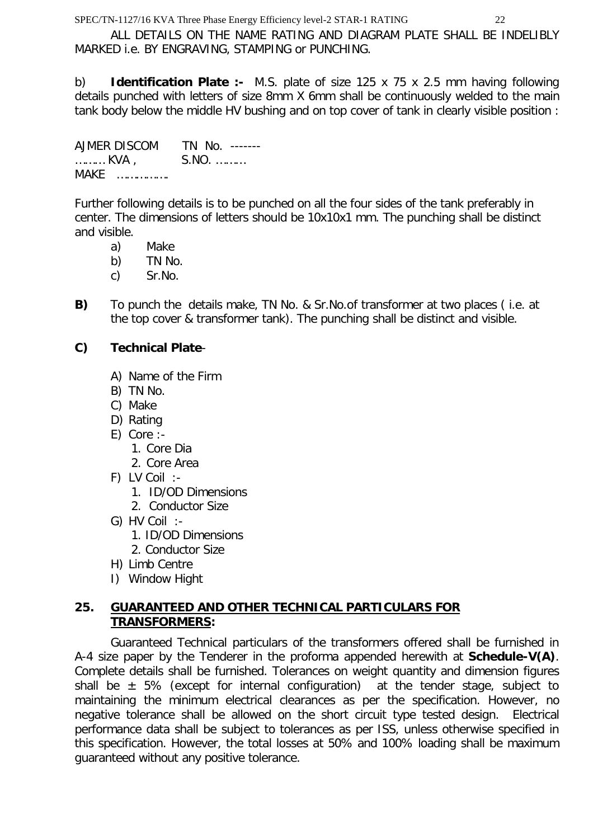ALL DETAILS ON THE NAME RATING AND DIAGRAM PLATE SHALL BE INDELIBLY MARKED i.e. BY ENGRAVING, STAMPING or PUNCHING.

b) **Identification Plate :-** M.S. plate of size 125 x 75 x 2.5 mm having following details punched with letters of size 8mm X 6mm shall be continuously welded to the main tank body below the middle HV bushing and on top cover of tank in clearly visible position :

AJMER DISCOM TN No. ------- ……… KVA , S.NO. ……… MAKE …………….

Further following details is to be punched on all the four sides of the tank preferably in center. The dimensions of letters should be 10x10x1 mm. The punching shall be distinct and visible.

- a) Make
- b) TN No.
- c) Sr.No.
- **B)** To punch the details make, TN No. & Sr.No.of transformer at two places ( i.e. at the top cover & transformer tank). The punching shall be distinct and visible.

#### **C) Technical Plate**-

- A) Name of the Firm
- B) TN No.
- C) Make
- D) Rating
- E) Core :-
	- 1. Core Dia
	- 2. Core Area
- F) LV Coil :-
	- 1. ID/OD Dimensions
	- 2. Conductor Size
- G) HV Coil :-
	- 1. ID/OD Dimensions
	- 2. Conductor Size
- H) Limb Centre
- I) Window Hight

# **25. GUARANTEED AND OTHER TECHNICAL PARTICULARS FOR TRANSFORMERS:**

Guaranteed Technical particulars of the transformers offered shall be furnished in A-4 size paper by the Tenderer in the proforma appended herewith at **Schedule-V(A)**. Complete details shall be furnished. Tolerances on weight quantity and dimension figures shall be  $\pm$  5% (except for internal configuration) at the tender stage, subject to maintaining the minimum electrical clearances as per the specification. However, no negative tolerance shall be allowed on the short circuit type tested design. Electrical performance data shall be subject to tolerances as per ISS, unless otherwise specified in this specification. However, the total losses at 50% and 100% loading shall be maximum guaranteed without any positive tolerance.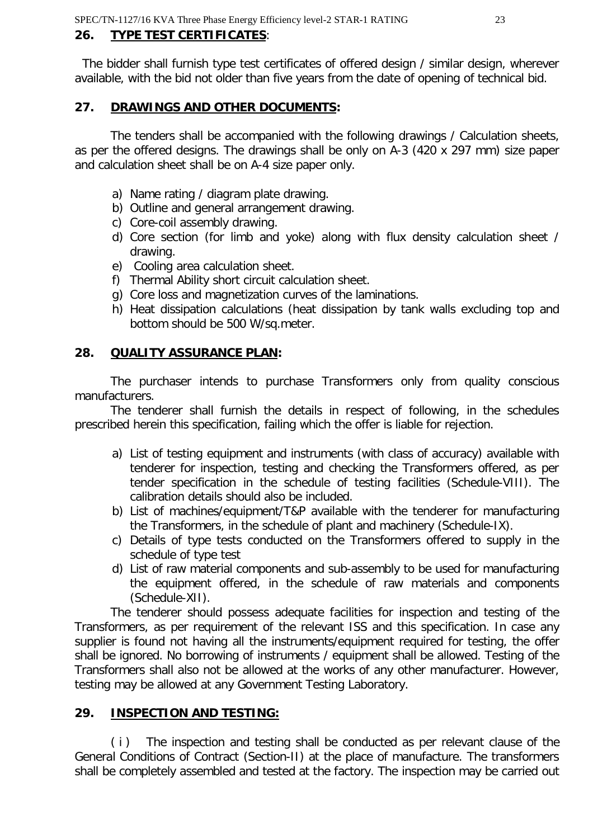# **26. TYPE TEST CERTIFICATES**:

 The bidder shall furnish type test certificates of offered design / similar design, wherever available, with the bid not older than five years from the date of opening of technical bid.

#### **27. DRAWINGS AND OTHER DOCUMENTS:**

The tenders shall be accompanied with the following drawings / Calculation sheets, as per the offered designs. The drawings shall be only on A-3 (420 x 297 mm) size paper and calculation sheet shall be on A-4 size paper only.

- a) Name rating / diagram plate drawing.
- b) Outline and general arrangement drawing.
- c) Core-coil assembly drawing.
- d) Core section (for limb and yoke) along with flux density calculation sheet / drawing.
- e) Cooling area calculation sheet.
- f) Thermal Ability short circuit calculation sheet.
- g) Core loss and magnetization curves of the laminations.
- h) Heat dissipation calculations (heat dissipation by tank walls excluding top and bottom should be 500 W/sq.meter.

# **28. QUALITY ASSURANCE PLAN:**

The purchaser intends to purchase Transformers only from quality conscious manufacturers.

The tenderer shall furnish the details in respect of following, in the schedules prescribed herein this specification, failing which the offer is liable for rejection.

- a) List of testing equipment and instruments (with class of accuracy) available with tenderer for inspection, testing and checking the Transformers offered, as per tender specification in the schedule of testing facilities (Schedule-VIII). The calibration details should also be included.
- b) List of machines/equipment/T&P available with the tenderer for manufacturing the Transformers, in the schedule of plant and machinery (Schedule-IX).
- c) Details of type tests conducted on the Transformers offered to supply in the schedule of type test
- d) List of raw material components and sub-assembly to be used for manufacturing the equipment offered, in the schedule of raw materials and components (Schedule-XII).

The tenderer should possess adequate facilities for inspection and testing of the Transformers, as per requirement of the relevant ISS and this specification. In case any supplier is found not having all the instruments/equipment required for testing, the offer shall be ignored. No borrowing of instruments / equipment shall be allowed. Testing of the Transformers shall also not be allowed at the works of any other manufacturer. However, testing may be allowed at any Government Testing Laboratory.

# **29. INSPECTION AND TESTING:**

( i ) The inspection and testing shall be conducted as per relevant clause of the General Conditions of Contract (Section-II) at the place of manufacture. The transformers shall be completely assembled and tested at the factory. The inspection may be carried out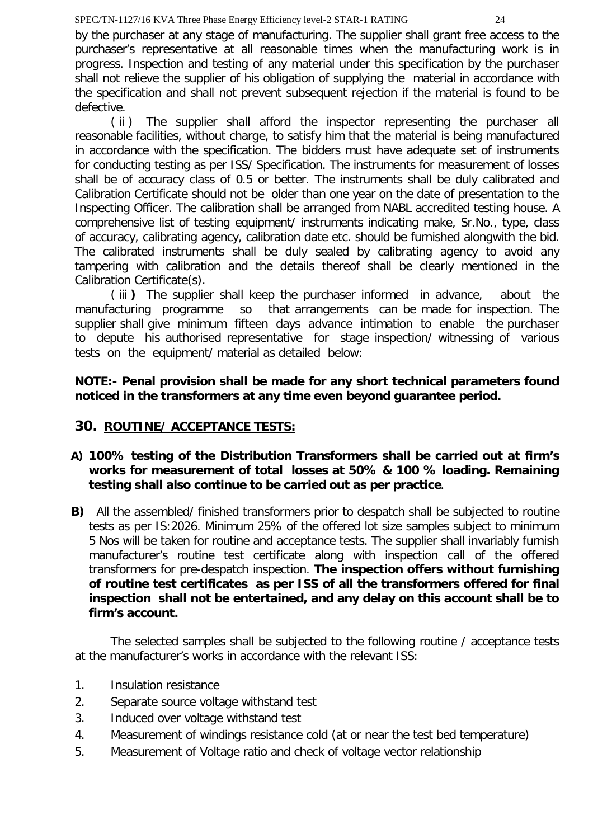by the purchaser at any stage of manufacturing. The supplier shall grant free access to the purchaser's representative at all reasonable times when the manufacturing work is in progress. Inspection and testing of any material under this specification by the purchaser shall not relieve the supplier of his obligation of supplying the material in accordance with the specification and shall not prevent subsequent rejection if the material is found to be defective.

( ii ) The supplier shall afford the inspector representing the purchaser all reasonable facilities, without charge, to satisfy him that the material is being manufactured in accordance with the specification. The bidders must have adequate set of instruments for conducting testing as per ISS/ Specification. The instruments for measurement of losses shall be of accuracy class of 0.5 or better. The instruments shall be duly calibrated and Calibration Certificate should not be older than one year on the date of presentation to the Inspecting Officer. The calibration shall be arranged from NABL accredited testing house. A comprehensive list of testing equipment/ instruments indicating make, Sr.No., type, class of accuracy, calibrating agency, calibration date etc. should be furnished alongwith the bid. The calibrated instruments shall be duly sealed by calibrating agency to avoid any tampering with calibration and the details thereof shall be clearly mentioned in the Calibration Certificate(s).

( iii **)** The supplier shall keep the purchaser informed in advance, about the manufacturing programme so that arrangements can be made for inspection. The supplier shall give minimum fifteen days advance intimation to enable the purchaser to depute his authorised representative for stage inspection/ witnessing of various tests on the equipment/ material as detailed below:

# **NOTE:- Penal provision shall be made for any short technical parameters found noticed in the transformers at any time even beyond guarantee period.**

# **30. ROUTINE/ ACCEPTANCE TESTS:**

- **A) 100% testing of the Distribution Transformers shall be carried out at firm's works for measurement of total losses at 50% & 100 % loading. Remaining testing shall also continue to be carried out as per practice.**
- **B)** All the assembled/ finished transformers prior to despatch shall be subjected to routine tests as per IS:2026. Minimum 25% of the offered lot size samples subject to minimum 5 Nos will be taken for routine and acceptance tests. The supplier shall invariably furnish manufacturer's routine test certificate along with inspection call of the offered transformers for pre-despatch inspection. **The inspection offers without furnishing of routine test certificates as per ISS of all the transformers offered for final inspection shall not be entertained, and any delay on this account shall be to firm's account.**

The selected samples shall be subjected to the following routine / acceptance tests at the manufacturer's works in accordance with the relevant ISS:

- 1. Insulation resistance
- 2. Separate source voltage withstand test
- 3. Induced over voltage withstand test
- 4. Measurement of windings resistance cold (at or near the test bed temperature)
- 5. Measurement of Voltage ratio and check of voltage vector relationship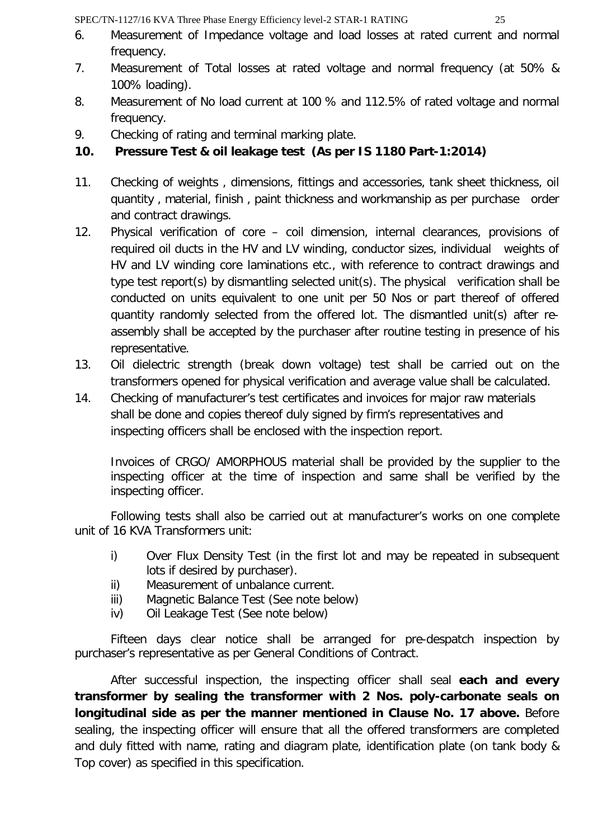- 
- 6. Measurement of Impedance voltage and load losses at rated current and normal frequency.
- 7. Measurement of Total losses at rated voltage and normal frequency (at 50% & 100% loading).
- 8. Measurement of No load current at 100 % and 112.5% of rated voltage and normal frequency.
- 9. Checking of rating and terminal marking plate.

# **10. Pressure Test & oil leakage test (As per IS 1180 Part-1:2014)**

- 11. Checking of weights , dimensions, fittings and accessories, tank sheet thickness, oil quantity , material, finish , paint thickness and workmanship as per purchase order and contract drawings.
- 12. Physical verification of core coil dimension, internal clearances, provisions of required oil ducts in the HV and LV winding, conductor sizes, individual weights of HV and LV winding core laminations etc., with reference to contract drawings and type test report(s) by dismantling selected unit(s). The physical verification shall be conducted on units equivalent to one unit per 50 Nos or part thereof of offered quantity randomly selected from the offered lot. The dismantled unit(s) after reassembly shall be accepted by the purchaser after routine testing in presence of his representative.
- 13. Oil dielectric strength (break down voltage) test shall be carried out on the transformers opened for physical verification and average value shall be calculated.
- 14. Checking of manufacturer's test certificates and invoices for major raw materials shall be done and copies thereof duly signed by firm's representatives and inspecting officers shall be enclosed with the inspection report.

Invoices of CRGO/ AMORPHOUS material shall be provided by the supplier to the inspecting officer at the time of inspection and same shall be verified by the inspecting officer.

Following tests shall also be carried out at manufacturer's works on one complete unit of 16 KVA Transformers unit:

- i) Over Flux Density Test (in the first lot and may be repeated in subsequent lots if desired by purchaser).
- ii) Measurement of unbalance current.
- iii) Magnetic Balance Test (See note below)
- iv) Oil Leakage Test (See note below)

Fifteen days clear notice shall be arranged for pre-despatch inspection by purchaser's representative as per General Conditions of Contract.

After successful inspection, the inspecting officer shall seal **each and every transformer by sealing the transformer with 2 Nos. poly-carbonate seals on longitudinal side as per the manner mentioned in Clause No. 17 above.** Before sealing, the inspecting officer will ensure that all the offered transformers are completed and duly fitted with name, rating and diagram plate, identification plate (on tank body & Top cover) as specified in this specification.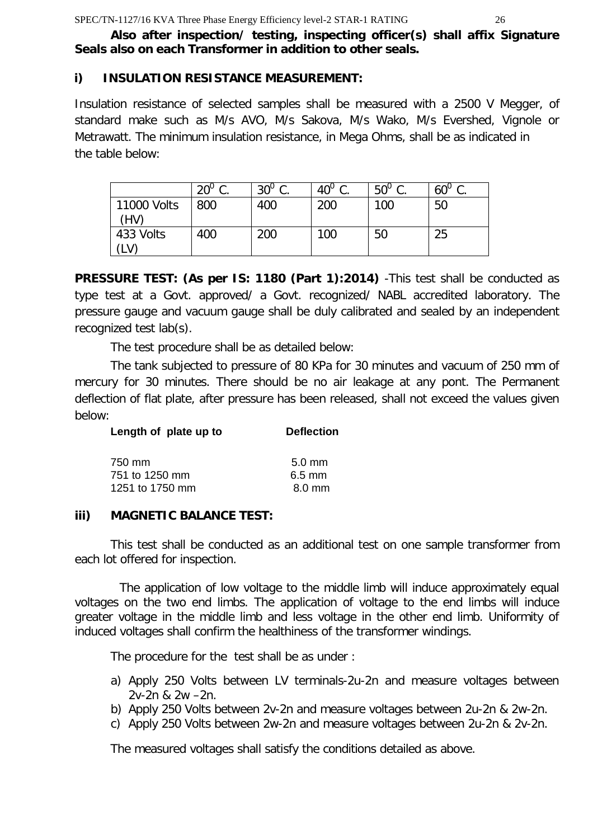# **Also after inspection/ testing, inspecting officer(s) shall affix Signature Seals also on each Transformer in addition to other seals.**

# **i) INSULATION RESISTANCE MEASUREMENT:**

Insulation resistance of selected samples shall be measured with a 2500 V Megger, of standard make such as M/s AVO, M/s Sakova, M/s Wako, M/s Evershed, Vignole or Metrawatt. The minimum insulation resistance, in Mega Ohms, shall be as indicated in the table below:

|                     | $20^0$ C<br>v. | $30^{\circ}$ C<br>J. | $40^{\circ}$ C.<br>J. | $50^{\circ}$ C.<br>J. | $60^{\circ}$ C<br>J. |
|---------------------|----------------|----------------------|-----------------------|-----------------------|----------------------|
| 11000 Volts<br>(HV) | 800            | 400                  | 200                   | 100                   | 50                   |
| 433 Volts<br>(LV)   | 400            | 200                  | 100                   | 50                    | 25                   |

**PRESSURE TEST: (As per IS: 1180 (Part 1):2014)** -This test shall be conducted as type test at a Govt. approved/ a Govt. recognized/ NABL accredited laboratory. The pressure gauge and vacuum gauge shall be duly calibrated and sealed by an independent recognized test lab(s).

The test procedure shall be as detailed below:

The tank subjected to pressure of 80 KPa for 30 minutes and vacuum of 250 mm of mercury for 30 minutes. There should be no air leakage at any pont. The Permanent deflection of flat plate, after pressure has been released, shall not exceed the values given below:

| Length of plate up to | <b>Deflection</b> |
|-----------------------|-------------------|
| 750 mm                | $5.0 \text{ mm}$  |
| 751 to 1250 mm        | $6.5$ mm          |
| 1251 to 1750 mm       | 8.0 mm            |

# **iii) MAGNETIC BALANCE TEST:**

This test shall be conducted as an additional test on one sample transformer from each lot offered for inspection.

 The application of low voltage to the middle limb will induce approximately equal voltages on the two end limbs. The application of voltage to the end limbs will induce greater voltage in the middle limb and less voltage in the other end limb. Uniformity of induced voltages shall confirm the healthiness of the transformer windings.

The procedure for the test shall be as under :

- a) Apply 250 Volts between LV terminals-2u-2n and measure voltages between 2v-2n & 2w –2n.
- b) Apply 250 Volts between 2v-2n and measure voltages between 2u-2n & 2w-2n.
- c) Apply 250 Volts between 2w-2n and measure voltages between 2u-2n & 2v-2n.

The measured voltages shall satisfy the conditions detailed as above.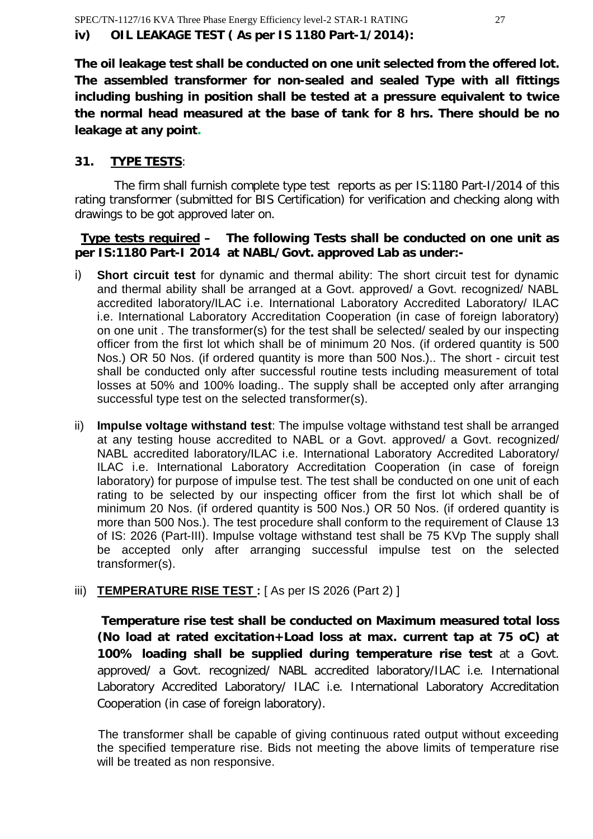**The oil leakage test shall be conducted on one unit selected from the offered lot. The assembled transformer for non-sealed and sealed Type with all fittings including bushing in position shall be tested at a pressure equivalent to twice the normal head measured at the base of tank for 8 hrs. There should be no leakage at any point.**

# **31. TYPE TESTS**:

The firm shall furnish complete type test reports as per IS:1180 Part-I/2014 of this rating transformer (submitted for BIS Certification) for verification and checking along with drawings to be got approved later on.

#### **Type tests required – The following Tests shall be conducted on one unit as per IS:1180 Part-I 2014 at NABL/Govt. approved Lab as under:-**

- i) **Short circuit test** for dynamic and thermal ability: The short circuit test for dynamic and thermal ability shall be arranged at a Govt. approved/ a Govt. recognized/ NABL accredited laboratory/ILAC i.e. International Laboratory Accredited Laboratory/ ILAC i.e. International Laboratory Accreditation Cooperation (in case of foreign laboratory) on one unit . The transformer(s) for the test shall be selected/ sealed by our inspecting officer from the first lot which shall be of minimum 20 Nos. (if ordered quantity is 500 Nos.) OR 50 Nos. (if ordered quantity is more than 500 Nos.).. The short - circuit test shall be conducted only after successful routine tests including measurement of total losses at 50% and 100% loading.. The supply shall be accepted only after arranging successful type test on the selected transformer(s).
- ii) **Impulse voltage withstand test**: The impulse voltage withstand test shall be arranged at any testing house accredited to NABL or a Govt. approved/ a Govt. recognized/ NABL accredited laboratory/ILAC i.e. International Laboratory Accredited Laboratory/ ILAC i.e. International Laboratory Accreditation Cooperation (in case of foreign laboratory) for purpose of impulse test. The test shall be conducted on one unit of each rating to be selected by our inspecting officer from the first lot which shall be of minimum 20 Nos. (if ordered quantity is 500 Nos.) OR 50 Nos. (if ordered quantity is more than 500 Nos.). The test procedure shall conform to the requirement of Clause 13 of IS: 2026 (Part-III). Impulse voltage withstand test shall be 75 KVp The supply shall be accepted only after arranging successful impulse test on the selected transformer(s).

# iii) **TEMPERATURE RISE TEST**: [As per IS 2026 (Part 2)]

 **Temperature rise test shall be conducted on Maximum measured total loss (No load at rated excitation+Load loss at max. current tap at 75 oC) at 100% loading shall be supplied during temperature rise test** at a Govt. approved/ a Govt. recognized/ NABL accredited laboratory/ILAC i.e. International Laboratory Accredited Laboratory/ ILAC i.e. International Laboratory Accreditation Cooperation (in case of foreign laboratory).

The transformer shall be capable of giving continuous rated output without exceeding the specified temperature rise. Bids not meeting the above limits of temperature rise will be treated as non responsive.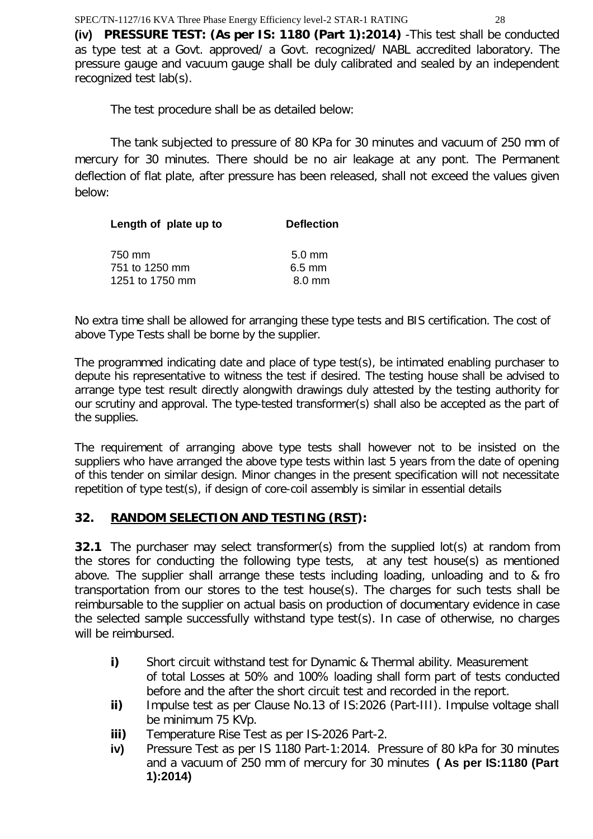**(iv) PRESSURE TEST: (As per IS: 1180 (Part 1):2014)** -This test shall be conducted as type test at a Govt. approved/ a Govt. recognized/ NABL accredited laboratory. The pressure gauge and vacuum gauge shall be duly calibrated and sealed by an independent recognized test lab(s).

The test procedure shall be as detailed below:

The tank subjected to pressure of 80 KPa for 30 minutes and vacuum of 250 mm of mercury for 30 minutes. There should be no air leakage at any pont. The Permanent deflection of flat plate, after pressure has been released, shall not exceed the values given below:

| Length of plate up to | <b>Deflection</b> |
|-----------------------|-------------------|
| 750 mm                | $5.0 \text{ mm}$  |
| 751 to 1250 mm        | $6.5$ mm          |
| 1251 to 1750 mm       | $8.0 \text{ mm}$  |

No extra time shall be allowed for arranging these type tests and BIS certification. The cost of above Type Tests shall be borne by the supplier.

The programmed indicating date and place of type test(s), be intimated enabling purchaser to depute his representative to witness the test if desired. The testing house shall be advised to arrange type test result directly alongwith drawings duly attested by the testing authority for our scrutiny and approval. The type-tested transformer(s) shall also be accepted as the part of the supplies.

The requirement of arranging above type tests shall however not to be insisted on the suppliers who have arranged the above type tests within last 5 years from the date of opening of this tender on similar design. Minor changes in the present specification will not necessitate repetition of type test(s), if design of core-coil assembly is similar in essential details

# **32. RANDOM SELECTION AND TESTING (RST):**

**32.1** The purchaser may select transformer(s) from the supplied lot(s) at random from the stores for conducting the following type tests, at any test house(s) as mentioned above. The supplier shall arrange these tests including loading, unloading and to & fro transportation from our stores to the test house(s). The charges for such tests shall be reimbursable to the supplier on actual basis on production of documentary evidence in case the selected sample successfully withstand type test(s). In case of otherwise, no charges will be reimbursed.

- **i)** Short circuit withstand test for Dynamic & Thermal ability. Measurement of total Losses at 50% and 100% loading shall form part of tests conducted before and the after the short circuit test and recorded in the report.
- **ii)** Impulse test as per Clause No.13 of IS:2026 (Part-III). Impulse voltage shall be minimum 75 KVp.
- **iii)** Temperature Rise Test as per IS-2026 Part-2.
- **iv)** Pressure Test as per IS 1180 Part-1:2014. Pressure of 80 kPa for 30 minutes and a vacuum of 250 mm of mercury for 30 minutes **( As per IS:1180 (Part 1):2014)**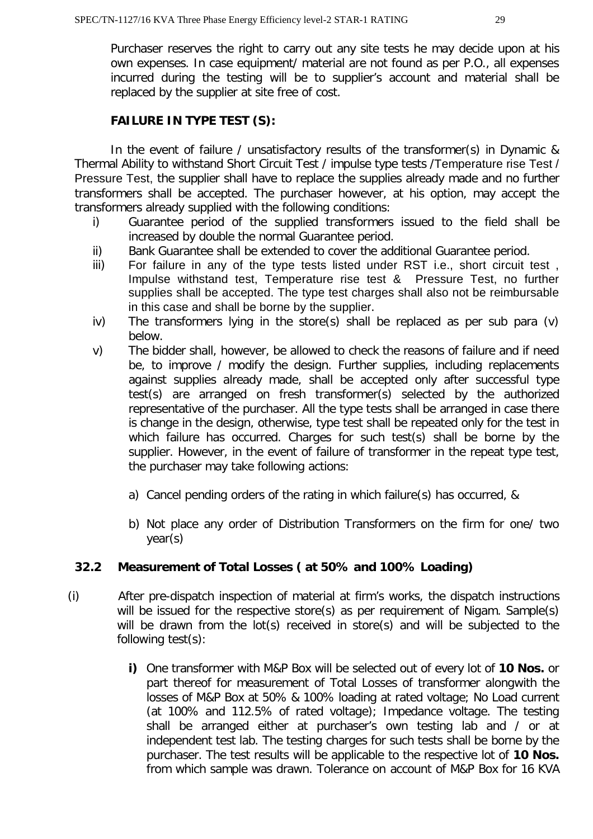Purchaser reserves the right to carry out any site tests he may decide upon at his own expenses. In case equipment/ material are not found as per P.O., all expenses incurred during the testing will be to supplier's account and material shall be replaced by the supplier at site free of cost.

#### **FAILURE IN TYPE TEST (S):**

In the event of failure / unsatisfactory results of the transformer(s) in Dynamic & Thermal Ability to withstand Short Circuit Test / impulse type tests /Temperature rise Test / Pressure Test, the supplier shall have to replace the supplies already made and no further transformers shall be accepted. The purchaser however, at his option, may accept the transformers already supplied with the following conditions:

- i) Guarantee period of the supplied transformers issued to the field shall be increased by double the normal Guarantee period.
- ii) Bank Guarantee shall be extended to cover the additional Guarantee period.
- iii) For failure in any of the type tests listed under RST i.e., short circuit test , Impulse withstand test, Temperature rise test & Pressure Test, no further supplies shall be accepted. The type test charges shall also not be reimbursable in this case and shall be borne by the supplier.
- iv) The transformers lying in the store(s) shall be replaced as per sub para (v) below.
- v) The bidder shall, however, be allowed to check the reasons of failure and if need be, to improve / modify the design. Further supplies, including replacements against supplies already made, shall be accepted only after successful type test(s) are arranged on fresh transformer(s) selected by the authorized representative of the purchaser. All the type tests shall be arranged in case there is change in the design, otherwise, type test shall be repeated only for the test in which failure has occurred. Charges for such test(s) shall be borne by the supplier. However, in the event of failure of transformer in the repeat type test, the purchaser may take following actions:
	- a) Cancel pending orders of the rating in which failure(s) has occurred, &
	- b) Not place any order of Distribution Transformers on the firm for one/ two year(s)

# **32.2 Measurement of Total Losses ( at 50% and 100% Loading)**

- (i) After pre-dispatch inspection of material at firm's works, the dispatch instructions will be issued for the respective store(s) as per requirement of Nigam. Sample(s) will be drawn from the lot(s) received in store(s) and will be subjected to the following test(s):
	- **i)** One transformer with M&P Box will be selected out of every lot of **10 Nos.** or part thereof for measurement of Total Losses of transformer alongwith the losses of M&P Box at 50% & 100% loading at rated voltage; No Load current (at 100% and 112.5% of rated voltage); Impedance voltage. The testing shall be arranged either at purchaser's own testing lab and / or at independent test lab. The testing charges for such tests shall be borne by the purchaser. The test results will be applicable to the respective lot of **10 Nos.** from which sample was drawn. Tolerance on account of M&P Box for 16 KVA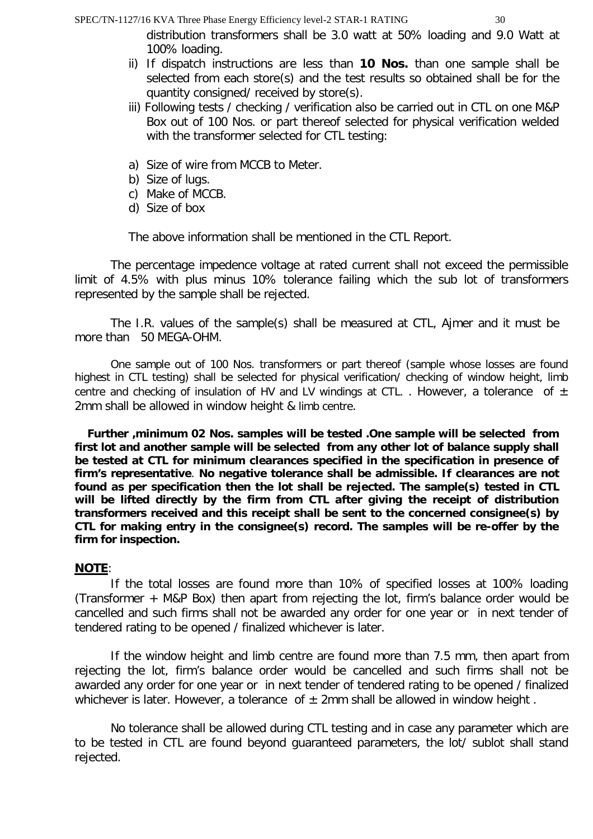distribution transformers shall be 3.0 watt at 50% loading and 9.0 Watt at 100% loading.

- ii) If dispatch instructions are less than **10 Nos.** than one sample shall be selected from each store(s) and the test results so obtained shall be for the quantity consigned/ received by store(s).
- iii) Following tests / checking / verification also be carried out in CTL on one M&P Box out of 100 Nos. or part thereof selected for physical verification welded with the transformer selected for CTL testing:
- a) Size of wire from MCCB to Meter.
- b) Size of lugs.
- c) Make of MCCB.
- d) Size of box

The above information shall be mentioned in the CTL Report.

The percentage impedence voltage at rated current shall not exceed the permissible limit of 4.5% with plus minus 10% tolerance failing which the sub lot of transformers represented by the sample shall be rejected.

The I.R. values of the sample(s) shall be measured at CTL, Ajmer and it must be more than 50 MEGA-OHM.

One sample out of 100 Nos. transformers or part thereof (sample whose losses are found highest in CTL testing) shall be selected for physical verification/ checking of window height, limb centre and checking of insulation of HV and LV windings at CTL. . However, a tolerance of  $\pm$ 2mm shall be allowed in window height & limb centre.

 **Further ,minimum 02 Nos. samples will be tested .One sample will be selected from first lot and another sample will be selected from any other lot of balance supply shall be tested at CTL for minimum clearances specified in the specification in presence of firm's representative**. **No negative tolerance shall be admissible. If clearances are not found as per specification then the lot shall be rejected. The sample(s) tested in CTL will be lifted directly by the firm from CTL after giving the receipt of distribution transformers received and this receipt shall be sent to the concerned consignee(s) by CTL for making entry in the consignee(s) record. The samples will be re-offer by the firm for inspection.**

# **NOTE**:

If the total losses are found more than 10% of specified losses at 100% loading (Transformer + M&P Box) then apart from rejecting the lot, firm's balance order would be cancelled and such firms shall not be awarded any order for one year or in next tender of tendered rating to be opened / finalized whichever is later.

If the window height and limb centre are found more than 7.5 mm, then apart from rejecting the lot, firm's balance order would be cancelled and such firms shall not be awarded any order for one year or in next tender of tendered rating to be opened / finalized whichever is later. However, a tolerance of  $\pm$  2mm shall be allowed in window height.

No tolerance shall be allowed during CTL testing and in case any parameter which are to be tested in CTL are found beyond guaranteed parameters, the lot/ sublot shall stand rejected.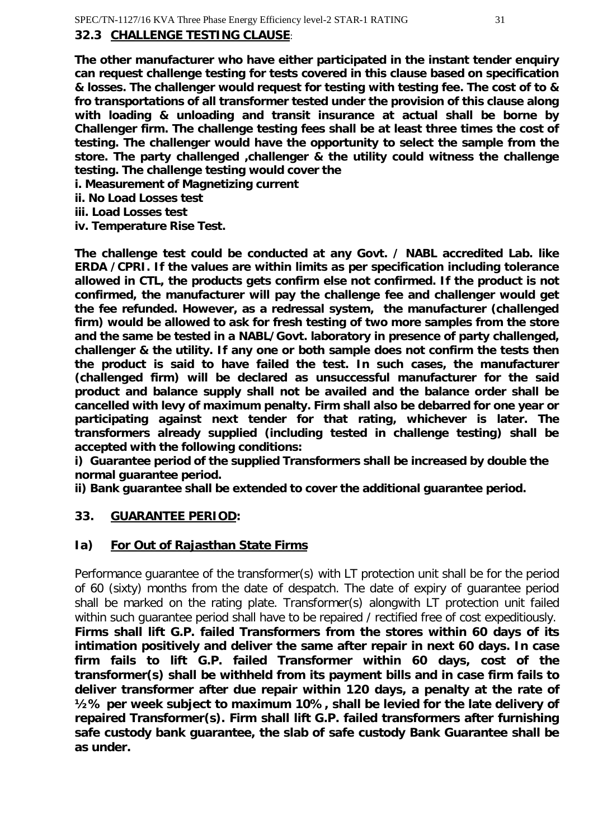# **32.3 CHALLENGE TESTING CLAUSE**:

**The other manufacturer who have either participated in the instant tender enquiry can request challenge testing for tests covered in this clause based on specification & losses. The challenger would request for testing with testing fee. The cost of to & fro transportations of all transformer tested under the provision of this clause along with loading & unloading and transit insurance at actual shall be borne by Challenger firm. The challenge testing fees shall be at least three times the cost of testing. The challenger would have the opportunity to select the sample from the store. The party challenged ,challenger & the utility could witness the challenge testing. The challenge testing would cover the**

- **i. Measurement of Magnetizing current**
- **ii. No Load Losses test**
- **iii. Load Losses test**
- **iv. Temperature Rise Test.**

**The challenge test could be conducted at any Govt. / NABL accredited Lab. like ERDA /CPRI. If the values are within limits as per specification including tolerance allowed in CTL, the products gets confirm else not confirmed. If the product is not confirmed, the manufacturer will pay the challenge fee and challenger would get the fee refunded. However, as a redressal system, the manufacturer (challenged firm) would be allowed to ask for fresh testing of two more samples from the store and the same be tested in a NABL/Govt. laboratory in presence of party challenged, challenger & the utility. If any one or both sample does not confirm the tests then the product is said to have failed the test. In such cases, the manufacturer (challenged firm) will be declared as unsuccessful manufacturer for the said product and balance supply shall not be availed and the balance order shall be cancelled with levy of maximum penalty. Firm shall also be debarred for one year or participating against next tender for that rating, whichever is later. The transformers already supplied (including tested in challenge testing) shall be accepted with the following conditions:**

**i) Guarantee period of the supplied Transformers shall be increased by double the normal guarantee period.**

**ii) Bank guarantee shall be extended to cover the additional guarantee period.**

#### **33. GUARANTEE PERIOD:**

# **Ia) For Out of Rajasthan State Firms**

Performance guarantee of the transformer(s) with LT protection unit shall be for the period of 60 (sixty) months from the date of despatch. The date of expiry of guarantee period shall be marked on the rating plate. Transformer(s) alongwith LT protection unit failed within such guarantee period shall have to be repaired / rectified free of cost expeditiously. **Firms shall lift G.P. failed Transformers from the stores within 60 days of its intimation positively and deliver the same after repair in next 60 days. In case firm fails to lift G.P. failed Transformer within 60 days, cost of the transformer(s) shall be withheld from its payment bills and in case firm fails to deliver transformer after due repair within 120 days, a penalty at the rate of ½% per week subject to maximum 10%, shall be levied for the late delivery of repaired Transformer(s). Firm shall lift G.P. failed transformers after furnishing safe custody bank guarantee, the slab of safe custody Bank Guarantee shall be as under.**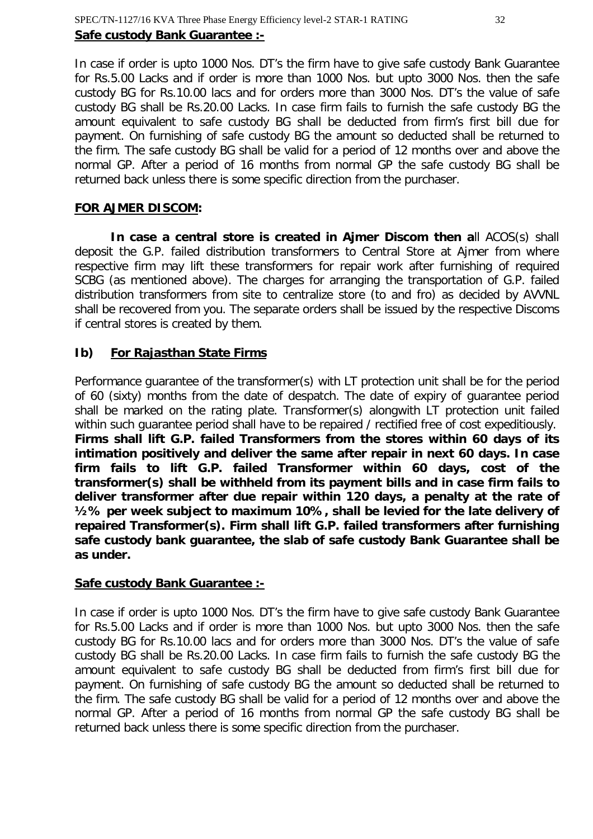In case if order is upto 1000 Nos. DT's the firm have to give safe custody Bank Guarantee for Rs.5.00 Lacks and if order is more than 1000 Nos. but upto 3000 Nos. then the safe custody BG for Rs.10.00 lacs and for orders more than 3000 Nos. DT's the value of safe custody BG shall be Rs.20.00 Lacks. In case firm fails to furnish the safe custody BG the amount equivalent to safe custody BG shall be deducted from firm's first bill due for payment. On furnishing of safe custody BG the amount so deducted shall be returned to the firm. The safe custody BG shall be valid for a period of 12 months over and above the normal GP. After a period of 16 months from normal GP the safe custody BG shall be returned back unless there is some specific direction from the purchaser.

#### **FOR AJMER DISCOM:**

**In case a central store is created in Ajmer Discom then a**ll ACOS(s) shall deposit the G.P. failed distribution transformers to Central Store at Ajmer from where respective firm may lift these transformers for repair work after furnishing of required SCBG (as mentioned above). The charges for arranging the transportation of G.P. failed distribution transformers from site to centralize store (to and fro) as decided by AVVNL shall be recovered from you. The separate orders shall be issued by the respective Discoms if central stores is created by them.

# **Ib) For Rajasthan State Firms**

Performance guarantee of the transformer(s) with LT protection unit shall be for the period of 60 (sixty) months from the date of despatch. The date of expiry of guarantee period shall be marked on the rating plate. Transformer(s) alongwith LT protection unit failed within such guarantee period shall have to be repaired / rectified free of cost expeditiously. **Firms shall lift G.P. failed Transformers from the stores within 60 days of its intimation positively and deliver the same after repair in next 60 days. In case firm fails to lift G.P. failed Transformer within 60 days, cost of the transformer(s) shall be withheld from its payment bills and in case firm fails to deliver transformer after due repair within 120 days, a penalty at the rate of ½% per week subject to maximum 10%, shall be levied for the late delivery of repaired Transformer(s). Firm shall lift G.P. failed transformers after furnishing safe custody bank guarantee, the slab of safe custody Bank Guarantee shall be as under.**

#### **Safe custody Bank Guarantee :-**

In case if order is upto 1000 Nos. DT's the firm have to give safe custody Bank Guarantee for Rs.5.00 Lacks and if order is more than 1000 Nos. but upto 3000 Nos. then the safe custody BG for Rs.10.00 lacs and for orders more than 3000 Nos. DT's the value of safe custody BG shall be Rs.20.00 Lacks. In case firm fails to furnish the safe custody BG the amount equivalent to safe custody BG shall be deducted from firm's first bill due for payment. On furnishing of safe custody BG the amount so deducted shall be returned to the firm. The safe custody BG shall be valid for a period of 12 months over and above the normal GP. After a period of 16 months from normal GP the safe custody BG shall be returned back unless there is some specific direction from the purchaser.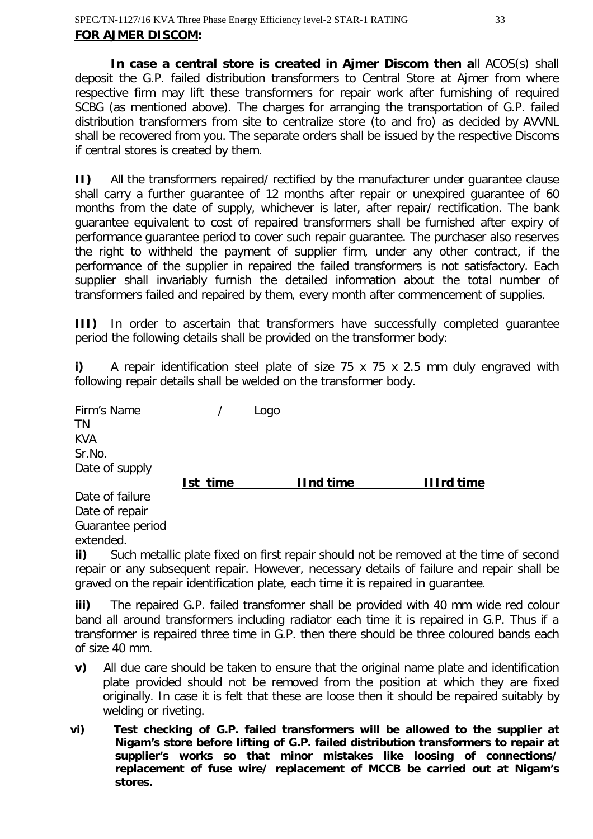**In case a central store is created in Ajmer Discom then a**ll ACOS(s) shall deposit the G.P. failed distribution transformers to Central Store at Ajmer from where respective firm may lift these transformers for repair work after furnishing of required SCBG (as mentioned above). The charges for arranging the transportation of G.P. failed distribution transformers from site to centralize store (to and fro) as decided by AVVNL shall be recovered from you. The separate orders shall be issued by the respective Discoms if central stores is created by them.

**II)** All the transformers repaired/ rectified by the manufacturer under guarantee clause shall carry a further guarantee of 12 months after repair or unexpired guarantee of 60 months from the date of supply, whichever is later, after repair/ rectification. The bank guarantee equivalent to cost of repaired transformers shall be furnished after expiry of performance guarantee period to cover such repair guarantee. The purchaser also reserves the right to withheld the payment of supplier firm, under any other contract, if the performance of the supplier in repaired the failed transformers is not satisfactory. Each supplier shall invariably furnish the detailed information about the total number of transformers failed and repaired by them, every month after commencement of supplies.

**III)** In order to ascertain that transformers have successfully completed guarantee period the following details shall be provided on the transformer body:

**i)** A repair identification steel plate of size 75 x 75 x 2.5 mm duly engraved with following repair details shall be welded on the transformer body.

| Firm's Name<br>ΤN<br><b>KVA</b><br>Sr.No.<br>Date of supply |          | Logo |                  |                   |
|-------------------------------------------------------------|----------|------|------------------|-------------------|
|                                                             | Ist time |      | <b>IInd time</b> | <b>Illrd time</b> |
| Date of failure                                             |          |      |                  |                   |
| Date of repair<br>Guarantee period                          |          |      |                  |                   |

extended.

**ii)** Such metallic plate fixed on first repair should not be removed at the time of second repair or any subsequent repair. However, necessary details of failure and repair shall be graved on the repair identification plate, each time it is repaired in guarantee.

**iii)** The repaired G.P. failed transformer shall be provided with 40 mm wide red colour band all around transformers including radiator each time it is repaired in G.P. Thus if a transformer is repaired three time in G.P. then there should be three coloured bands each of size 40 mm.

- **v)** All due care should be taken to ensure that the original name plate and identification plate provided should not be removed from the position at which they are fixed originally. In case it is felt that these are loose then it should be repaired suitably by welding or riveting.
- **vi) Test checking of G.P. failed transformers will be allowed to the supplier at Nigam's store before lifting of G.P. failed distribution transformers to repair at supplier's works so that minor mistakes like loosing of connections/ replacement of fuse wire/ replacement of MCCB be carried out at Nigam's stores.**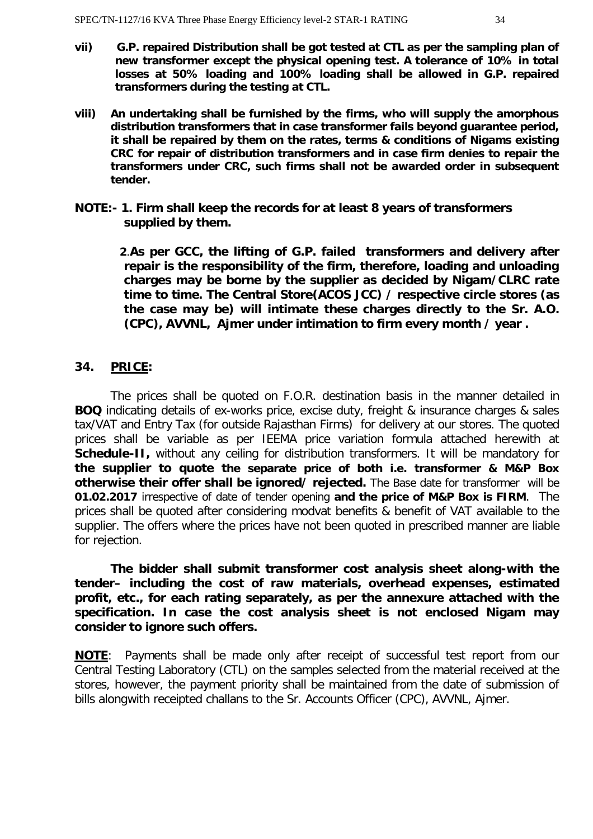- **vii) G.P. repaired Distribution shall be got tested at CTL as per the sampling plan of new transformer except the physical opening test. A tolerance of 10% in total losses at 50% loading and 100% loading shall be allowed in G.P. repaired transformers during the testing at CTL.**
- **viii) An undertaking shall be furnished by the firms, who will supply the amorphous distribution transformers that in case transformer fails beyond guarantee period, it shall be repaired by them on the rates, terms & conditions of Nigams existing CRC for repair of distribution transformers and in case firm denies to repair the transformers under CRC, such firms shall not be awarded order in subsequent tender.**
- **NOTE:- 1. Firm shall keep the records for at least 8 years of transformers supplied by them.**

**2**.**As per GCC, the lifting of G.P. failed transformers and delivery after repair is the responsibility of the firm, therefore, loading and unloading charges may be borne by the supplier as decided by Nigam/CLRC rate time to time. The Central Store(ACOS JCC) / respective circle stores (as the case may be) will intimate these charges directly to the Sr. A.O. (CPC), AVVNL, Ajmer under intimation to firm every month / year .**

#### **34. PRICE:**

The prices shall be quoted on F.O.R. destination basis in the manner detailed in **BOQ** indicating details of ex-works price, excise duty, freight & insurance charges & sales tax/VAT and Entry Tax (for outside Rajasthan Firms) for delivery at our stores. The quoted prices shall be variable as per IEEMA price variation formula attached herewith at **Schedule-II**, without any ceiling for distribution transformers. It will be mandatory for **the supplier to quote the separate price of both i.e. transformer & M&P Box otherwise their offer shall be ignored/ rejected.** The Base date for transformer will be **01.02.2017** irrespective of date of tender opening **and the price of M&P Box is FIRM**. The prices shall be quoted after considering modvat benefits & benefit of VAT available to the supplier. The offers where the prices have not been quoted in prescribed manner are liable for rejection.

**The bidder shall submit transformer cost analysis sheet along-with the tender– including the cost of raw materials, overhead expenses, estimated profit, etc., for each rating separately, as per the annexure attached with the specification. In case the cost analysis sheet is not enclosed Nigam may consider to ignore such offers.**

**NOTE**: Payments shall be made only after receipt of successful test report from our Central Testing Laboratory (CTL) on the samples selected from the material received at the stores, however, the payment priority shall be maintained from the date of submission of bills alongwith receipted challans to the Sr. Accounts Officer (CPC), AVVNL, Ajmer.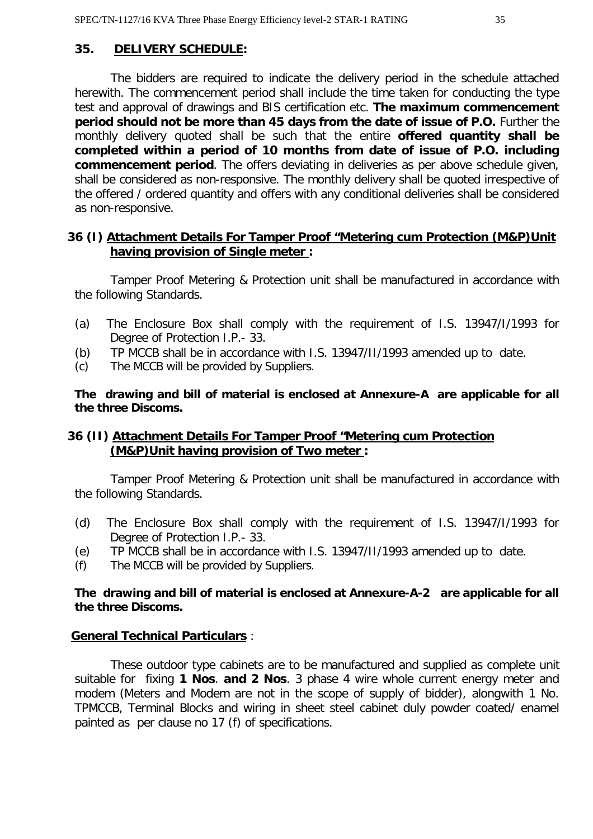#### **35. DELIVERY SCHEDULE:**

The bidders are required to indicate the delivery period in the schedule attached herewith. The commencement period shall include the time taken for conducting the type test and approval of drawings and BIS certification etc. **The maximum commencement period should not be more than 45 days from the date of issue of P.O.** Further the monthly delivery quoted shall be such that the entire **offered quantity shall be completed within a period of 10 months from date of issue of P.O. including commencement period**. The offers deviating in deliveries as per above schedule given, shall be considered as non-responsive. The monthly delivery shall be quoted irrespective of the offered / ordered quantity and offers with any conditional deliveries shall be considered as non-responsive.

#### **36 (I) Attachment Details For Tamper Proof "Metering cum Protection (M&P)Unit having provision of Single meter :**

Tamper Proof Metering & Protection unit shall be manufactured in accordance with the following Standards.

- (a) The Enclosure Box shall comply with the requirement of I.S. 13947/I/1993 for Degree of Protection I.P.- 33.
- (b) TP MCCB shall be in accordance with I.S. 13947/II/1993 amended up to date.
- (c) The MCCB will be provided by Suppliers.

**The drawing and bill of material is enclosed at Annexure-A are applicable for all the three Discoms.**

#### **36 (II) Attachment Details For Tamper Proof "Metering cum Protection (M&P)Unit having provision of Two meter :**

Tamper Proof Metering & Protection unit shall be manufactured in accordance with the following Standards.

- (d) The Enclosure Box shall comply with the requirement of I.S. 13947/I/1993 for Degree of Protection I.P.- 33.
- (e) TP MCCB shall be in accordance with I.S. 13947/II/1993 amended up to date.
- (f) The MCCB will be provided by Suppliers.

#### **The drawing and bill of material is enclosed at Annexure-A-2 are applicable for all the three Discoms.**

#### **General Technical Particulars** :

These outdoor type cabinets are to be manufactured and supplied as complete unit suitable for fixing **1 Nos**. **and 2 Nos**. 3 phase 4 wire whole current energy meter and modem (Meters and Modem are not in the scope of supply of bidder), alongwith 1 No. TPMCCB, Terminal Blocks and wiring in sheet steel cabinet duly powder coated/ enamel painted as per clause no 17 (f) of specifications.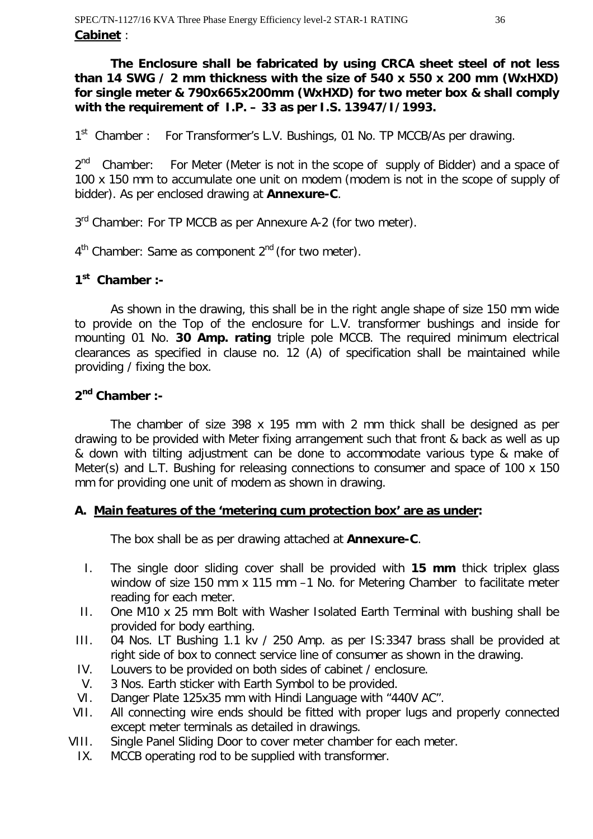**The Enclosure shall be fabricated by using CRCA sheet steel of not less than 14 SWG / 2 mm thickness with the size of 540 x 550 x 200 mm (WxHXD) for single meter & 790x665x200mm (WxHXD) for two meter box & shall comply with the requirement of I.P. – 33 as per I.S. 13947/I/1993.**

1<sup>st</sup> Chamber : For Transformer's L.V. Bushings, 01 No. TP MCCB/As per drawing.

2<sup>nd</sup> Chamber: For Meter (Meter is not in the scope of supply of Bidder) and a space of 100 x 150 mm to accumulate one unit on modem (modem is not in the scope of supply of bidder). As per enclosed drawing at **Annexure-C**.

3<sup>rd</sup> Chamber: For TP MCCB as per Annexure A-2 (for two meter).

4<sup>th</sup> Chamber: Same as component 2<sup>nd</sup> (for two meter).

# **1 st Chamber :-**

As shown in the drawing, this shall be in the right angle shape of size 150 mm wide to provide on the Top of the enclosure for L.V. transformer bushings and inside for mounting 01 No. **30 Amp. rating** triple pole MCCB. The required minimum electrical clearances as specified in clause no. 12 (A) of specification shall be maintained while providing / fixing the box.

# **2 nd Chamber :-**

The chamber of size 398 x 195 mm with 2 mm thick shall be designed as per drawing to be provided with Meter fixing arrangement such that front & back as well as up & down with tilting adjustment can be done to accommodate various type & make of Meter(s) and L.T. Bushing for releasing connections to consumer and space of 100 x 150 mm for providing one unit of modem as shown in drawing.

# **A. Main features of the 'metering cum protection box' are as under:**

The box shall be as per drawing attached at **Annexure-C**.

- I. The single door sliding cover shall be provided with **15 mm** thick triplex glass window of size 150 mm x 115 mm –1 No. for Metering Chamber to facilitate meter reading for each meter.
- II. One M10 x 25 mm Bolt with Washer Isolated Earth Terminal with bushing shall be provided for body earthing.
- III. 04 Nos. LT Bushing 1.1 kv / 250 Amp. as per IS:3347 brass shall be provided at right side of box to connect service line of consumer as shown in the drawing.
- IV. Louvers to be provided on both sides of cabinet / enclosure.
- V. 3 Nos. Earth sticker with Earth Symbol to be provided.
- VI. Danger Plate 125x35 mm with Hindi Language with "440V AC".
- VII. All connecting wire ends should be fitted with proper lugs and properly connected except meter terminals as detailed in drawings.
- VIII. Single Panel Sliding Door to cover meter chamber for each meter.
	- IX. MCCB operating rod to be supplied with transformer.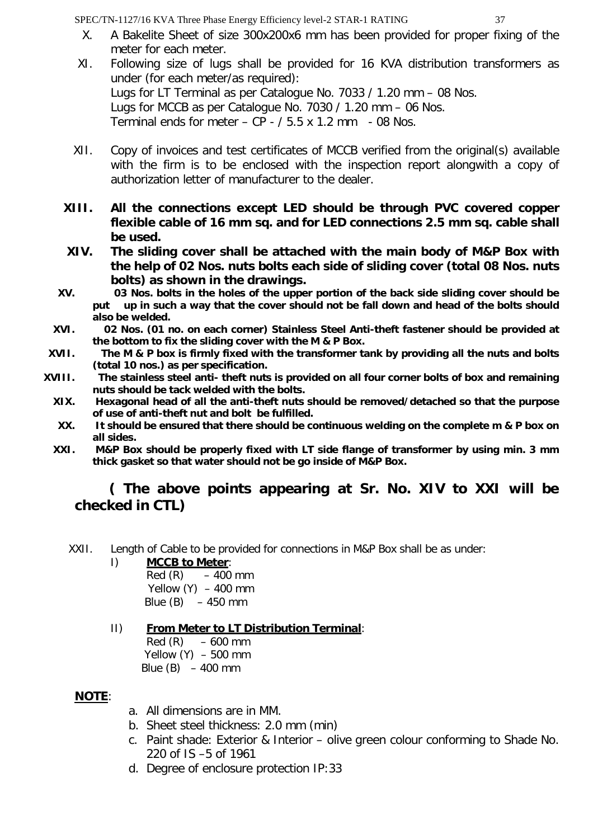- X. A Bakelite Sheet of size 300x200x6 mm has been provided for proper fixing of the meter for each meter.
- XI. Following size of lugs shall be provided for 16 KVA distribution transformers as under (for each meter/as required): Lugs for LT Terminal as per Catalogue No. 7033 / 1.20 mm – 08 Nos. Lugs for MCCB as per Catalogue No. 7030 / 1.20 mm – 06 Nos. Terminal ends for meter  $-$  CP  $-$  / 5.5 x 1.2 mm  $-$  08 Nos.
- XII. Copy of invoices and test certificates of MCCB verified from the original(s) available with the firm is to be enclosed with the inspection report alongwith a copy of authorization letter of manufacturer to the dealer.
- **XIII. All the connections except LED should be through PVC covered copper flexible cable of 16 mm sq. and for LED connections 2.5 mm sq. cable shall be used.**
- **XIV. The sliding cover shall be attached with the main body of M&P Box with the help of 02 Nos. nuts bolts each side of sliding cover (total 08 Nos. nuts bolts) as shown in the drawings.**
- **XV. 03 Nos. bolts in the holes of the upper portion of the back side sliding cover should be put up in such a way that the cover should not be fall down and head of the bolts should also be welded.**
- **XVI. 02 Nos. (01 no. on each corner) Stainless Steel Anti-theft fastener should be provided at the bottom to fix the sliding cover with the M & P Box.**
- **XVII. The M & P box is firmly fixed with the transformer tank by providing all the nuts and bolts (total 10 nos.) as per specification.**
- **XVIII. The stainless steel anti- theft nuts is provided on all four corner bolts of box and remaining nuts should be tack welded with the bolts.**
	- **XIX. Hexagonal head of all the anti-theft nuts should be removed/detached so that the purpose of use of anti-theft nut and bolt be fulfilled.**
	- **XX. It should be ensured that there should be continuous welding on the complete m & P box on all sides.**
	- **XXI. M&P Box should be properly fixed with LT side flange of transformer by using min. 3 mm thick gasket so that water should not be go inside of M&P Box.**

# **( The above points appearing at Sr. No. XIV to XXI will be checked in CTL)**

- XXII. Length of Cable to be provided for connections in M&P Box shall be as under:
	- I) **MCCB to Meter**:

 $Red(R) - 400$  mm Yellow  $(Y) - 400$  mm Blue  $(B) - 450$  mm

II) **From Meter to LT Distribution Terminal**:  $Red(R) - 600$  mm

Yellow  $(Y) - 500$  mm Blue  $(B) - 400$  mm

# **NOTE**:

- a. All dimensions are in MM.
- b. Sheet steel thickness: 2.0 mm (min)
- c. Paint shade: Exterior & Interior olive green colour conforming to Shade No. 220 of IS –5 of 1961
- d. Degree of enclosure protection IP:33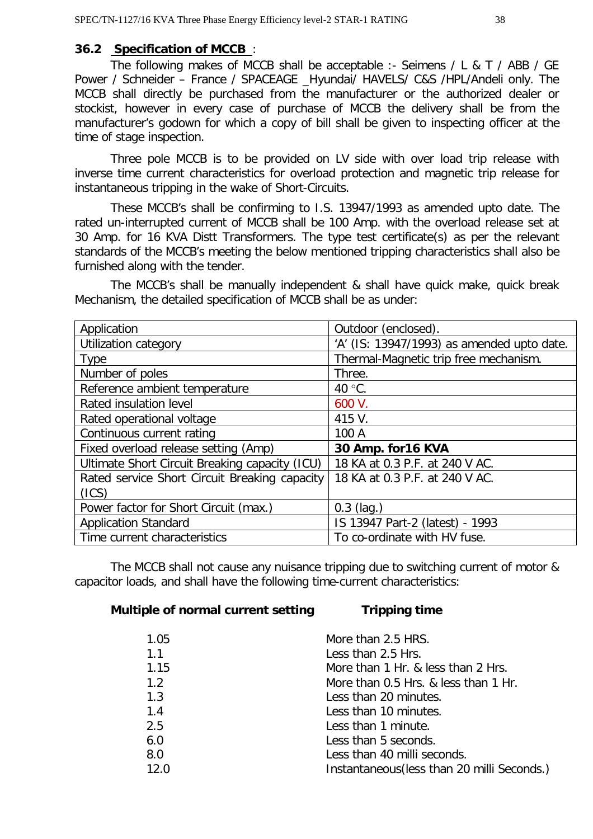#### **36.2 Specification of MCCB** :

The following makes of MCCB shall be acceptable :- Seimens / L & T / ABB / GE Power / Schneider – France / SPACEAGE \_Hyundai/ HAVELS/ C&S /HPL/Andeli only. The MCCB shall directly be purchased from the manufacturer or the authorized dealer or stockist, however in every case of purchase of MCCB the delivery shall be from the manufacturer's godown for which a copy of bill shall be given to inspecting officer at the time of stage inspection.

Three pole MCCB is to be provided on LV side with over load trip release with inverse time current characteristics for overload protection and magnetic trip release for instantaneous tripping in the wake of Short-Circuits.

These MCCB's shall be confirming to I.S. 13947/1993 as amended upto date. The rated un-interrupted current of MCCB shall be 100 Amp. with the overload release set at 30 Amp. for 16 KVA Distt Transformers. The type test certificate(s) as per the relevant standards of the MCCB's meeting the below mentioned tripping characteristics shall also be furnished along with the tender.

The MCCB's shall be manually independent & shall have quick make, quick break Mechanism, the detailed specification of MCCB shall be as under:

| Application                                    | Outdoor (enclosed).                        |
|------------------------------------------------|--------------------------------------------|
| Utilization category                           | 'A' (IS: 13947/1993) as amended upto date. |
| <b>Type</b>                                    | Thermal-Magnetic trip free mechanism.      |
| Number of poles                                | Three.                                     |
| Reference ambient temperature                  | 40 $\degree$ C.                            |
| Rated insulation level                         | 600 V.                                     |
| Rated operational voltage                      | 415 V.                                     |
| Continuous current rating                      | 100 A                                      |
| Fixed overload release setting (Amp)           | 30 Amp. for 16 KVA                         |
| Ultimate Short Circuit Breaking capacity (ICU) | 18 KA at 0.3 P.F. at 240 V AC.             |
| Rated service Short Circuit Breaking capacity  | 18 KA at 0.3 P.F. at 240 V AC.             |
| (ICS)                                          |                                            |
| Power factor for Short Circuit (max.)          | $0.3$ (lag.)                               |
| <b>Application Standard</b>                    | IS 13947 Part-2 (latest) - 1993            |
| Time current characteristics                   | To co-ordinate with HV fuse.               |
|                                                |                                            |

The MCCB shall not cause any nuisance tripping due to switching current of motor & capacitor loads, and shall have the following time-current characteristics:

#### **Multiple of normal current setting Tripping time**

| 1.05 | More than 2.5 HRS.                          |
|------|---------------------------------------------|
| 1.1  | Less than 2.5 Hrs.                          |
| 1.15 | More than 1 Hr. & less than 2 Hrs.          |
| 1.2  | More than 0.5 Hrs. & less than 1 Hr.        |
| 1.3  | Less than 20 minutes.                       |
| 1.4  | Less than 10 minutes.                       |
| 2.5  | Less than 1 minute.                         |
| 6.0  | Less than 5 seconds.                        |
| 8.0  | Less than 40 milli seconds.                 |
| 12.0 | Instantaneous (less than 20 milli Seconds.) |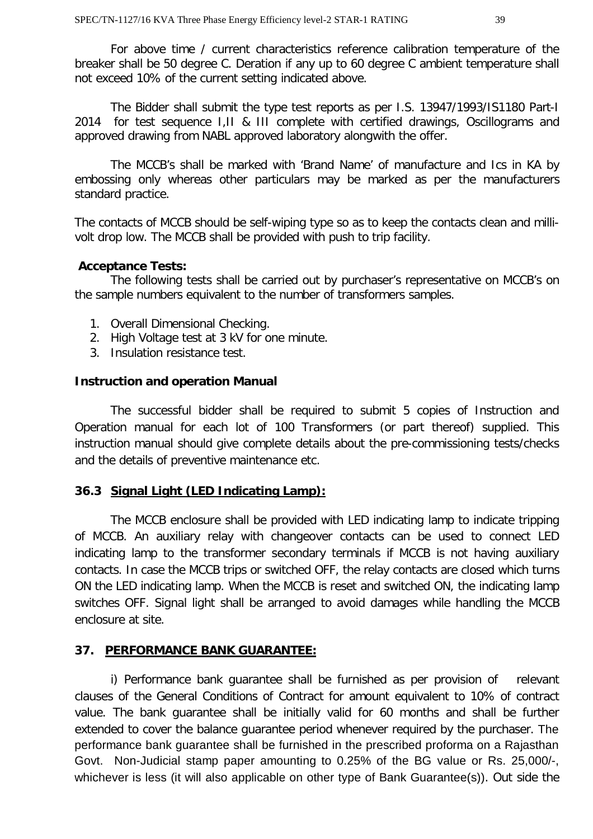For above time / current characteristics reference calibration temperature of the breaker shall be 50 degree C. Deration if any up to 60 degree C ambient temperature shall not exceed 10% of the current setting indicated above.

The Bidder shall submit the type test reports as per I.S. 13947/1993/IS1180 Part-I 2014 for test sequence I,II & III complete with certified drawings, Oscillograms and approved drawing from NABL approved laboratory alongwith the offer.

The MCCB's shall be marked with 'Brand Name' of manufacture and Ics in KA by embossing only whereas other particulars may be marked as per the manufacturers standard practice.

The contacts of MCCB should be self-wiping type so as to keep the contacts clean and millivolt drop low. The MCCB shall be provided with push to trip facility.

#### **Acceptance Tests:**

The following tests shall be carried out by purchaser's representative on MCCB's on the sample numbers equivalent to the number of transformers samples.

- 1. Overall Dimensional Checking.
- 2. High Voltage test at 3 kV for one minute.
- 3. Insulation resistance test.

#### **Instruction and operation Manual**

The successful bidder shall be required to submit 5 copies of Instruction and Operation manual for each lot of 100 Transformers (or part thereof) supplied. This instruction manual should give complete details about the pre-commissioning tests/checks and the details of preventive maintenance etc.

#### **36.3 Signal Light (LED Indicating Lamp):**

The MCCB enclosure shall be provided with LED indicating lamp to indicate tripping of MCCB. An auxiliary relay with changeover contacts can be used to connect LED indicating lamp to the transformer secondary terminals if MCCB is not having auxiliary contacts. In case the MCCB trips or switched OFF, the relay contacts are closed which turns ON the LED indicating lamp. When the MCCB is reset and switched ON, the indicating lamp switches OFF. Signal light shall be arranged to avoid damages while handling the MCCB enclosure at site.

# **37. PERFORMANCE BANK GUARANTEE:**

i) Performance bank guarantee shall be furnished as per provision of relevant clauses of the General Conditions of Contract for amount equivalent to 10% of contract value. The bank guarantee shall be initially valid for 60 months and shall be further extended to cover the balance guarantee period whenever required by the purchaser. The performance bank guarantee shall be furnished in the prescribed proforma on a Rajasthan Govt. Non-Judicial stamp paper amounting to 0.25% of the BG value or Rs. 25,000/-, whichever is less (it will also applicable on other type of Bank Guarantee(s)). Out side the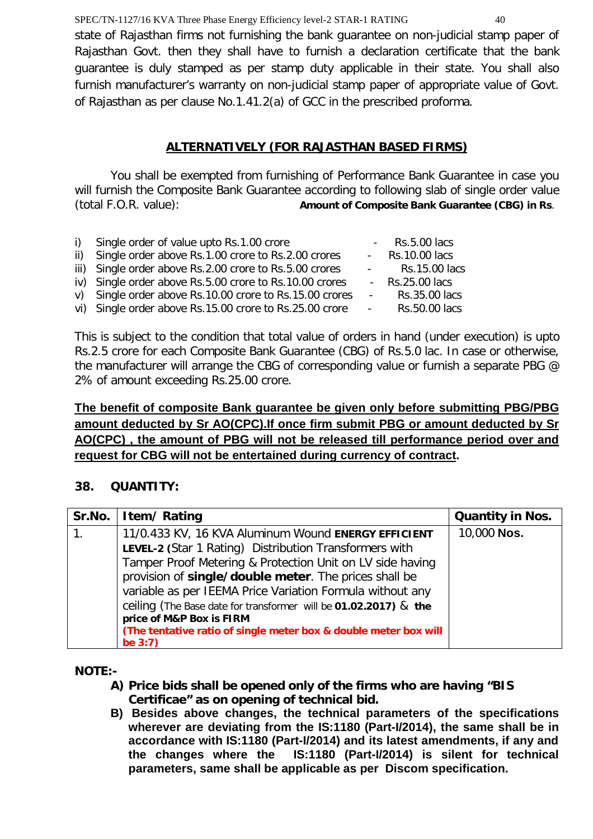SPEC/TN-1127/16 KVA Three Phase Energy Efficiency level-2 STAR-1 RATING 40 state of Rajasthan firms not furnishing the bank guarantee on non-judicial stamp paper of Rajasthan Govt. then they shall have to furnish a declaration certificate that the bank guarantee is duly stamped as per stamp duty applicable in their state. You shall also furnish manufacturer's warranty on non-judicial stamp paper of appropriate value of Govt. of Rajasthan as per clause No.1.41.2(a) of GCC in the prescribed proforma.

# **ALTERNATIVELY (FOR RAJASTHAN BASED FIRMS)**

You shall be exempted from furnishing of Performance Bank Guarantee in case you will furnish the Composite Bank Guarantee according to following slab of single order value (total F.O.R. value): **Amount of Composite Bank Guarantee (CBG) in Rs**.

| i) Single order of value upto Rs.1.00 crore             |                         | $-Rs.5.00$ lacs  |
|---------------------------------------------------------|-------------------------|------------------|
| ii) Single order above Rs.1.00 crore to Rs.2.00 crores  |                         | - Rs.10.00 lacs  |
| iii) Single order above Rs.2.00 crore to Rs.5.00 crores | $\Delta \sim 10^{11}$ m | Rs.15.00 lacs    |
| iv) Single order above Rs.5.00 crore to Rs.10.00 crores |                         | $-Rs.25.00$ lacs |
| v) Single order above Rs.10.00 crore to Rs.15.00 crores | $\Delta \sim 100$       | Rs.35.00 lacs    |
| vi) Single order above Rs.15.00 crore to Rs.25.00 crore | $\omega_{\rm{max}}$     | Rs.50.00 lacs    |

This is subject to the condition that total value of orders in hand (under execution) is upto Rs.2.5 crore for each Composite Bank Guarantee (CBG) of Rs.5.0 lac. In case or otherwise, the manufacturer will arrange the CBG of corresponding value or furnish a separate PBG @ 2% of amount exceeding Rs.25.00 crore.

# **The benefit of composite Bank guarantee be given only before submitting PBG/PBG amount deducted by Sr AO(CPC).If once firm submit PBG or amount deducted by Sr AO(CPC) , the amount of PBG will not be released till performance period over and request for CBG will not be entertained during currency of contract.**

# **38. QUANTITY:**

|                | Sr.No.   Item/ Rating                                            | <b>Quantity in Nos.</b> |
|----------------|------------------------------------------------------------------|-------------------------|
| $\mathbf{1}$ . | 11/0.433 KV, 16 KVA Aluminum Wound ENERGY EFFICIENT              | 10,000 Nos.             |
|                | LEVEL-2 (Star 1 Rating) Distribution Transformers with           |                         |
|                | Tamper Proof Metering & Protection Unit on LV side having        |                         |
|                | provision of single/double meter. The prices shall be            |                         |
|                | variable as per IEEMA Price Variation Formula without any        |                         |
|                | ceiling (The Base date for transformer will be 01.02.2017) & the |                         |
|                | price of M&P Box is FIRM                                         |                         |
|                | (The tentative ratio of single meter box & double meter box will |                         |
|                | be $3:7$ )                                                       |                         |

**NOTE:-**

- **A) Price bids shall be opened only of the firms who are having "BIS Certificae" as on opening of technical bid.**
- **B) Besides above changes, the technical parameters of the specifications wherever are deviating from the IS:1180 (Part-I/2014), the same shall be in accordance with IS:1180 (Part-I/2014) and its latest amendments, if any and the changes where the IS:1180 (Part-I/2014) is silent for technical parameters, same shall be applicable as per Discom specification.**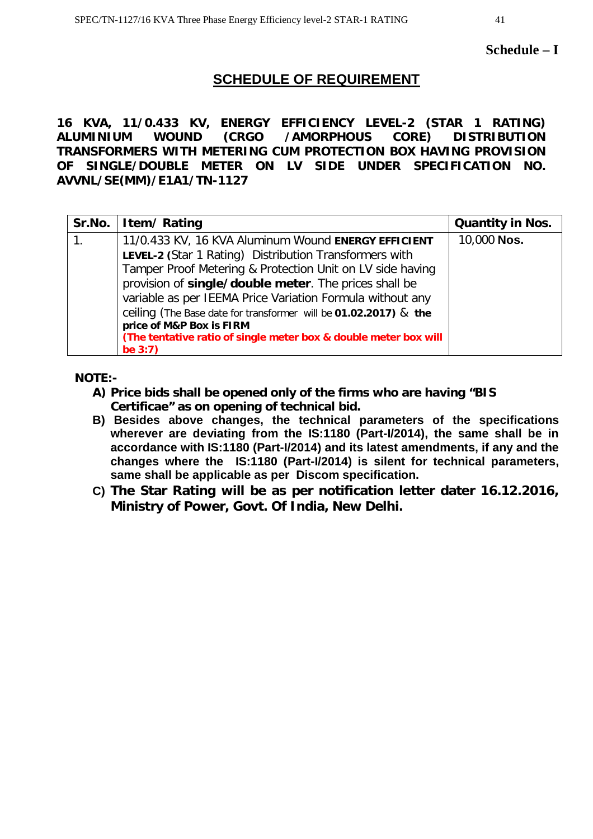# **SCHEDULE OF REQUIREMENT**

**16 KVA, 11/0.433 KV, ENERGY EFFICIENCY LEVEL-2 (STAR 1 RATING) ALUMINIUM WOUND (CRGO /AMORPHOUS CORE) DISTRIBUTION TRANSFORMERS WITH METERING CUM PROTECTION BOX HAVING PROVISION OF SINGLE/DOUBLE METER ON LV SIDE UNDER SPECIFICATION NO. AVVNL/SE(MM)/E1A1/TN-1127**

| Sr.No. | Item/Rating                                                                                                                                                                                                                                                                                                                                                                                                                                                                        | <b>Quantity in Nos.</b> |
|--------|------------------------------------------------------------------------------------------------------------------------------------------------------------------------------------------------------------------------------------------------------------------------------------------------------------------------------------------------------------------------------------------------------------------------------------------------------------------------------------|-------------------------|
|        | 11/0.433 KV, 16 KVA Aluminum Wound ENERGY EFFICIENT<br>LEVEL-2 (Star 1 Rating) Distribution Transformers with<br>Tamper Proof Metering & Protection Unit on LV side having<br>provision of single/double meter. The prices shall be<br>variable as per IEEMA Price Variation Formula without any<br>ceiling (The Base date for transformer will be 01.02.2017) & the<br>price of M&P Box is FIRM<br>(The tentative ratio of single meter box & double meter box will<br>be $3:7$ ) | 10,000 Nos.             |

**NOTE:-**

- **A) Price bids shall be opened only of the firms who are having "BIS Certificae" as on opening of technical bid.**
- **B) Besides above changes, the technical parameters of the specifications wherever are deviating from the IS:1180 (Part-I/2014), the same shall be in accordance with IS:1180 (Part-I/2014) and its latest amendments, if any and the changes where the IS:1180 (Part-I/2014) is silent for technical parameters, same shall be applicable as per Discom specification.**
- **C) The Star Rating will be as per notification letter dater 16.12.2016, Ministry of Power, Govt. Of India, New Delhi.**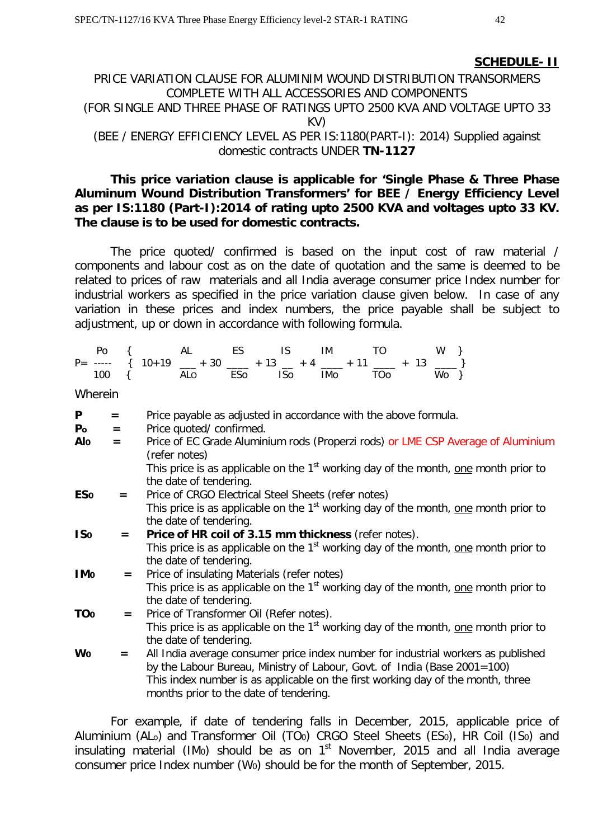#### **SCHEDULE- II**

# PRICE VARIATION CLAUSE FOR ALUMINIM WOUND DISTRIBUTION TRANSORMERS COMPLETE WITH ALL ACCESSORIES AND COMPONENTS (FOR SINGLE AND THREE PHASE OF RATINGS UPTO 2500 KVA AND VOLTAGE UPTO 33 KV) (BEE / ENERGY EFFICIENCY LEVEL AS PER IS:1180(PART-I): 2014) Supplied against domestic contracts UNDER **TN-1127**

#### **This price variation clause is applicable for 'Single Phase & Three Phase Aluminum Wound Distribution Transformers' for BEE / Energy Efficiency Level as per IS:1180 (Part-I):2014 of rating upto 2500 KVA and voltages upto 33 KV. The clause is to be used for domestic contracts.**

The price quoted/ confirmed is based on the input cost of raw material / components and labour cost as on the date of quotation and the same is deemed to be related to prices of raw materials and all India average consumer price Index number for industrial workers as specified in the price variation clause given below. In case of any variation in these prices and index numbers, the price payable shall be subject to adjustment, up or down in accordance with following formula.

|  |  |  |  | Po { AL ES IS IM TO W }                                          |  |  |
|--|--|--|--|------------------------------------------------------------------|--|--|
|  |  |  |  | $P =$ ----- { $10+19$ __ + 30 __ + 13 _ + 4 __ + 11 __ + 13 __ } |  |  |
|  |  |  |  | 100 { ALo ESo ISo IMo TOo Wo }                                   |  |  |

Wherein

| P                      | $=$ | Price payable as adjusted in accordance with the above formula.                                                                  |
|------------------------|-----|----------------------------------------------------------------------------------------------------------------------------------|
| P <sub>o</sub>         | $=$ | Price quoted/confirmed.                                                                                                          |
| Alo                    | $=$ | Price of EC Grade Aluminium rods (Properzi rods) or LME CSP Average of Aluminium<br>(refer notes)                                |
|                        |     | This price is as applicable on the 1 <sup>st</sup> working day of the month, <u>one</u> month prior to<br>the date of tendering. |
| <b>ESo</b>             | $=$ | Price of CRGO Electrical Steel Sheets (refer notes)                                                                              |
|                        |     | This price is as applicable on the 1 <sup>st</sup> working day of the month, one month prior to<br>the date of tendering.        |
| IS <sub>0</sub>        | $=$ | Price of HR coil of 3.15 mm thickness (refer notes).                                                                             |
|                        |     | This price is as applicable on the $1st$ working day of the month, one month prior to                                            |
|                        |     | the date of tendering.                                                                                                           |
| <b>IMo</b>             | $=$ | Price of insulating Materials (refer notes)                                                                                      |
|                        |     | This price is as applicable on the 1 <sup>st</sup> working day of the month, <u>one</u> month prior to<br>the date of tendering. |
| <b>TO</b> <sub>o</sub> | $=$ | Price of Transformer Oil (Refer notes).                                                                                          |
|                        |     | This price is as applicable on the $1st$ working day of the month, one month prior to<br>the date of tendering.                  |
| Wo                     | $=$ | All India average consumer price index number for industrial workers as published                                                |
|                        |     | by the Labour Bureau, Ministry of Labour, Govt. of India (Base 2001=100)                                                         |
|                        |     | This index number is as applicable on the first working day of the month, three<br>months prior to the date of tendering.        |

For example, if date of tendering falls in December, 2015, applicable price of Aluminium (AL<sub>o</sub>) and Transformer Oil (TO<sub>0</sub>) CRGO Steel Sheets (ES<sub>0</sub>), HR Coil (IS<sub>0</sub>) and insulating material (IM $_0$ ) should be as on 1<sup>st</sup> November, 2015 and all India average consumer price Index number (W0) should be for the month of September, 2015.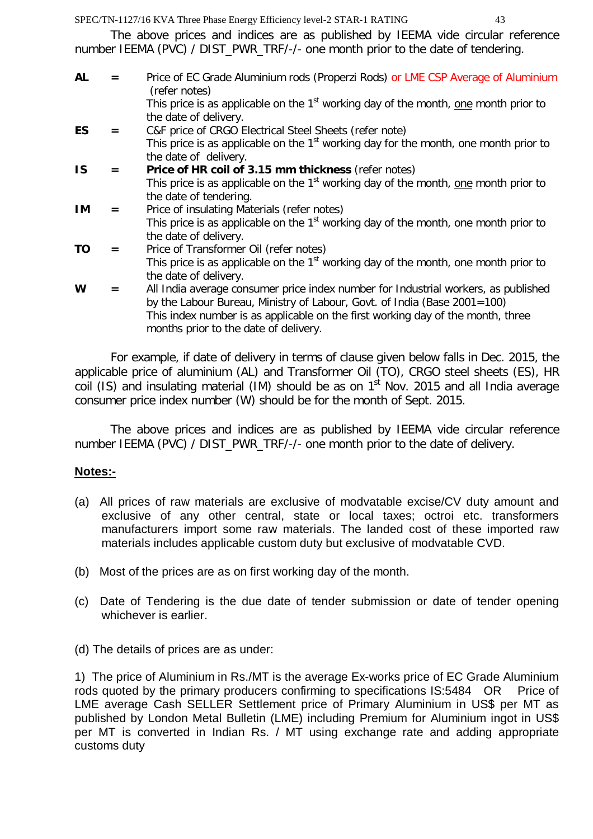The above prices and indices are as published by IEEMA vide circular reference number IEEMA (PVC) / DIST\_PWR\_TRF/-/- one month prior to the date of tendering.

| $=$ | Price of EC Grade Aluminium rods (Properzi Rods) or LME CSP Average of Aluminium<br>(refer notes)                         |
|-----|---------------------------------------------------------------------------------------------------------------------------|
|     | This price is as applicable on the 1 <sup>st</sup> working day of the month, one month prior to<br>the date of delivery.  |
| $=$ | C&F price of CRGO Electrical Steel Sheets (refer note)                                                                    |
|     | This price is as applicable on the 1 <sup>st</sup> working day for the month, one month prior to<br>the date of delivery. |
| $=$ | Price of HR coil of 3.15 mm thickness (refer notes)                                                                       |
|     | This price is as applicable on the 1 <sup>st</sup> working day of the month, one month prior to                           |
|     | the date of tendering.                                                                                                    |
| $=$ | Price of insulating Materials (refer notes)                                                                               |
|     | This price is as applicable on the 1 <sup>st</sup> working day of the month, one month prior to                           |
|     | the date of delivery.                                                                                                     |
| $=$ | Price of Transformer Oil (refer notes)                                                                                    |
|     | This price is as applicable on the 1 <sup>st</sup> working day of the month, one month prior to                           |
|     | the date of delivery.                                                                                                     |
| $=$ | All India average consumer price index number for Industrial workers, as published                                        |
|     | by the Labour Bureau, Ministry of Labour, Govt. of India (Base 2001=100)                                                  |
|     | This index number is as applicable on the first working day of the month, three                                           |
|     | months prior to the date of delivery.                                                                                     |
|     |                                                                                                                           |

For example, if date of delivery in terms of clause given below falls in Dec. 2015, the applicable price of aluminium (AL) and Transformer Oil (TO), CRGO steel sheets (ES), HR coil (IS) and insulating material (IM) should be as on  $1<sup>st</sup>$  Nov. 2015 and all India average consumer price index number (W) should be for the month of Sept. 2015.

The above prices and indices are as published by IEEMA vide circular reference number IEEMA (PVC) / DIST\_PWR\_TRF/-/- one month prior to the date of delivery.

# **Notes:-**

- (a) All prices of raw materials are exclusive of modvatable excise/CV duty amount and exclusive of any other central, state or local taxes; octroi etc. transformers manufacturers import some raw materials. The landed cost of these imported raw materials includes applicable custom duty but exclusive of modvatable CVD.
- (b) Most of the prices are as on first working day of the month.
- (c) Date of Tendering is the due date of tender submission or date of tender opening whichever is earlier.
- (d) The details of prices are as under:

1) The price of Aluminium in Rs./MT is the average Ex-works price of EC Grade Aluminium rods quoted by the primary producers confirming to specifications IS:5484 OR Price of LME average Cash SELLER Settlement price of Primary Aluminium in US\$ per MT as published by London Metal Bulletin (LME) including Premium for Aluminium ingot in US\$ per MT is converted in Indian Rs. / MT using exchange rate and adding appropriate customs duty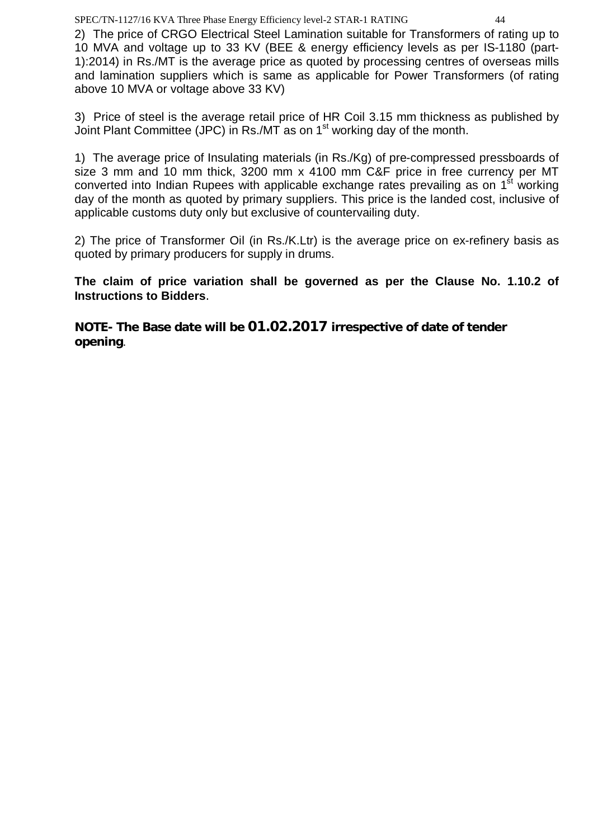2) The price of CRGO Electrical Steel Lamination suitable for Transformers of rating up to 10 MVA and voltage up to 33 KV (BEE & energy efficiency levels as per IS-1180 (part-1):2014) in Rs./MT is the average price as quoted by processing centres of overseas mills and lamination suppliers which is same as applicable for Power Transformers (of rating above 10 MVA or voltage above 33 KV)

3) Price of steel is the average retail price of HR Coil 3.15 mm thickness as published by Joint Plant Committee (JPC) in Rs./MT as on 1st working day of the month.

1) The average price of Insulating materials (in Rs./Kg) of pre-compressed pressboards of size 3 mm and 10 mm thick, 3200 mm x 4100 mm C&F price in free currency per MT converted into Indian Rupees with applicable exchange rates prevailing as on 1<sup>st</sup> working day of the month as quoted by primary suppliers. This price is the landed cost, inclusive of applicable customs duty only but exclusive of countervailing duty.

2) The price of Transformer Oil (in Rs./K.Ltr) is the average price on ex-refinery basis as quoted by primary producers for supply in drums.

**The claim of price variation shall be governed as per the Clause No. 1.10.2 of Instructions to Bidders**.

**NOTE- The Base date will be 01.02.2017 irrespective of date of tender opening**.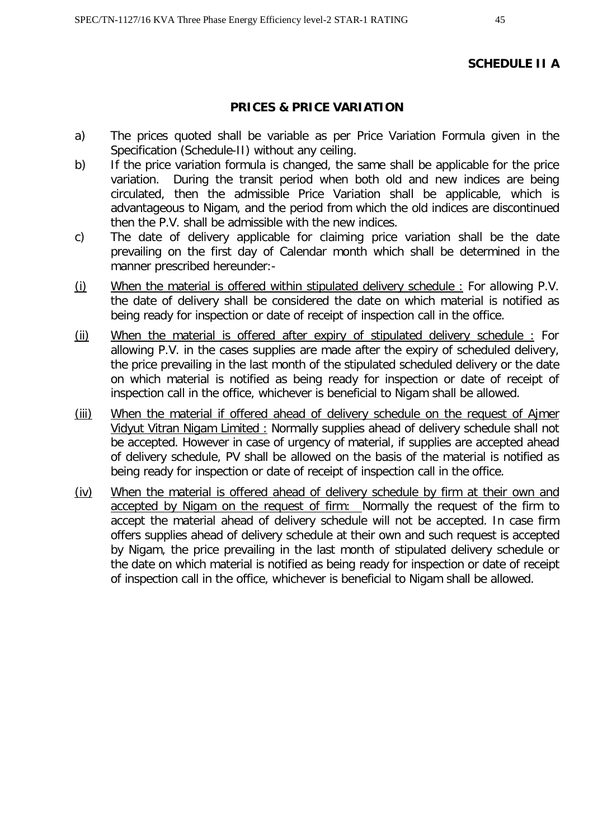#### **SCHEDULE II A**

#### **PRICES & PRICE VARIATION**

- a) The prices quoted shall be variable as per Price Variation Formula given in the Specification (Schedule-II) without any ceiling.
- b) If the price variation formula is changed, the same shall be applicable for the price variation. During the transit period when both old and new indices are being circulated, then the admissible Price Variation shall be applicable, which is advantageous to Nigam, and the period from which the old indices are discontinued then the P.V. shall be admissible with the new indices.
- c) The date of delivery applicable for claiming price variation shall be the date prevailing on the first day of Calendar month which shall be determined in the manner prescribed hereunder:-
- (i) When the material is offered within stipulated delivery schedule : For allowing P.V. the date of delivery shall be considered the date on which material is notified as being ready for inspection or date of receipt of inspection call in the office.
- (ii) When the material is offered after expiry of stipulated delivery schedule : For allowing P.V. in the cases supplies are made after the expiry of scheduled delivery, the price prevailing in the last month of the stipulated scheduled delivery or the date on which material is notified as being ready for inspection or date of receipt of inspection call in the office, whichever is beneficial to Nigam shall be allowed.
- (iii) When the material if offered ahead of delivery schedule on the request of Ajmer Vidyut Vitran Nigam Limited : Normally supplies ahead of delivery schedule shall not be accepted. However in case of urgency of material, if supplies are accepted ahead of delivery schedule, PV shall be allowed on the basis of the material is notified as being ready for inspection or date of receipt of inspection call in the office.
- (iv) When the material is offered ahead of delivery schedule by firm at their own and accepted by Nigam on the request of firm: Normally the request of the firm to accept the material ahead of delivery schedule will not be accepted. In case firm offers supplies ahead of delivery schedule at their own and such request is accepted by Nigam, the price prevailing in the last month of stipulated delivery schedule or the date on which material is notified as being ready for inspection or date of receipt of inspection call in the office, whichever is beneficial to Nigam shall be allowed.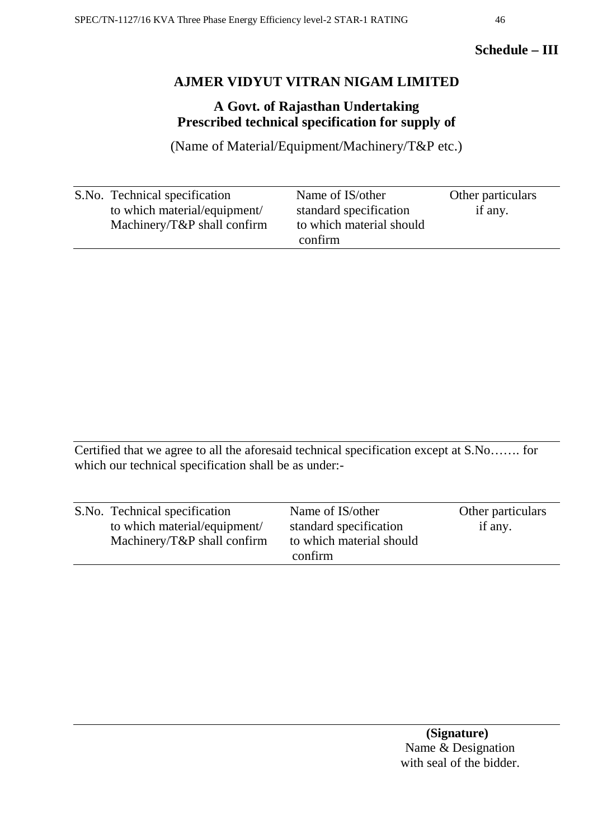# **Schedule – III**

# **AJMER VIDYUT VITRAN NIGAM LIMITED**

# **A Govt. of Rajasthan Undertaking Prescribed technical specification for supply of**

(Name of Material/Equipment/Machinery/T&P etc.)

| S.No. Technical specification   | Name of IS/other         | Other particulars |
|---------------------------------|--------------------------|-------------------|
| to which material/equipment/    | standard specification   | if any.           |
| Machinery/ $T\&P$ shall confirm | to which material should |                   |
|                                 | confirm                  |                   |

Certified that we agree to all the aforesaid technical specification except at S.No……. for which our technical specification shall be as under:-

| S.No. Technical specification   | Name of IS/other         | Other particulars |
|---------------------------------|--------------------------|-------------------|
| to which material/equipment/    | standard specification   | if any.           |
| Machinery/ $T\&P$ shall confirm | to which material should |                   |
|                                 | confirm                  |                   |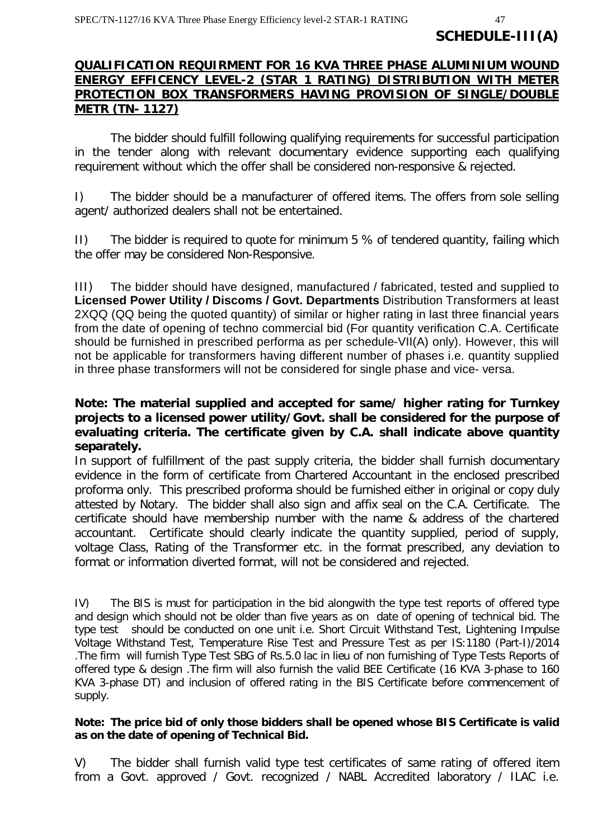#### **QUALIFICATION REQUIRMENT FOR 16 KVA THREE PHASE ALUMINIUM WOUND ENERGY EFFICENCY LEVEL-2 (STAR 1 RATING) DISTRIBUTION WITH METER PROTECTION BOX TRANSFORMERS HAVING PROVISION OF SINGLE/DOUBLE METR (TN- 1127)**

The bidder should fulfill following qualifying requirements for successful participation in the tender along with relevant documentary evidence supporting each qualifying requirement without which the offer shall be considered non-responsive & rejected.

I) The bidder should be a manufacturer of offered items. The offers from sole selling agent/ authorized dealers shall not be entertained.

II) The bidder is required to quote for minimum 5 % of tendered quantity, failing which the offer may be considered Non-Responsive.

III)The bidder should have designed, manufactured / fabricated, tested and supplied to **Licensed Power Utility / Discoms / Govt. Departments** Distribution Transformers at least 2XQQ (QQ being the quoted quantity) of similar or higher rating in last three financial years from the date of opening of techno commercial bid (For quantity verification C.A. Certificate should be furnished in prescribed performa as per schedule-VII(A) only). However, this will not be applicable for transformers having different number of phases i.e. quantity supplied in three phase transformers will not be considered for single phase and vice- versa.

#### **Note: The material supplied and accepted for same/ higher rating for Turnkey projects to a licensed power utility/Govt. shall be considered for the purpose of evaluating criteria. The certificate given by C.A. shall indicate above quantity separately.**

In support of fulfillment of the past supply criteria, the bidder shall furnish documentary evidence in the form of certificate from Chartered Accountant in the enclosed prescribed proforma only. This prescribed proforma should be furnished either in original or copy duly attested by Notary. The bidder shall also sign and affix seal on the C.A. Certificate. The certificate should have membership number with the name & address of the chartered accountant. Certificate should clearly indicate the quantity supplied, period of supply, voltage Class, Rating of the Transformer etc. in the format prescribed, any deviation to format or information diverted format, will not be considered and rejected.

IV) The BIS is must for participation in the bid alongwith the type test reports of offered type and design which should not be older than five years as on date of opening of technical bid. The type test should be conducted on one unit i.e. Short Circuit Withstand Test, Lightening Impulse Voltage Withstand Test, Temperature Rise Test and Pressure Test as per IS:1180 (Part-I)/2014 .The firm will furnish Type Test SBG of Rs.5.0 lac in lieu of non furnishing of Type Tests Reports of offered type & design .The firm will also furnish the valid BEE Certificate (16 KVA 3-phase to 160 KVA 3-phase DT) and inclusion of offered rating in the BIS Certificate before commencement of supply.

#### **Note: The price bid of only those bidders shall be opened whose BIS Certificate is valid as on the date of opening of Technical Bid.**

V) The bidder shall furnish valid type test certificates of same rating of offered item from a Govt. approved / Govt. recognized / NABL Accredited laboratory / ILAC i.e.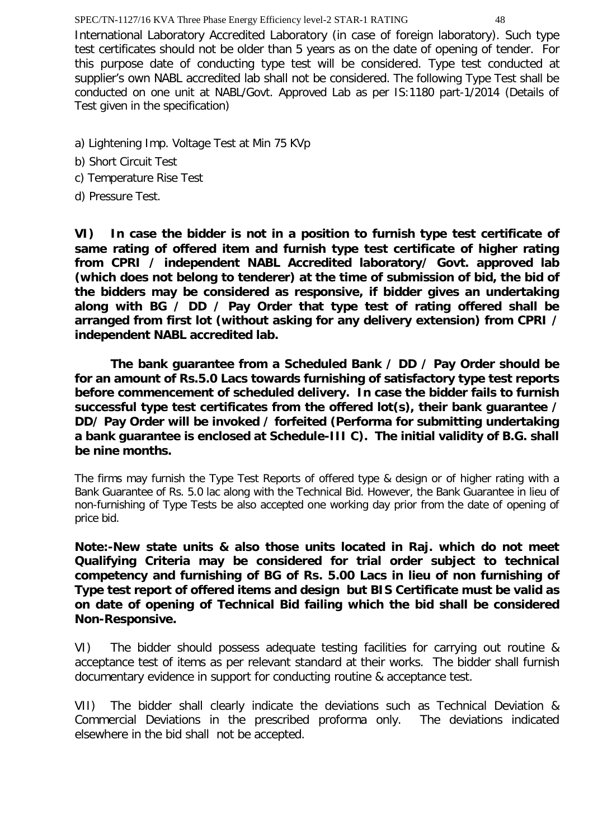International Laboratory Accredited Laboratory (in case of foreign laboratory). Such type test certificates should not be older than 5 years as on the date of opening of tender. For this purpose date of conducting type test will be considered. Type test conducted at supplier's own NABL accredited lab shall not be considered. The following Type Test shall be conducted on one unit at NABL/Govt. Approved Lab as per IS:1180 part-1/2014 (Details of Test given in the specification)

- a) Lightening Imp. Voltage Test at Min 75 KVp
- b) Short Circuit Test
- c) Temperature Rise Test
- d) Pressure Test.

**VI) In case the bidder is not in a position to furnish type test certificate of same rating of offered item and furnish type test certificate of higher rating from CPRI / independent NABL Accredited laboratory/ Govt. approved lab (which does not belong to tenderer) at the time of submission of bid, the bid of the bidders may be considered as responsive, if bidder gives an undertaking along with BG / DD / Pay Order that type test of rating offered shall be arranged from first lot (without asking for any delivery extension) from CPRI / independent NABL accredited lab.**

**The bank guarantee from a Scheduled Bank / DD / Pay Order should be for an amount of Rs.5.0 Lacs towards furnishing of satisfactory type test reports before commencement of scheduled delivery. In case the bidder fails to furnish successful type test certificates from the offered lot(s), their bank guarantee / DD/ Pay Order will be invoked / forfeited (Performa for submitting undertaking a bank guarantee is enclosed at Schedule-III C). The initial validity of B.G. shall be nine months.**

The firms may furnish the Type Test Reports of offered type & design or of higher rating with a Bank Guarantee of Rs. 5.0 lac along with the Technical Bid. However, the Bank Guarantee in lieu of non-furnishing of Type Tests be also accepted one working day prior from the date of opening of price bid.

**Note:-New state units & also those units located in Raj. which do not meet Qualifying Criteria may be considered for trial order subject to technical competency and furnishing of BG of Rs. 5.00 Lacs in lieu of non furnishing of Type test report of offered items and design but BIS Certificate must be valid as on date of opening of Technical Bid failing which the bid shall be considered Non-Responsive.**

VI) The bidder should possess adequate testing facilities for carrying out routine & acceptance test of items as per relevant standard at their works. The bidder shall furnish documentary evidence in support for conducting routine & acceptance test.

VII) The bidder shall clearly indicate the deviations such as Technical Deviation & Commercial Deviations in the prescribed proforma only. The deviations indicated elsewhere in the bid shall not be accepted.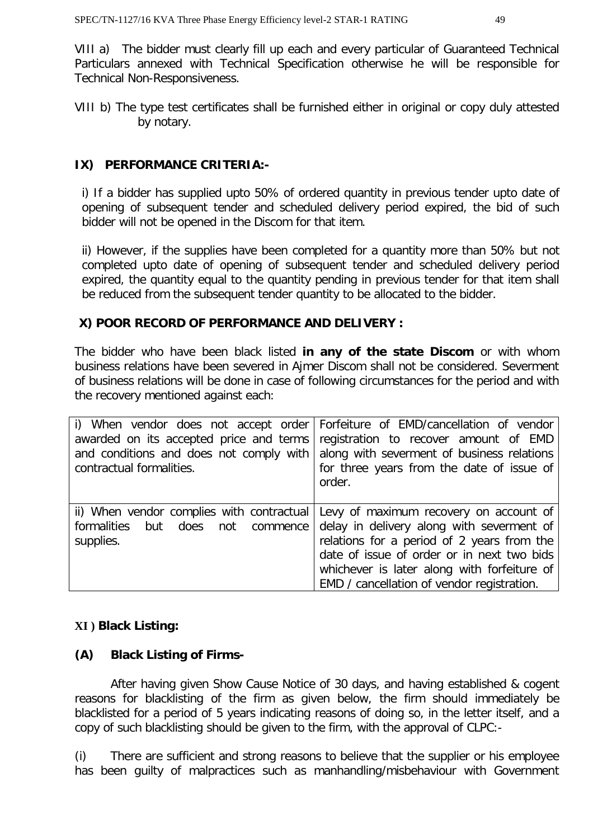VIII a) The bidder must clearly fill up each and every particular of Guaranteed Technical Particulars annexed with Technical Specification otherwise he will be responsible for Technical Non-Responsiveness.

VIII b) The type test certificates shall be furnished either in original or copy duly attested by notary.

# **IX) PERFORMANCE CRITERIA:-**

i) If a bidder has supplied upto 50% of ordered quantity in previous tender upto date of opening of subsequent tender and scheduled delivery period expired, the bid of such bidder will not be opened in the Discom for that item.

ii) However, if the supplies have been completed for a quantity more than 50% but not completed upto date of opening of subsequent tender and scheduled delivery period expired, the quantity equal to the quantity pending in previous tender for that item shall be reduced from the subsequent tender quantity to be allocated to the bidder.

# **X) POOR RECORD OF PERFORMANCE AND DELIVERY :**

The bidder who have been black listed **in any of the state Discom** or with whom business relations have been severed in Ajmer Discom shall not be considered. Severment of business relations will be done in case of following circumstances for the period and with the recovery mentioned against each:

| and conditions and does not comply with<br>contractual formalities.                            | i) When vendor does not accept order Forfeiture of EMD/cancellation of vendor<br>awarded on its accepted price and terms registration to recover amount of EMD<br>along with severment of business relations<br>for three years from the date of issue of<br>order.          |
|------------------------------------------------------------------------------------------------|------------------------------------------------------------------------------------------------------------------------------------------------------------------------------------------------------------------------------------------------------------------------------|
| ii) When vendor complies with contractual<br>formalities<br>but does not commence<br>supplies. | Levy of maximum recovery on account of<br>delay in delivery along with severment of<br>relations for a period of 2 years from the<br>date of issue of order or in next two bids<br>whichever is later along with forfeiture of<br>EMD / cancellation of vendor registration. |

#### **XI ) Black Listing:**

# **(A) Black Listing of Firms-**

After having given Show Cause Notice of 30 days, and having established & cogent reasons for blacklisting of the firm as given below, the firm should immediately be blacklisted for a period of 5 years indicating reasons of doing so, in the letter itself, and a copy of such blacklisting should be given to the firm, with the approval of CLPC:-

(i) There are sufficient and strong reasons to believe that the supplier or his employee has been guilty of malpractices such as manhandling/misbehaviour with Government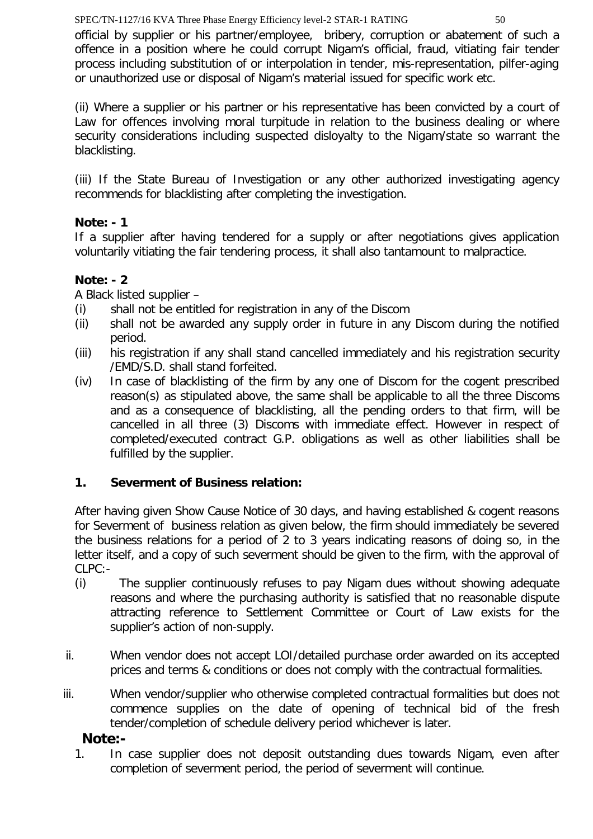official by supplier or his partner/employee, bribery, corruption or abatement of such a offence in a position where he could corrupt Nigam's official, fraud, vitiating fair tender process including substitution of or interpolation in tender, mis-representation, pilfer-aging or unauthorized use or disposal of Nigam's material issued for specific work etc.

(ii) Where a supplier or his partner or his representative has been convicted by a court of Law for offences involving moral turpitude in relation to the business dealing or where security considerations including suspected disloyalty to the Nigam/state so warrant the blacklisting.

(iii) If the State Bureau of Investigation or any other authorized investigating agency recommends for blacklisting after completing the investigation.

# **Note: - 1**

If a supplier after having tendered for a supply or after negotiations gives application voluntarily vitiating the fair tendering process, it shall also tantamount to malpractice.

# **Note: - 2**

A Black listed supplier –

- (i) shall not be entitled for registration in any of the Discom
- (ii) shall not be awarded any supply order in future in any Discom during the notified period.
- (iii) his registration if any shall stand cancelled immediately and his registration security /EMD/S.D. shall stand forfeited.
- (iv) In case of blacklisting of the firm by any one of Discom for the cogent prescribed reason(s) as stipulated above, the same shall be applicable to all the three Discoms and as a consequence of blacklisting, all the pending orders to that firm, will be cancelled in all three (3) Discoms with immediate effect. However in respect of completed/executed contract G.P. obligations as well as other liabilities shall be fulfilled by the supplier.

# **1. Severment of Business relation:**

After having given Show Cause Notice of 30 days, and having established & cogent reasons for Severment of business relation as given below, the firm should immediately be severed the business relations for a period of 2 to 3 years indicating reasons of doing so, in the letter itself, and a copy of such severment should be given to the firm, with the approval of CLPC:-

- (i) The supplier continuously refuses to pay Nigam dues without showing adequate reasons and where the purchasing authority is satisfied that no reasonable dispute attracting reference to Settlement Committee or Court of Law exists for the supplier's action of non-supply.
- ii. When vendor does not accept LOI/detailed purchase order awarded on its accepted prices and terms & conditions or does not comply with the contractual formalities.
- iii. When vendor/supplier who otherwise completed contractual formalities but does not commence supplies on the date of opening of technical bid of the fresh tender/completion of schedule delivery period whichever is later.

# **Note:-**

1. In case supplier does not deposit outstanding dues towards Nigam, even after completion of severment period, the period of severment will continue.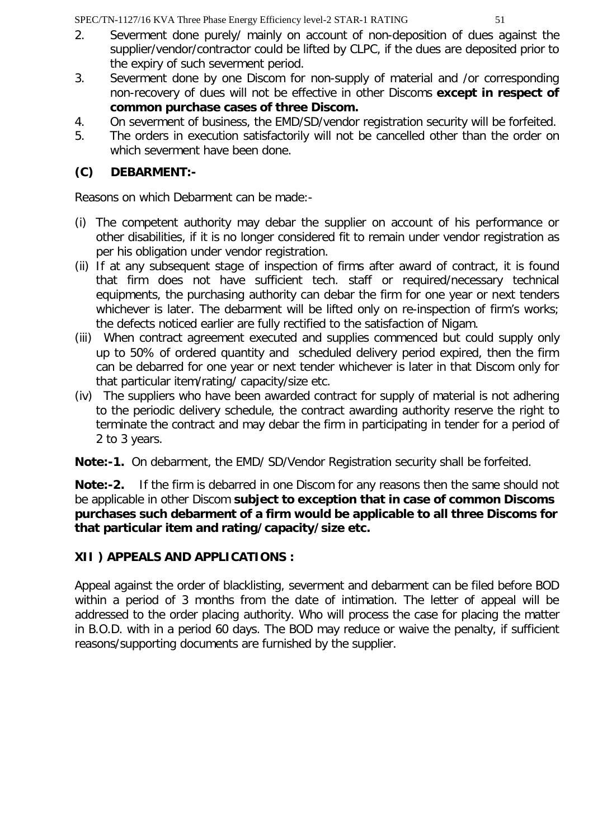- 2. Severment done purely/ mainly on account of non-deposition of dues against the supplier/vendor/contractor could be lifted by CLPC, if the dues are deposited prior to the expiry of such severment period.
- 3. Severment done by one Discom for non-supply of material and /or corresponding non-recovery of dues will not be effective in other Discoms **except in respect of common purchase cases of three Discom.**
- 4. On severment of business, the EMD/SD/vendor registration security will be forfeited.
- 5. The orders in execution satisfactorily will not be cancelled other than the order on which severment have been done.

# **(C) DEBARMENT:-**

Reasons on which Debarment can be made:-

- (i) The competent authority may debar the supplier on account of his performance or other disabilities, if it is no longer considered fit to remain under vendor registration as per his obligation under vendor registration.
- (ii) If at any subsequent stage of inspection of firms after award of contract, it is found that firm does not have sufficient tech. staff or required/necessary technical equipments, the purchasing authority can debar the firm for one year or next tenders whichever is later. The debarment will be lifted only on re-inspection of firm's works; the defects noticed earlier are fully rectified to the satisfaction of Nigam.
- (iii) When contract agreement executed and supplies commenced but could supply only up to 50% of ordered quantity and scheduled delivery period expired, then the firm can be debarred for one year or next tender whichever is later in that Discom only for that particular item/rating/ capacity/size etc.
- (iv) The suppliers who have been awarded contract for supply of material is not adhering to the periodic delivery schedule, the contract awarding authority reserve the right to terminate the contract and may debar the firm in participating in tender for a period of 2 to 3 years.

**Note:-1.** On debarment, the EMD/ SD/Vendor Registration security shall be forfeited.

**Note:-2.** If the firm is debarred in one Discom for any reasons then the same should not be applicable in other Discom **subject to exception that in case of common Discoms purchases such debarment of a firm would be applicable to all three Discoms for that particular item and rating/capacity/size etc.**

# **XII ) APPEALS AND APPLICATIONS :**

Appeal against the order of blacklisting, severment and debarment can be filed before BOD within a period of 3 months from the date of intimation. The letter of appeal will be addressed to the order placing authority. Who will process the case for placing the matter in B.O.D. with in a period 60 days. The BOD may reduce or waive the penalty, if sufficient reasons/supporting documents are furnished by the supplier.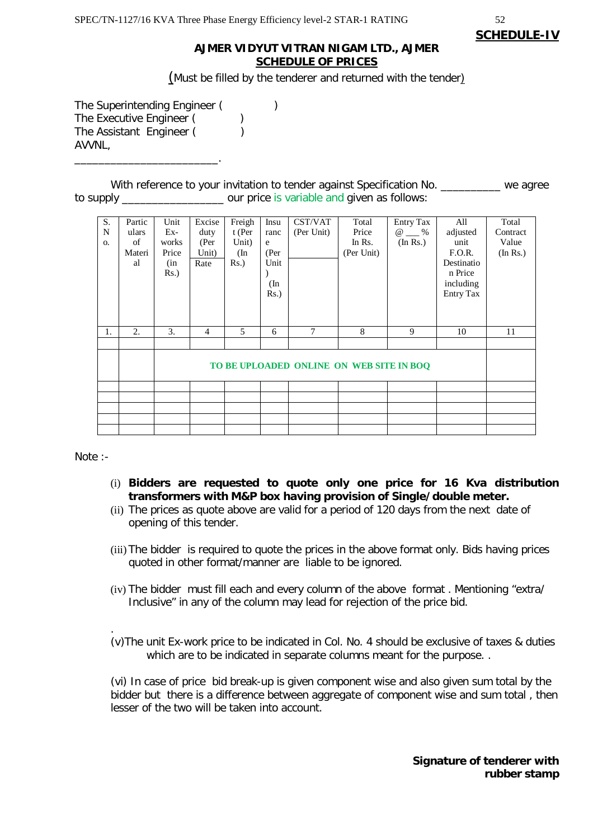#### **AJMER VIDYUT VITRAN NIGAM LTD., AJMER SCHEDULE OF PRICES**

(Must be filled by the tenderer and returned with the tender)

The Superintending Engineer (
) The Executive Engineer () The Assistant Engineer () AVVNL,

\_\_\_\_\_\_\_\_\_\_\_\_\_\_\_\_\_\_\_\_\_\_\_\_.

With reference to your invitation to tender against Specification No. \_\_\_\_\_\_\_\_\_ we agree to supply \_\_\_\_\_\_\_\_\_\_\_\_\_\_\_\_\_ our price is variable and given as follows:

| S.<br>N<br><b>O.</b> | Partic<br>ulars<br>of<br>Materi<br>al | Unit<br>$Ex-$<br>works<br>Price<br>(in<br>$Rs.$ ) | Excise<br>duty<br>(Per<br>Unit)<br>Rate | Freigh<br>t (Per<br>Unit)<br>(In<br>Rs.) | Insu<br>ranc<br>e<br>(Per<br>Unit<br>(In<br>$Rs.$ ) | CST/VAT<br>(Per Unit)                    | Total<br>Price<br>In Rs.<br>(Per Unit) | <b>Entry Tax</b><br>$\omega \qquad \%$<br>(In Rs.) | All<br>adjusted<br>unit<br>F.O.R.<br>Destinatio<br>n Price<br>including<br><b>Entry Tax</b> | Total<br>Contract<br>Value<br>(In Rs.) |
|----------------------|---------------------------------------|---------------------------------------------------|-----------------------------------------|------------------------------------------|-----------------------------------------------------|------------------------------------------|----------------------------------------|----------------------------------------------------|---------------------------------------------------------------------------------------------|----------------------------------------|
| 1.                   | 2.                                    | 3.                                                | $\overline{4}$                          | 5                                        | 6                                                   | 7                                        | 8                                      | 9                                                  | 10                                                                                          | 11                                     |
|                      |                                       |                                                   |                                         |                                          |                                                     |                                          |                                        |                                                    |                                                                                             |                                        |
|                      |                                       |                                                   |                                         |                                          |                                                     | TO BE UPLOADED ONLINE ON WEB SITE IN BOQ |                                        |                                                    |                                                                                             |                                        |
|                      |                                       |                                                   |                                         |                                          |                                                     |                                          |                                        |                                                    |                                                                                             |                                        |
|                      |                                       |                                                   |                                         |                                          |                                                     |                                          |                                        |                                                    |                                                                                             |                                        |
|                      |                                       |                                                   |                                         |                                          |                                                     |                                          |                                        |                                                    |                                                                                             |                                        |
|                      |                                       |                                                   |                                         |                                          |                                                     |                                          |                                        |                                                    |                                                                                             |                                        |

Note :-

- (i) **Bidders are requested to quote only one price for 16 Kva distribution transformers with M&P box having provision of Single/double meter.**
- (ii) The prices as quote above are valid for a period of 120 days from the next date of opening of this tender.
- (iii)The bidder is required to quote the prices in the above format only. Bids having prices quoted in other format/manner are liable to be ignored.
- (iv) The bidder must fill each and every column of the above format . Mentioning "extra/ Inclusive" in any of the column may lead for rejection of the price bid.
- . (v)The unit Ex-work price to be indicated in Col. No. 4 should be exclusive of taxes & duties which are to be indicated in separate columns meant for the purpose..

(vi) In case of price bid break-up is given component wise and also given sum total by the bidder but there is a difference between aggregate of component wise and sum total , then lesser of the two will be taken into account.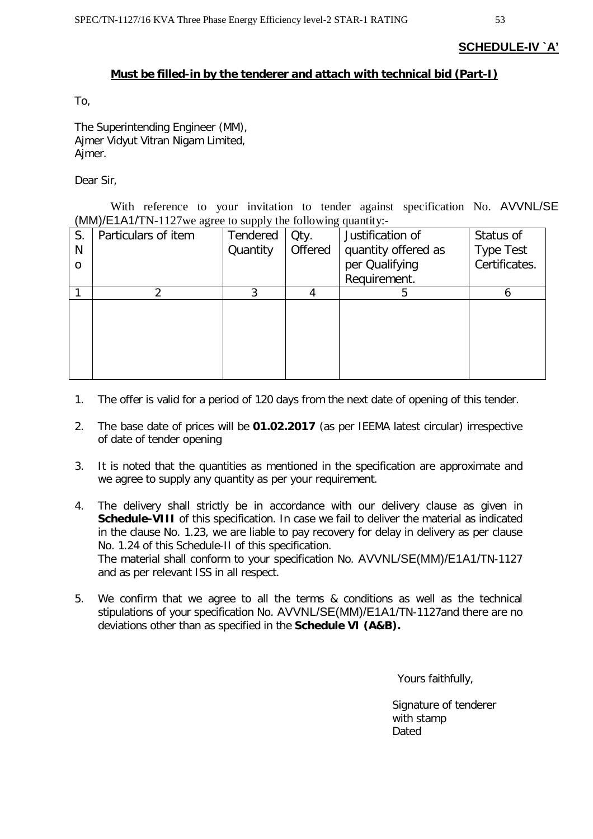#### **SCHEDULE-IV `A'**

#### **Must be filled-in by the tenderer and attach with technical bid (Part-I)**

To,

The Superintending Engineer (MM), Ajmer Vidyut Vitran Nigam Limited, Ajmer.

Dear Sir,

With reference to your invitation to tender against specification No. AVVNL/SE (MM)/E1A1/TN-1127we agree to supply the following quantity:-

| S.       | Particulars of item | Tendered | Qty.    | Justification of    | Status of        |
|----------|---------------------|----------|---------|---------------------|------------------|
| N        |                     | Quantity | Offered | quantity offered as | <b>Type Test</b> |
| $\Omega$ |                     |          |         | per Qualifying      | Certificates.    |
|          |                     |          |         | Requirement.        |                  |
|          |                     | 3        |         | 5                   |                  |
|          |                     |          |         |                     |                  |
|          |                     |          |         |                     |                  |
|          |                     |          |         |                     |                  |
|          |                     |          |         |                     |                  |
|          |                     |          |         |                     |                  |
|          |                     |          |         |                     |                  |

- 1. The offer is valid for a period of 120 days from the next date of opening of this tender.
- 2. The base date of prices will be **01.02.2017** (as per IEEMA latest circular) irrespective of date of tender opening
- 3. It is noted that the quantities as mentioned in the specification are approximate and we agree to supply any quantity as per your requirement.
- 4. The delivery shall strictly be in accordance with our delivery clause as given in **Schedule-VIII** of this specification. In case we fail to deliver the material as indicated in the clause No. 1.23, we are liable to pay recovery for delay in delivery as per clause No. 1.24 of this Schedule-II of this specification. The material shall conform to your specification No. AVVNL/SE(MM)/E1A1/TN-1127 and as per relevant ISS in all respect.
- 5. We confirm that we agree to all the terms & conditions as well as the technical stipulations of your specification No. AVVNL/SE(MM)/E1A1/TN-1127and there are no deviations other than as specified in the **Schedule VI (A&B).**

Yours faithfully,

 Signature of tenderer with stamp Dated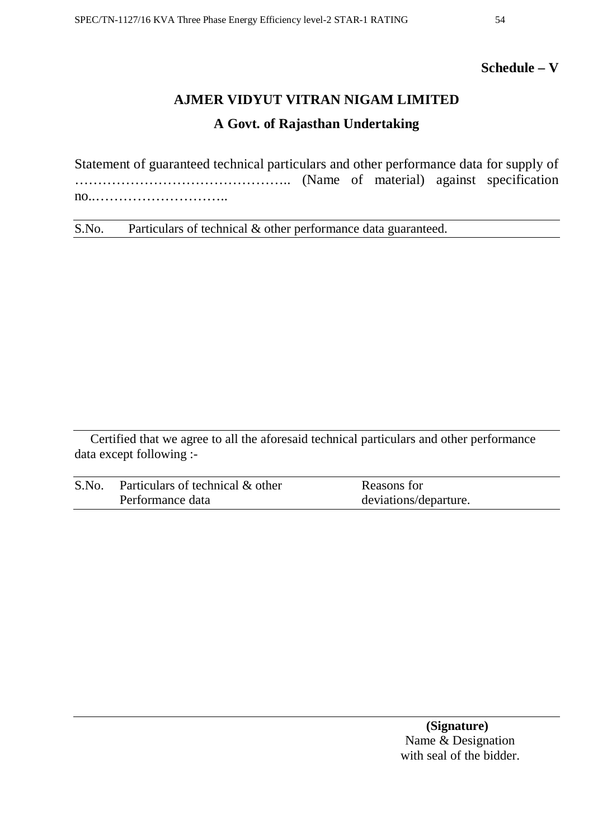# **Schedule – V**

# **AJMER VIDYUT VITRAN NIGAM LIMITED A Govt. of Rajasthan Undertaking**

Statement of guaranteed technical particulars and other performance data for supply of ……………………………………….. (Name of material) against specification no..………………………..

S.No. Particulars of technical & other performance data guaranteed.

Certified that we agree to all the aforesaid technical particulars and other performance data except following :-

| S.No. | Particulars of technical & other | Reasons for           |
|-------|----------------------------------|-----------------------|
|       | Performance data                 | deviations/departure. |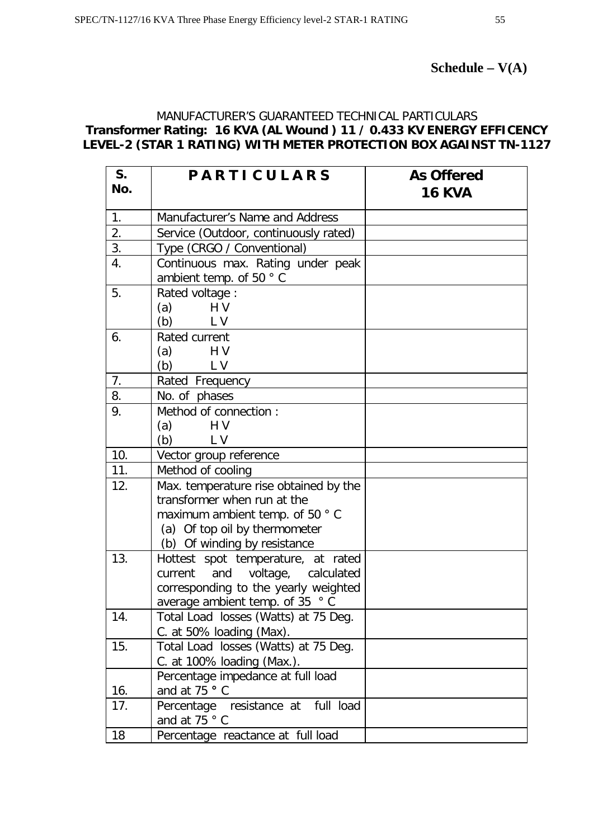#### MANUFACTURER'S GUARANTEED TECHNICAL PARTICULARS **Transformer Rating: 16 KVA (AL Wound ) 11 / 0.433 KV ENERGY EFFICENCY LEVEL-2 (STAR 1 RATING) WITH METER PROTECTION BOX AGAINST TN-1127**

| S.<br>No. | <b>PARTICULARS</b>                                                                                                                                                      | <b>As Offered</b><br><b>16 KVA</b> |
|-----------|-------------------------------------------------------------------------------------------------------------------------------------------------------------------------|------------------------------------|
| 1.        | Manufacturer's Name and Address                                                                                                                                         |                                    |
| 2.        | Service (Outdoor, continuously rated)                                                                                                                                   |                                    |
| 3.        | Type (CRGO / Conventional)                                                                                                                                              |                                    |
| 4.        | Continuous max. Rating under peak<br>ambient temp. of 50 °C                                                                                                             |                                    |
| 5.        | Rated voltage :<br>H <sub>V</sub><br>(a)<br>(b) L V                                                                                                                     |                                    |
| 6.        | Rated current<br>(a)<br>H V<br>L V<br>(b)                                                                                                                               |                                    |
| 7.        | Rated Frequency                                                                                                                                                         |                                    |
| 8.        | No. of phases                                                                                                                                                           |                                    |
| 9.        | Method of connection :<br>HV<br>(a)<br>L V<br>(b)                                                                                                                       |                                    |
| 10.       | Vector group reference                                                                                                                                                  |                                    |
| 11.       | Method of cooling                                                                                                                                                       |                                    |
| 12.       | Max. temperature rise obtained by the<br>transformer when run at the<br>maximum ambient temp. of 50 °C<br>(a) Of top oil by thermometer<br>(b) Of winding by resistance |                                    |
| 13.       | Hottest spot temperature, at rated<br>voltage, calculated<br>and<br>current<br>corresponding to the yearly weighted<br>average ambient temp. of 35 °C                   |                                    |
| 14.       | Total Load losses (Watts) at 75 Deg.<br>C. at 50% loading (Max).                                                                                                        |                                    |
| 15.       | Total Load losses (Watts) at 75 Deg.<br>C. at 100% loading (Max.).                                                                                                      |                                    |
| 16.       | Percentage impedance at full load<br>and at 75 ° C                                                                                                                      |                                    |
| 17.       | Percentage resistance at<br>full load<br>and at 75 $\degree$ C                                                                                                          |                                    |
| 18        | Percentage reactance at full load                                                                                                                                       |                                    |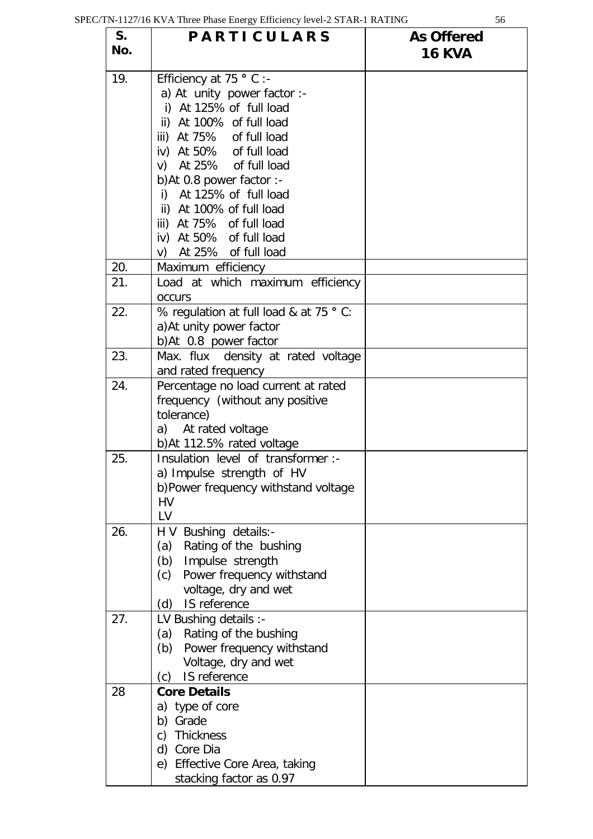| S.<br>No. | <b>PARTICULARS</b>                                                                                                                                                                                                                                                                                                                                                               | <b>As Offered</b><br><b>16 KVA</b> |
|-----------|----------------------------------------------------------------------------------------------------------------------------------------------------------------------------------------------------------------------------------------------------------------------------------------------------------------------------------------------------------------------------------|------------------------------------|
| 19.       | Efficiency at 75 $\degree$ C :-<br>a) At unity power factor :-<br>i) At 125% of full load<br>ii) At 100% of full load<br>iii) At 75% of full load<br>iv) At 50% of full load<br>At 25% of full load<br>V)<br>b)At 0.8 power factor :-<br>At 125% of full load<br>i)<br>ii) At 100% of full load<br>iii) At 75% of full load<br>iv) At 50% of full load<br>v) At 25% of full load |                                    |
| 20.       | Maximum efficiency                                                                                                                                                                                                                                                                                                                                                               |                                    |
| 21.       | Load at which maximum efficiency<br><b>OCCULS</b>                                                                                                                                                                                                                                                                                                                                |                                    |
| 22.       | % regulation at full load & at 75 ° C:<br>a) At unity power factor<br>b)At 0.8 power factor                                                                                                                                                                                                                                                                                      |                                    |
| 23.       | Max. flux density at rated voltage<br>and rated frequency                                                                                                                                                                                                                                                                                                                        |                                    |
| 24.       | Percentage no load current at rated<br>frequency (without any positive<br>tolerance)<br>a) At rated voltage<br>b) At 112.5% rated voltage                                                                                                                                                                                                                                        |                                    |
| 25.       | Insulation level of transformer :-<br>a) Impulse strength of HV<br>b)Power frequency withstand voltage<br>HV<br>LV                                                                                                                                                                                                                                                               |                                    |
| 26.       | H V Bushing details:-<br>Rating of the bushing<br>(a)<br>Impulse strength<br>(b)<br>Power frequency withstand<br>(c)<br>voltage, dry and wet<br>IS reference<br>(d)                                                                                                                                                                                                              |                                    |
| 27.       | LV Bushing details :-<br>(a) Rating of the bushing<br>Power frequency withstand<br>(b)<br>Voltage, dry and wet<br>IS reference<br>(c)                                                                                                                                                                                                                                            |                                    |
| 28        | <b>Core Details</b><br>a) type of core<br>b) Grade<br>c) Thickness<br>d) Core Dia<br>e) Effective Core Area, taking<br>stacking factor as 0.97                                                                                                                                                                                                                                   |                                    |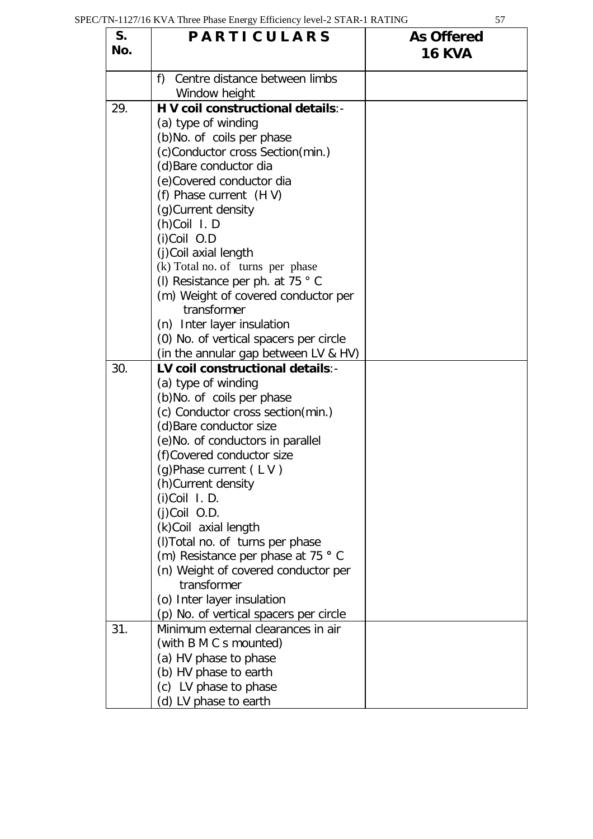| S.<br>No. | <b>PARTICULARS</b>                       | <b>As Offered</b><br><b>16 KVA</b> |
|-----------|------------------------------------------|------------------------------------|
|           | f) Centre distance between limbs         |                                    |
|           | Window height                            |                                    |
| 29.       | H V coil constructional details:-        |                                    |
|           | (a) type of winding                      |                                    |
|           | (b)No. of coils per phase                |                                    |
|           | (c)Conductor cross Section(min.)         |                                    |
|           | (d) Bare conductor dia                   |                                    |
|           | (e)Covered conductor dia                 |                                    |
|           | (f) Phase current (HV)                   |                                    |
|           | (g) Current density                      |                                    |
|           | (h)Coil I.D                              |                                    |
|           | (i)Coil O.D                              |                                    |
|           | (j)Coil axial length                     |                                    |
|           | (k) Total no. of turns per phase         |                                    |
|           | (I) Resistance per ph. at 75 $\degree$ C |                                    |
|           | (m) Weight of covered conductor per      |                                    |
|           | transformer                              |                                    |
|           | (n) Inter layer insulation               |                                    |
|           | (0) No. of vertical spacers per circle   |                                    |
|           | (in the annular gap between LV & HV)     |                                    |
| 30.       | LV coil constructional details:-         |                                    |
|           | (a) type of winding                      |                                    |
|           | (b)No. of coils per phase                |                                    |
|           | (c) Conductor cross section(min.)        |                                    |
|           | (d) Bare conductor size                  |                                    |
|           | (e) No. of conductors in parallel        |                                    |
|           | (f)Covered conductor size                |                                    |
|           | (g)Phase current $(LV)$                  |                                    |
|           | (h) Current density                      |                                    |
|           | $(i)$ Coil I.D.                          |                                    |
|           | (j)Coil O.D.                             |                                    |
|           | (k)Coil axial length                     |                                    |
|           | (I) Total no. of turns per phase         |                                    |
|           | (m) Resistance per phase at 75 ° C       |                                    |
|           | (n) Weight of covered conductor per      |                                    |
|           | transformer                              |                                    |
|           | (o) Inter layer insulation               |                                    |
|           | (p) No. of vertical spacers per circle   |                                    |
| 31.       | Minimum external clearances in air       |                                    |
|           | (with B M C s mounted)                   |                                    |
|           | (a) HV phase to phase                    |                                    |
|           | (b) HV phase to earth                    |                                    |
|           | (c) LV phase to phase                    |                                    |
|           | (d) LV phase to earth                    |                                    |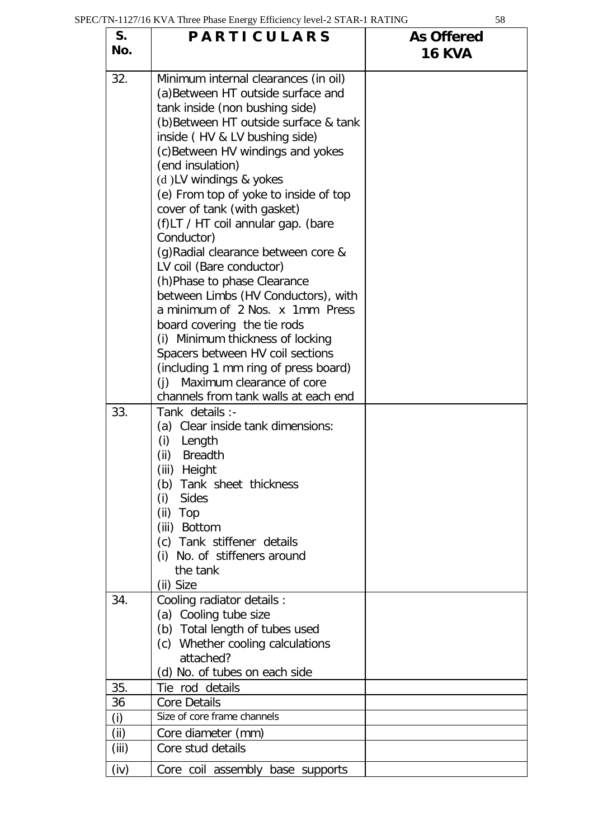| S.<br>No.   | <b>PARTICULARS</b>                                                                                                                                                                                                                                                                                                                                                                                                                                                                                                                                                                                                                                                                                                                                                                                            | <b>As Offered</b><br><b>16 KVA</b> |
|-------------|---------------------------------------------------------------------------------------------------------------------------------------------------------------------------------------------------------------------------------------------------------------------------------------------------------------------------------------------------------------------------------------------------------------------------------------------------------------------------------------------------------------------------------------------------------------------------------------------------------------------------------------------------------------------------------------------------------------------------------------------------------------------------------------------------------------|------------------------------------|
| 32.         | Minimum internal clearances (in oil)<br>(a) Between HT outside surface and<br>tank inside (non bushing side)<br>(b) Between HT outside surface & tank<br>inside (HV & LV bushing side)<br>(c) Between HV windings and yokes<br>(end insulation)<br>(d)LV windings & yokes<br>(e) From top of yoke to inside of top<br>cover of tank (with gasket)<br>(f)LT / HT coil annular gap. (bare<br>Conductor)<br>(g) Radial clearance between core &<br>LV coil (Bare conductor)<br>(h) Phase to phase Clearance<br>between Limbs (HV Conductors), with<br>a minimum of 2 Nos. x 1mm Press<br>board covering the tie rods<br>(i) Minimum thickness of locking<br>Spacers between HV coil sections<br>(including 1 mm ring of press board)<br>Maximum clearance of core<br>(i)<br>channels from tank walls at each end |                                    |
| 33.<br>34.  | Tank details :-<br>(a) Clear inside tank dimensions:<br>(i)<br>Length<br>(ii)<br><b>Breadth</b><br>(iii)<br>Height<br>(b) Tank sheet thickness<br>Sides<br>(i)<br>(ii) Top<br>(iii) Bottom<br>(c) Tank stiffener details<br>(i) No. of stiffeners around<br>the tank<br>(ii) Size<br>Cooling radiator details :<br>(a) Cooling tube size<br>(b) Total length of tubes used<br>(c) Whether cooling calculations<br>attached?                                                                                                                                                                                                                                                                                                                                                                                   |                                    |
|             | (d) No. of tubes on each side                                                                                                                                                                                                                                                                                                                                                                                                                                                                                                                                                                                                                                                                                                                                                                                 |                                    |
| 35.         | Tie rod details                                                                                                                                                                                                                                                                                                                                                                                                                                                                                                                                                                                                                                                                                                                                                                                               |                                    |
| 36          | <b>Core Details</b><br>Size of core frame channels                                                                                                                                                                                                                                                                                                                                                                                                                                                                                                                                                                                                                                                                                                                                                            |                                    |
| (i)<br>(ii) | Core diameter (mm)                                                                                                                                                                                                                                                                                                                                                                                                                                                                                                                                                                                                                                                                                                                                                                                            |                                    |
| (iii)       | Core stud details                                                                                                                                                                                                                                                                                                                                                                                                                                                                                                                                                                                                                                                                                                                                                                                             |                                    |
|             |                                                                                                                                                                                                                                                                                                                                                                                                                                                                                                                                                                                                                                                                                                                                                                                                               |                                    |
| (iv)        | Core coil assembly base supports                                                                                                                                                                                                                                                                                                                                                                                                                                                                                                                                                                                                                                                                                                                                                                              |                                    |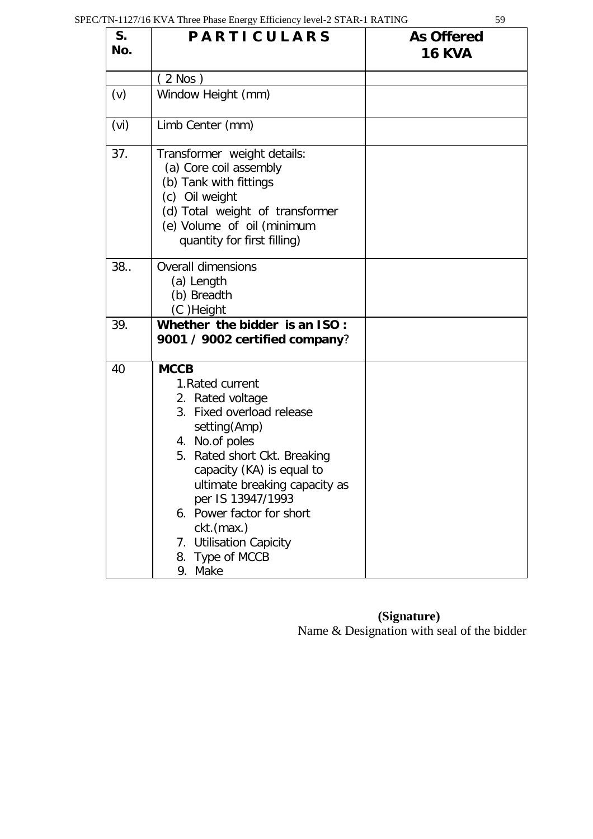| i<br>۰.<br>×<br>٠ | ۰.<br>۰.<br>v |
|-------------------|---------------|

| S.<br>No. | <b>PARTICULARS</b>                                                                                                                                                                                                                                                                                                                                      | <b>As Offered</b><br><b>16 KVA</b> |
|-----------|---------------------------------------------------------------------------------------------------------------------------------------------------------------------------------------------------------------------------------------------------------------------------------------------------------------------------------------------------------|------------------------------------|
|           | $2$ Nos $)$                                                                                                                                                                                                                                                                                                                                             |                                    |
| (v)       | Window Height (mm)                                                                                                                                                                                                                                                                                                                                      |                                    |
| (vi)      | Limb Center (mm)                                                                                                                                                                                                                                                                                                                                        |                                    |
| 37.       | Transformer weight details:<br>(a) Core coil assembly<br>(b) Tank with fittings<br>(c) Oil weight<br>(d) Total weight of transformer<br>(e) Volume of oil (minimum<br>quantity for first filling)                                                                                                                                                       |                                    |
| 38.       | <b>Overall dimensions</b><br>(a) Length<br>(b) Breadth<br>(C)Height                                                                                                                                                                                                                                                                                     |                                    |
| 39.       | Whether the bidder is an ISO:<br>9001 / 9002 certified company?                                                                                                                                                                                                                                                                                         |                                    |
| 40        | <b>MCCB</b><br>1. Rated current<br>2. Rated voltage<br>3. Fixed overload release<br>setting (Amp)<br>4. No.of poles<br>5. Rated short Ckt. Breaking<br>capacity (KA) is equal to<br>ultimate breaking capacity as<br>per IS 13947/1993<br>6. Power factor for short<br>ckt.(max.)<br><b>Utilisation Capicity</b><br>7.<br>Type of MCCB<br>8.<br>9. Make |                                    |

 **(Signature)** Name & Designation with seal of the bidder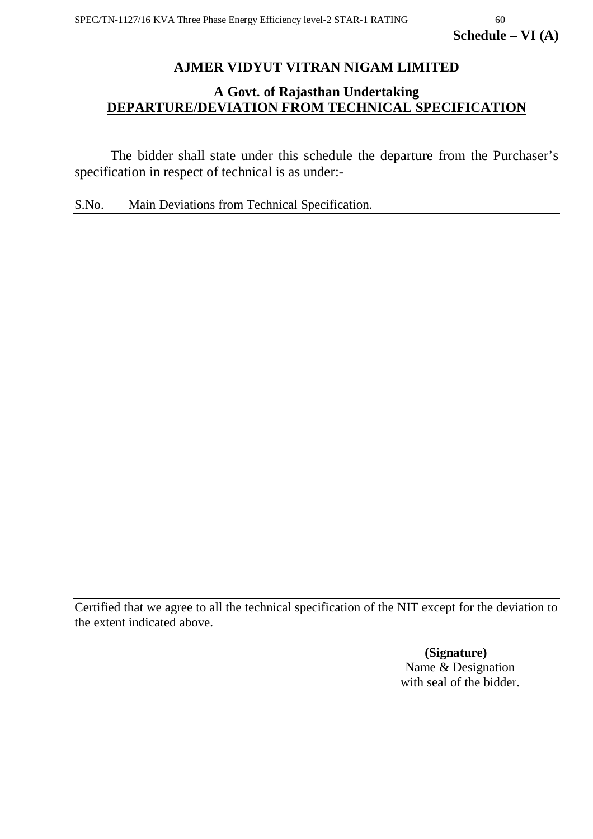# **AJMER VIDYUT VITRAN NIGAM LIMITED**

# **A Govt. of Rajasthan Undertaking DEPARTURE/DEVIATION FROM TECHNICAL SPECIFICATION**

The bidder shall state under this schedule the departure from the Purchaser's specification in respect of technical is as under:-

S.No. Main Deviations from Technical Specification.

Certified that we agree to all the technical specification of the NIT except for the deviation to the extent indicated above.

> **(Signature)** Name & Designation with seal of the bidder.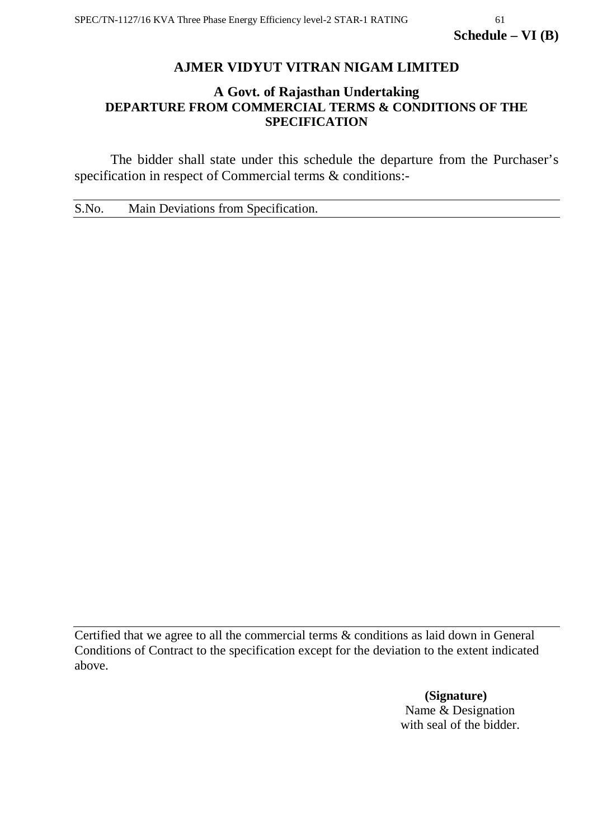# **AJMER VIDYUT VITRAN NIGAM LIMITED**

# **A Govt. of Rajasthan Undertaking DEPARTURE FROM COMMERCIAL TERMS & CONDITIONS OF THE SPECIFICATION**

The bidder shall state under this schedule the departure from the Purchaser's specification in respect of Commercial terms & conditions:-

S.No. Main Deviations from Specification.

Certified that we agree to all the commercial terms & conditions as laid down in General Conditions of Contract to the specification except for the deviation to the extent indicated above.

> **(Signature)** Name & Designation with seal of the bidder.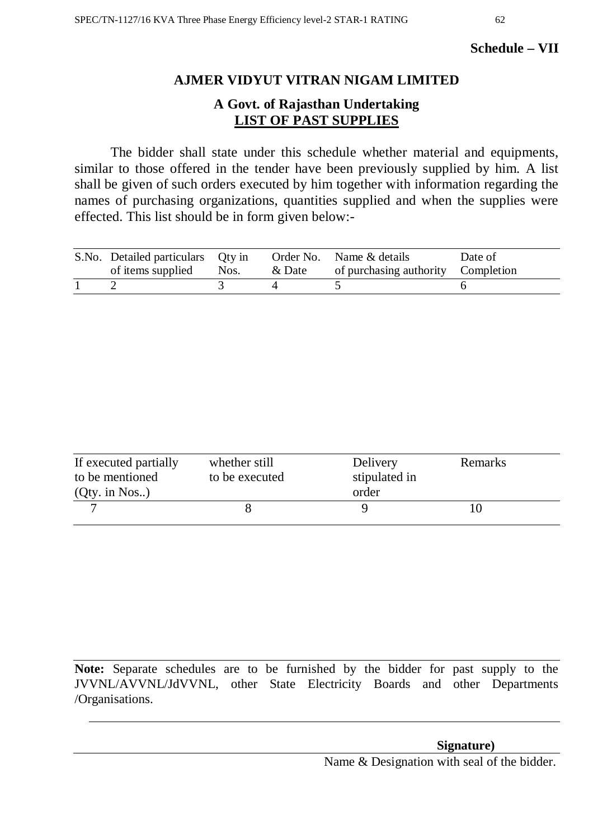# **Schedule – VII**

# **AJMER VIDYUT VITRAN NIGAM LIMITED**

# **A Govt. of Rajasthan Undertaking LIST OF PAST SUPPLIES**

The bidder shall state under this schedule whether material and equipments, similar to those offered in the tender have been previously supplied by him. A list shall be given of such orders executed by him together with information regarding the names of purchasing organizations, quantities supplied and when the supplies were effected. This list should be in form given below:-

| S.No. Detailed particulars Qty in<br>of items supplied | Nos. | & Date | Order No. Name & details<br>of purchasing authority Completion | Date of |
|--------------------------------------------------------|------|--------|----------------------------------------------------------------|---------|
|                                                        |      |        |                                                                |         |

| If executed partially<br>to be mentioned<br>$(Qty.$ in Nos) | whether still<br>to be executed | Delivery<br>stipulated in<br>order | Remarks |  |
|-------------------------------------------------------------|---------------------------------|------------------------------------|---------|--|
|                                                             |                                 |                                    |         |  |

**Note:** Separate schedules are to be furnished by the bidder for past supply to the JVVNL/AVVNL/JdVVNL, other State Electricity Boards and other Departments /Organisations.

Name & Designation with seal of the bidder.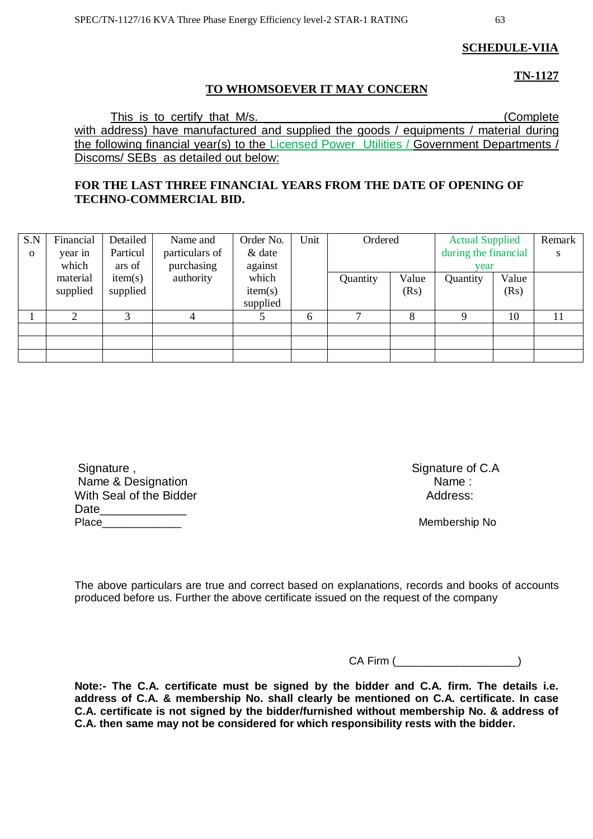**SCHEDULE-VIIA**

**TN-1127**

#### **TO WHOMSOEVER IT MAY CONCERN**

This is to certify that M/s. **Example 10** (Complete with address) have manufactured and supplied the goods / equipments / material during the following financial year(s) to the Licensed Power Utilities / Government Departments / Discoms/ SEBs as detailed out below:

#### **FOR THE LAST THREE FINANCIAL YEARS FROM THE DATE OF OPENING OF TECHNO-COMMERCIAL BID.**

| S.N          | Financial | Detailed | Name and       | Order No. | Unit | Ordered  |       | <b>Actual Supplied</b> |       | Remark |
|--------------|-----------|----------|----------------|-----------|------|----------|-------|------------------------|-------|--------|
| $\mathbf{o}$ | year in   | Particul | particulars of | & date    |      |          |       | during the financial   |       | S      |
|              | which     | ars of   | purchasing     | against   |      |          |       | year                   |       |        |
|              | material  | item(s)  | authority      | which     |      | Quantity | Value | Quantity               | Value |        |
|              | supplied  | supplied |                | item(s)   |      |          | (Rs)  |                        | (Rs)  |        |
|              |           |          |                | supplied  |      |          |       |                        |       |        |
|              | ⌒         | 3        |                |           | 6    | ⇁        | 8     | Q                      | 10    | 11     |
|              |           |          |                |           |      |          |       |                        |       |        |
|              |           |          |                |           |      |          |       |                        |       |        |
|              |           |          |                |           |      |          |       |                        |       |        |

| Signature,              | Signature of |
|-------------------------|--------------|
| Name & Designation      | Name :       |
| With Seal of the Bidder | Address:     |
| Date                    |              |
| Place                   | Membership   |

Signature of C.A<br>Name:

Membership No

The above particulars are true and correct based on explanations, records and books of accounts produced before us. Further the above certificate issued on the request of the company

CA Firm (\_\_\_\_\_\_\_\_\_\_\_\_\_\_\_\_\_\_\_\_)

**Note:- The C.A. certificate must be signed by the bidder and C.A. firm. The details i.e. address of C.A. & membership No. shall clearly be mentioned on C.A. certificate. In case C.A. certificate is not signed by the bidder/furnished without membership No. & address of C.A. then same may not be considered for which responsibility rests with the bidder.**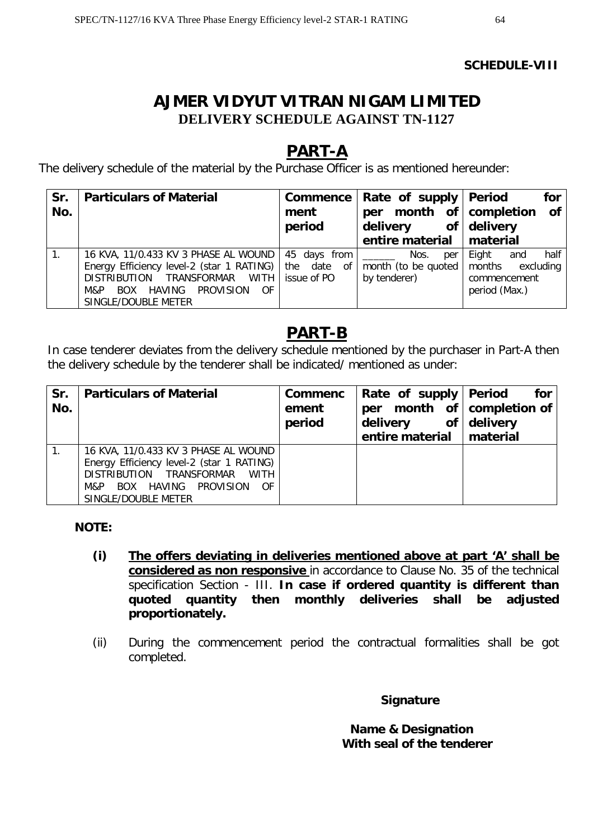#### **SCHEDULE-VIII**

# **AJMER VIDYUT VITRAN NIGAM LIMITED DELIVERY SCHEDULE AGAINST TN-1127**

# **PART-A**

The delivery schedule of the material by the Purchase Officer is as mentioned hereunder:

| Sr.<br>No. | <b>Particulars of Material</b>                                                                                                                                                                                   | ment<br>period | Commence   Rate of supply   Period<br>per month of completion<br>of<br>delivery<br>entire material   material | for<br><b>of</b><br>delivery                                                 |
|------------|------------------------------------------------------------------------------------------------------------------------------------------------------------------------------------------------------------------|----------------|---------------------------------------------------------------------------------------------------------------|------------------------------------------------------------------------------|
|            | 16 KVA, 11/0.433 KV 3 PHASE AL WOUND   45 days from<br>Energy Efficiency level-2 (star 1 RATING)   the date of  <br>DISTRIBUTION TRANSFORMAR WITH<br>HAVING PROVISION<br>0F<br>BOX<br>M&P<br>SINGLE/DOUBLE METER | issue of PO    | Nos.<br>per<br>month (to be quoted<br>by tenderer)                                                            | half<br>Eight<br>and<br>months<br>excluding<br>commencement<br>period (Max.) |

# **PART-B**

In case tenderer deviates from the delivery schedule mentioned by the purchaser in Part-A then the delivery schedule by the tenderer shall be indicated/ mentioned as under:

| Sr.<br>No. | <b>Particulars of Material</b>                                                                                                                                                   | <b>Commenc</b><br>ement<br>period | Rate of supply Period<br>per<br>delivery of delivery<br>entire material   material | for<br>month of $\mathsf{complement}$ |
|------------|----------------------------------------------------------------------------------------------------------------------------------------------------------------------------------|-----------------------------------|------------------------------------------------------------------------------------|---------------------------------------|
|            | 16 KVA, 11/0.433 KV 3 PHASE AL WOUND<br>Energy Efficiency level-2 (star 1 RATING)<br>DISTRIBUTION TRANSFORMAR WITH<br>BOX HAVING PROVISION<br>- OF<br>M&P<br>SINGLE/DOUBLE METER |                                   |                                                                                    |                                       |

# **NOTE:**

- **(i) The offers deviating in deliveries mentioned above at part 'A' shall be considered as non responsive** in accordance to Clause No. 35 of the technical specification Section - III. **In case if ordered quantity is different than quoted quantity then monthly deliveries shall be adjusted proportionately.**
- (ii) During the commencement period the contractual formalities shall be got completed.

# **Signature**

 **Name & Designation With seal of the tenderer**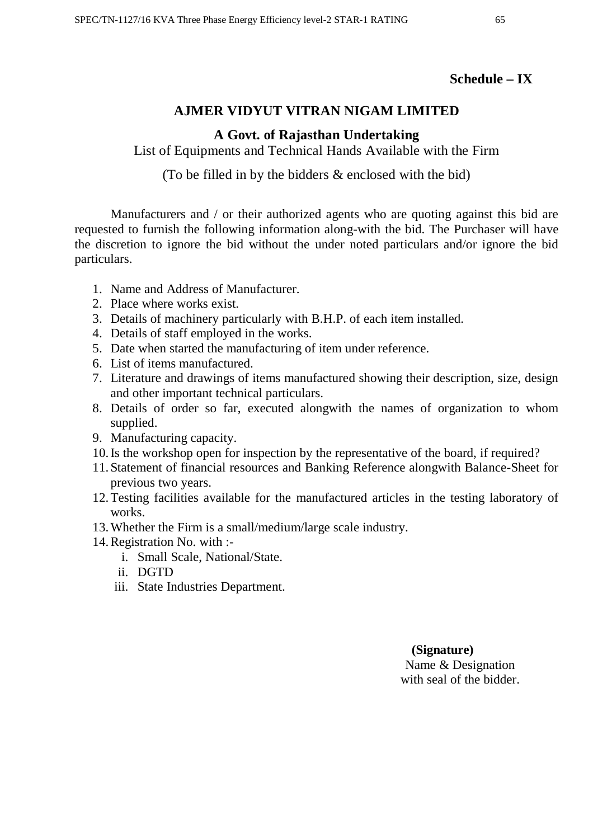# **Schedule – IX**

# **AJMER VIDYUT VITRAN NIGAM LIMITED**

# **A Govt. of Rajasthan Undertaking**

List of Equipments and Technical Hands Available with the Firm

(To be filled in by the bidders & enclosed with the bid)

Manufacturers and / or their authorized agents who are quoting against this bid are requested to furnish the following information along-with the bid. The Purchaser will have the discretion to ignore the bid without the under noted particulars and/or ignore the bid particulars.

- 1. Name and Address of Manufacturer.
- 2. Place where works exist.
- 3. Details of machinery particularly with B.H.P. of each item installed.
- 4. Details of staff employed in the works.
- 5. Date when started the manufacturing of item under reference.
- 6. List of items manufactured.
- 7. Literature and drawings of items manufactured showing their description, size, design and other important technical particulars.
- 8. Details of order so far, executed alongwith the names of organization to whom supplied.
- 9. Manufacturing capacity.
- 10.Is the workshop open for inspection by the representative of the board, if required?
- 11. Statement of financial resources and Banking Reference alongwith Balance-Sheet for previous two years.
- 12.Testing facilities available for the manufactured articles in the testing laboratory of works.
- 13.Whether the Firm is a small/medium/large scale industry.
- 14.Registration No. with :
	- i. Small Scale, National/State.
	- ii. DGTD
	- iii. State Industries Department.

 **(Signature)** Name & Designation with seal of the bidder.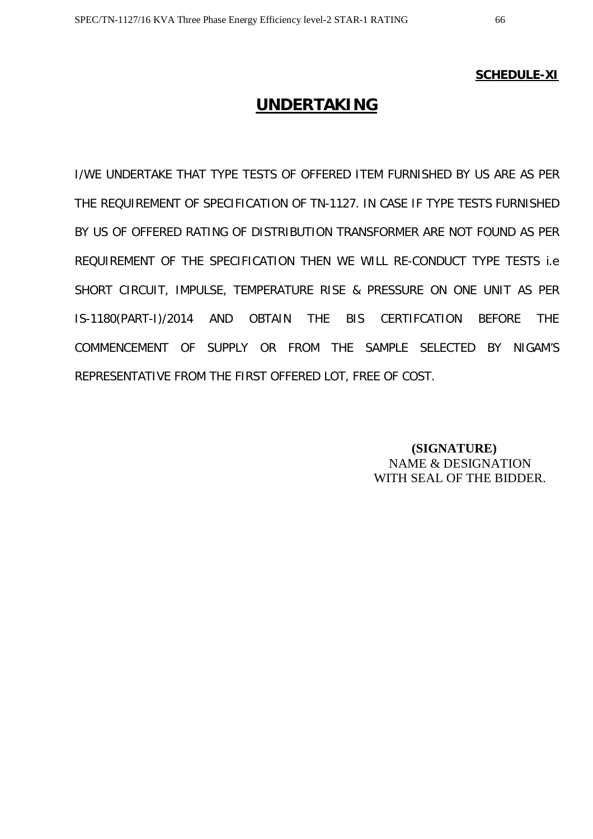#### **SCHEDULE-XI**

# **UNDERTAKING**

I/WE UNDERTAKE THAT TYPE TESTS OF OFFERED ITEM FURNISHED BY US ARE AS PER THE REQUIREMENT OF SPECIFICATION OF TN-1127. IN CASE IF TYPE TESTS FURNISHED BY US OF OFFERED RATING OF DISTRIBUTION TRANSFORMER ARE NOT FOUND AS PER REQUIREMENT OF THE SPECIFICATION THEN WE WILL RE-CONDUCT TYPE TESTS i.e SHORT CIRCUIT, IMPULSE, TEMPERATURE RISE & PRESSURE ON ONE UNIT AS PER IS-1180(PART-I)/2014 AND OBTAIN THE BIS CERTIFCATION BEFORE THE COMMENCEMENT OF SUPPLY OR FROM THE SAMPLE SELECTED BY NIGAM'S REPRESENTATIVE FROM THE FIRST OFFERED LOT, FREE OF COST.

> **(SIGNATURE)** NAME & DESIGNATION WITH SEAL OF THE BIDDER.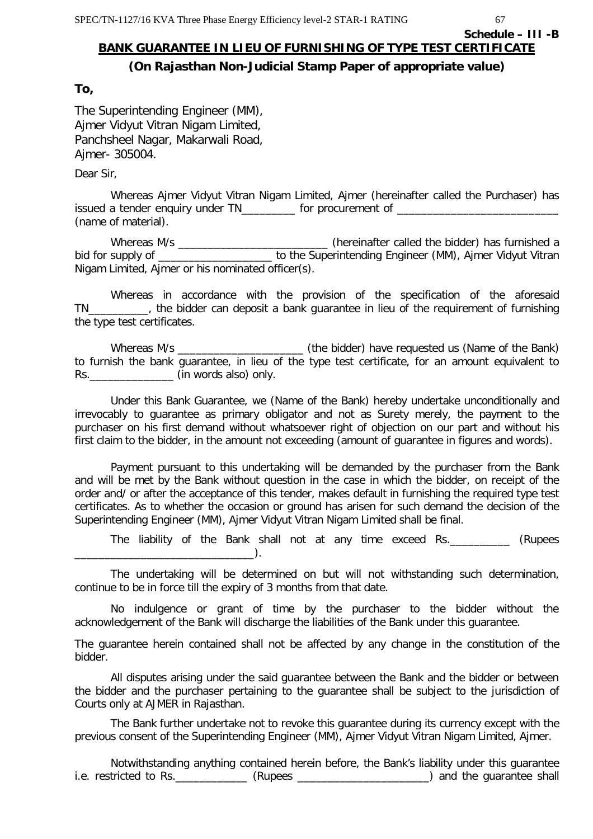**Schedule – III -B**

# **BANK GUARANTEE IN LIEU OF FURNISHING OF TYPE TEST CERTIFICATE**

# **(On Rajasthan Non-Judicial Stamp Paper of appropriate value)**

#### **To,**

The Superintending Engineer (MM), Ajmer Vidyut Vitran Nigam Limited, Panchsheel Nagar, Makarwali Road, Ajmer- 305004.

Dear Sir,

Whereas Ajmer Vidyut Vitran Nigam Limited, Ajmer (hereinafter called the Purchaser) has issued a tender enquiry under TN\_\_\_\_\_\_\_\_\_ for procurement of \_\_\_\_\_\_\_\_\_\_\_\_\_\_\_\_\_\_\_ (name of material).

Whereas M/s \_\_\_\_\_\_\_\_\_\_\_\_\_\_\_\_\_\_\_\_\_\_\_\_\_\_\_\_\_\_\_(hereinafter called the bidder) has furnished a bid for supply of \_\_\_\_\_\_\_\_\_\_\_\_\_\_\_\_\_\_\_\_\_\_\_ to the Superintending Engineer (MM), Ajmer Vidyut Vitran Nigam Limited, Ajmer or his nominated officer(s).

Whereas in accordance with the provision of the specification of the aforesaid TN\_\_\_\_\_\_\_\_\_\_, the bidder can deposit a bank guarantee in lieu of the requirement of furnishing the type test certificates.

Whereas M/s \_\_\_\_\_\_\_\_\_\_\_\_\_\_\_\_\_\_\_\_\_ (the bidder) have requested us (Name of the Bank) to furnish the bank guarantee, in lieu of the type test certificate, for an amount equivalent to Rs. **Example 20** (in words also) only.

Under this Bank Guarantee, we (Name of the Bank) hereby undertake unconditionally and irrevocably to guarantee as primary obligator and not as Surety merely, the payment to the purchaser on his first demand without whatsoever right of objection on our part and without his first claim to the bidder, in the amount not exceeding (amount of guarantee in figures and words).

Payment pursuant to this undertaking will be demanded by the purchaser from the Bank and will be met by the Bank without question in the case in which the bidder, on receipt of the order and/ or after the acceptance of this tender, makes default in furnishing the required type test certificates. As to whether the occasion or ground has arisen for such demand the decision of the Superintending Engineer (MM), Ajmer Vidyut Vitran Nigam Limited shall be final.

The liability of the Bank shall not at any time exceed Rs.\_\_\_\_\_\_\_\_\_\_ (Rupees  $\Box$ 

The undertaking will be determined on but will not withstanding such determination, continue to be in force till the expiry of 3 months from that date.

No indulgence or grant of time by the purchaser to the bidder without the acknowledgement of the Bank will discharge the liabilities of the Bank under this guarantee.

The guarantee herein contained shall not be affected by any change in the constitution of the bidder.

All disputes arising under the said guarantee between the Bank and the bidder or between the bidder and the purchaser pertaining to the guarantee shall be subject to the jurisdiction of Courts only at AJMER in Rajasthan.

The Bank further undertake not to revoke this guarantee during its currency except with the previous consent of the Superintending Engineer (MM), Ajmer Vidyut Vitran Nigam Limited, Ajmer.

Notwithstanding anything contained herein before, the Bank's liability under this guarantee i.e. restricted to Rs. \_\_\_\_\_\_\_\_\_\_\_\_\_\_ (Rupees \_\_\_\_\_\_\_\_\_\_\_\_\_\_\_\_\_\_\_\_\_\_\_\_\_\_\_) and the guarantee shall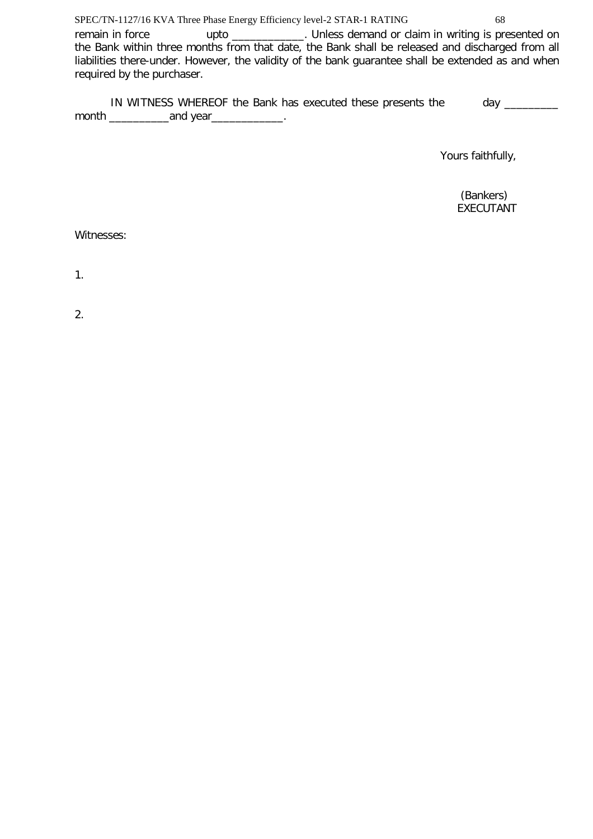remain in force upto \_\_\_\_\_\_\_\_\_\_\_. Unless demand or claim in writing is presented on the Bank within three months from that date, the Bank shall be released and discharged from all liabilities there-under. However, the validity of the bank guarantee shall be extended as and when required by the purchaser.

IN WITNESS WHEREOF the Bank has executed these presents the day \_\_\_\_\_\_\_\_\_ month \_\_\_\_\_\_\_\_\_\_and year\_\_\_\_\_\_\_\_\_\_\_\_.

Yours faithfully,

 (Bankers) EXECUTANT

Witnesses:

1.

2.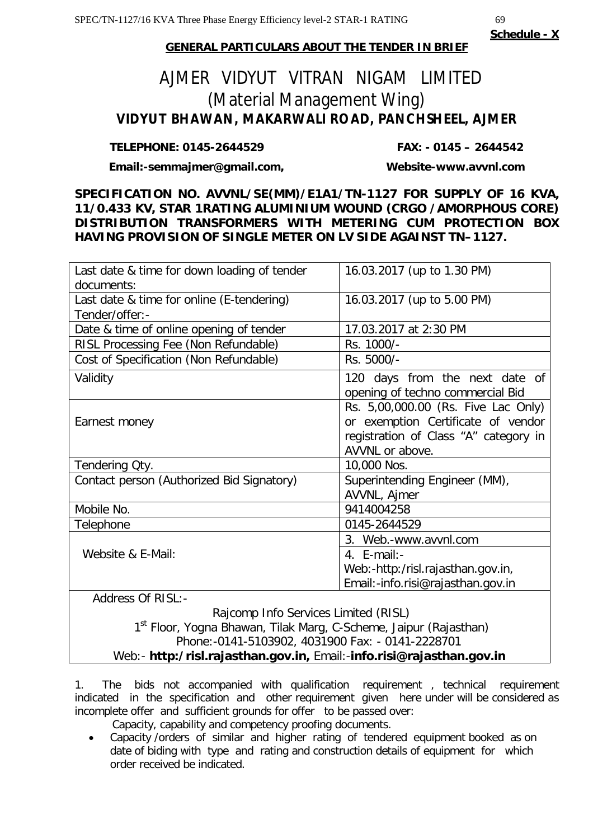**Schedule - X**

# **GENERAL PARTICULARS ABOUT THE TENDER IN BRIEF**

# AJMER VIDYUT VITRAN NIGAM LIMITED (Material Management Wing) **VIDYUT BHAWAN, MAKARWALI ROAD, PANCHSHEEL, AJMER**

# **TELEPHONE: 0145-2644529 FAX: - 0145 – 2644542**

**Email:-semmajmer@gmail.com, Website-www.avvnl.com**

**SPECIFICATION NO. AVVNL/SE(MM)/E1A1/TN-1127 FOR SUPPLY OF 16 KVA, 11/0.433 KV, STAR 1RATING ALUMINIUM WOUND (CRGO /AMORPHOUS CORE) DISTRIBUTION TRANSFORMERS WITH METERING CUM PROTECTION BOX HAVING PROVISION OF SINGLE METER ON LV SIDE AGAINST TN–1127.**

| Last date & time for down loading of tender | 16.03.2017 (up to 1.30 PM)            |  |  |
|---------------------------------------------|---------------------------------------|--|--|
| documents:                                  |                                       |  |  |
| Last date & time for online (E-tendering)   | 16.03.2017 (up to 5.00 PM)            |  |  |
| Tender/offer:-                              |                                       |  |  |
| Date & time of online opening of tender     | 17.03.2017 at 2:30 PM                 |  |  |
| RISL Processing Fee (Non Refundable)        | Rs. 1000/-                            |  |  |
| Cost of Specification (Non Refundable)      | Rs. 5000/-                            |  |  |
| Validity                                    | 120 days from the next date of        |  |  |
|                                             | opening of techno commercial Bid      |  |  |
|                                             | Rs. 5,00,000.00 (Rs. Five Lac Only)   |  |  |
| Earnest money                               | or exemption Certificate of vendor    |  |  |
|                                             | registration of Class "A" category in |  |  |
|                                             | AVVNL or above.                       |  |  |
| Tendering Qty.                              | 10,000 Nos.                           |  |  |
| Contact person (Authorized Bid Signatory)   | Superintending Engineer (MM),         |  |  |
|                                             | AVVNL, Ajmer                          |  |  |
| Mobile No.                                  | 9414004258                            |  |  |
| Telephone                                   | 0145-2644529                          |  |  |
|                                             | 3. Web.-www.avvnl.com                 |  |  |
| Website & E-Mail:                           | 4. $E$ -mail:-                        |  |  |
|                                             | Web:-http:/risl.rajasthan.gov.in,     |  |  |
|                                             | Email:-info.risi@rajasthan.gov.in     |  |  |
| <b>Address Of RISL:-</b>                    |                                       |  |  |

 Rajcomp Info Services Limited (RISL) 1<sup>st</sup> Floor, Yogna Bhawan, Tilak Marg, C-Scheme, Jaipur (Rajasthan) Phone:-0141-5103902, 4031900 Fax: - 0141-2228701 Web:- **http:/risl.rajasthan.gov.in,** Email:-**info.risi@rajasthan.gov.in**

1. The bids not accompanied with qualification requirement , technical requirement indicated in the specification and other requirement given here under will be considered as incomplete offer and sufficient grounds for offer to be passed over:

Capacity, capability and competency proofing documents.

 Capacity /orders of similar and higher rating of tendered equipment booked as on date of biding with type and rating and construction details of equipment for which order received be indicated.